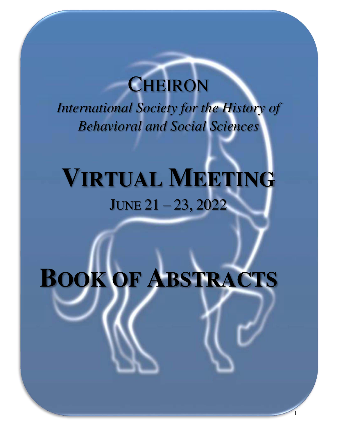# **CHEIRON**

*International Society for the History of Behavioral and Social Sciences* 

# **VIRTUAL MEETING** JUNE 21 – 23, 2022

# <span id="page-0-0"></span>**BOOK OF ABSTRACTS**

1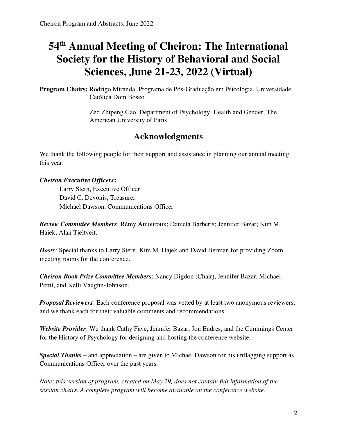# **54th Annual Meeting of Cheiron: The International Society for the History of Behavioral and Social Sciences, June 21-23, 2022 (Virtual)**

**Program Chairs:** Rodrigo Miranda, Programa de Pós-Graduação em Psicologia, Universidade Católica Dom Bosco

> Zed Zhipeng Gao, Department of Psychology, Health and Gender, The American University of Paris

# **Acknowledgments**

<span id="page-1-0"></span>We thank the following people for their support and assistance in planning our annual meeting this year:

*Cheiron Executive Officers***:** 

Larry Stern, Executive Officer David C. Devonis, Treasurer Michael Dawson, Communications Officer

*Review Committee Members*: Rémy Amouroux; Daniela Barberis; Jennifer Bazar; Kim M. Hajek; Alan Tjeltveit.

*Hosts:* Special thanks to Larry Stern, Kim M. Hajek and David Berman for providing Zoom meeting rooms for the conference.

*Cheiron Book Prize Committee Members*: Nancy Digdon (Chair), Jennifer Bazar, Michael Pettit, and Kelli Vaughn-Johnson.

*Proposal Reviewers*: Each conference proposal was vetted by at least two anonymous reviewers, and we thank each for their valuable comments and recommendations.

*Website Provider*: We thank Cathy Faye, Jennifer Bazar, Jon Endres, and the Cummings Center for the History of Psychology for designing and hosting the conference website.

*Special Thanks* – and appreciation – are given to Michael Dawson for his unflagging support as Communications Officer over the past years.

*Note: this version of program, created on May 29, does not contain full information of the session chairs. A complete program will become available on the conference website.*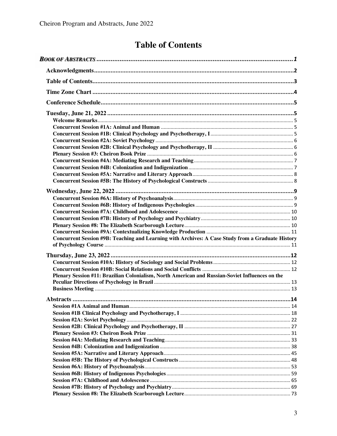# **Table of Contents**

<span id="page-2-0"></span>

| Concurrent Session #9B: Teaching and Learning with Archives: A Case Study from a Graduate History |  |
|---------------------------------------------------------------------------------------------------|--|
|                                                                                                   |  |
|                                                                                                   |  |
|                                                                                                   |  |
|                                                                                                   |  |
| Plenary Session #11: Brazilian Colonialism, North American and Russian-Soviet Influences on the   |  |
|                                                                                                   |  |
|                                                                                                   |  |
|                                                                                                   |  |
|                                                                                                   |  |
|                                                                                                   |  |
|                                                                                                   |  |
|                                                                                                   |  |
|                                                                                                   |  |
|                                                                                                   |  |
|                                                                                                   |  |
|                                                                                                   |  |
|                                                                                                   |  |
|                                                                                                   |  |
|                                                                                                   |  |
|                                                                                                   |  |
|                                                                                                   |  |
|                                                                                                   |  |
|                                                                                                   |  |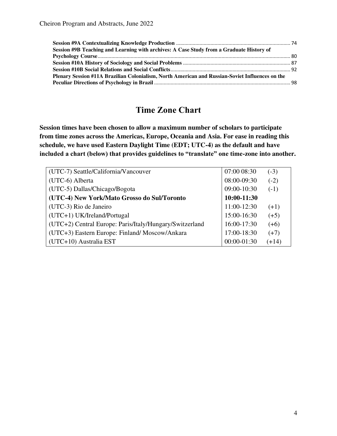| Session #9B Teaching and Learning with archives: A Case Study from a Graduate History of        |  |
|-------------------------------------------------------------------------------------------------|--|
|                                                                                                 |  |
|                                                                                                 |  |
|                                                                                                 |  |
| Plenary Session #11A Brazilian Colonialism, North American and Russian-Soviet Influences on the |  |
|                                                                                                 |  |

# **Time Zone Chart**

<span id="page-3-0"></span>**Session times have been chosen to allow a maximum number of scholars to participate from time zones across the Americas, Europe, Oceania and Asia. For ease in reading this schedule, we have used Eastern Daylight Time (EDT; UTC-4) as the default and have included a chart (below) that provides guidelines to "translate" one time-zone into another.** 

| (UTC-7) Seattle/California/Vancouver                    | 07:00 08:30 | $(-3)$  |
|---------------------------------------------------------|-------------|---------|
| (UTC-6) Alberta                                         | 08:00-09:30 | $(-2)$  |
| (UTC-5) Dallas/Chicago/Bogota                           | 09:00-10:30 | $(-1)$  |
| (UTC-4) New York/Mato Grosso do Sul/Toronto             | 10:00-11:30 |         |
| (UTC-3) Rio de Janeiro                                  | 11:00-12:30 | $(+1)$  |
| $(UTC+1) UK/Ireland/Portugal$                           | 15:00-16:30 | $(+5)$  |
| (UTC+2) Central Europe: Paris/Italy/Hungary/Switzerland | 16:00-17:30 | $(+6)$  |
| (UTC+3) Eastern Europe: Finland/Moscow/Ankara           | 17:00-18:30 | $(+7)$  |
| (UTC+10) Australia EST                                  | 00:00-01:30 | $(+14)$ |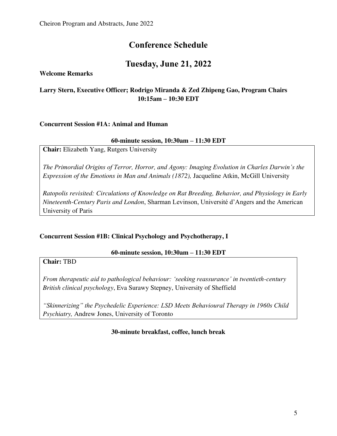# **Conference Schedule**

# **Tuesday, June 21, 2022**

<span id="page-4-2"></span><span id="page-4-1"></span><span id="page-4-0"></span>**Welcome Remarks** 

# **Larry Stern, Executive Officer; Rodrigo Miranda & Zed Zhipeng Gao, Program Chairs 10:15am – 10:30 EDT**

### <span id="page-4-3"></span>**Concurrent Session #1A: Animal and Human**

### **60-minute session, 10:30am – 11:30 EDT**

**Chair:** Elizabeth Yang, Rutgers University

*The Primordial Origins of Terror, Horror, and Agony: Imaging Evolution in Charles Darwin's the Expression of the Emotions in Man and Animals (1872),* Jacqueline Atkin, McGill University

*Ratopolis revisited: Circulations of Knowledge on Rat Breeding, Behavior, and Physiology in Early Nineteenth-Century Paris and London*, Sharman Levinson, Université d'Angers and the American University of Paris

## <span id="page-4-4"></span>**Concurrent Session #1B: Clinical Psychology and Psychotherapy, I**

### **60-minute session, 10:30am – 11:30 EDT**

**Chair:** TBD

*From therapeutic aid to pathological behaviour: 'seeking reassurance' in twentieth-century British clinical psychology*, Eva Surawy Stepney, University of Sheffield

*"Skinnerizing" the Psychedelic Experience: LSD Meets Behavioural Therapy in 1960s Child Psychiatry,* Andrew Jones, University of Toronto

### **30-minute breakfast, coffee, lunch break**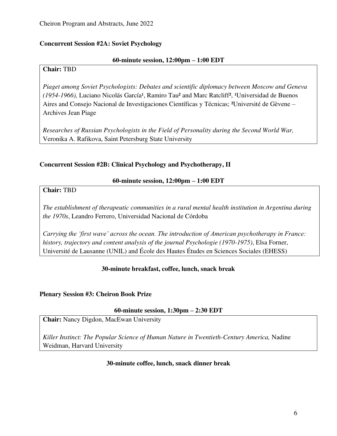### <span id="page-5-0"></span>**Concurrent Session #2A: Soviet Psychology**

### **60-minute session, 12:00pm – 1:00 EDT**

### **Chair:** TBD

*Piaget among Soviet Psychologists: Debates and scientific diplomacy between Moscow and Geneva (1954-1966),* Luciano Nicolás García<sup>1</sup>, Ramiro Tau<sup>2</sup> and Marc Ratcliff<sup>2</sup>, <sup>1</sup>Universidad de Buenos Aires and Consejo Nacional de Investigaciones Científicas y Técnicas; ²Université de Gèvene – Archives Jean Piage

*Researches of Russian Psychologists in the Field of Personality during the Second World War,*  Veronika A. Rafikova, Saint Petersburg State University

### <span id="page-5-1"></span>**Concurrent Session #2B: Clinical Psychology and Psychotherapy, II**

### **60-minute session, 12:00pm – 1:00 EDT**

**Chair:** TBD

*The establishment of therapeutic communities in a rural mental health institution in Argentina during the 1970s*, Leandro Ferrero, Universidad Nacional de Córdoba

*Carrying the 'first wave' across the ocean. The introduction of American psychotherapy in France: history, trajectory and content analysis of the journal Psychologie (1970-1975)*, Elsa Forner, Université de Lausanne (UNIL) and École des Hautes Études en Sciences Sociales (EHESS)

## **30-minute breakfast, coffee, lunch, snack break**

### <span id="page-5-2"></span>**Plenary Session #3: Cheiron Book Prize**

### **60-minute session, 1:30pm – 2:30 EDT**

**Chair:** Nancy Digdon, MacEwan University

*Killer Instinct: The Popular Science of Human Nature in Twentieth-Century America,* Nadine Weidman, Harvard University

### **30-minute coffee, lunch, snack dinner break**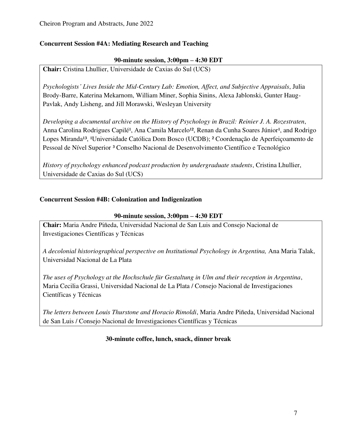## <span id="page-6-0"></span>**Concurrent Session #4A: Mediating Research and Teaching**

### **90-minute session, 3:00pm – 4:30 EDT**

**Chair:** Cristina Lhullier, Universidade de Caxias do Sul (UCS)

*Psychologists' Lives Inside the Mid-Century Lab: Emotion, Affect, and Subjective Appraisals*, Julia Brody-Barre, Katerina Mekarnom, William Miner, Sophia Sinins, Alexa Jablonski, Gunter Haug-Pavlak, Andy Lisheng, and Jill Morawski, Wesleyan University

*Developing a documental archive on the History of Psychology in Brazil: Reinier J. A. Rozestraten*, Anna Carolina Rodrigues Capilé<sup>1</sup>, Ana Camila Marcelo<sup>12</sup>, Renan da Cunha Soares Júnior<sup>1</sup>, and Rodrigo Lopes Miranda<sup>13</sup>, <sup>1</sup>Universidade Católica Dom Bosco (UCDB); <sup>2</sup> Coordenação de Aperfeiçoamento de Pessoal de Nível Superior <sup>3</sup> Conselho Nacional de Desenvolvimento Científico e Tecnológico

*History of psychology enhanced podcast production by undergraduate students*, Cristina Lhullier, Universidade de Caxias do Sul (UCS)

# <span id="page-6-1"></span>**Concurrent Session #4B: Colonization and Indigenization**

### **90-minute session, 3:00pm – 4:30 EDT**

**Chair:** Maria Andre Piñeda, Universidad Nacional de San Luis and Consejo Nacional de Investigaciones Científicas y Técnicas

*A decolonial historiographical perspective on Institutional Psychology in Argentina,* Ana Maria Talak, Universidad Nacional de La Plata

*The uses of Psychology at the Hochschule für Gestaltung in Ulm and their reception in Argentina*, Maria Cecilia Grassi, Universidad Nacional de La Plata / Consejo Nacional de Investigaciones Científicas y Técnicas

*The letters between Louis Thurstone and Horacio Rimoldi*, Maria Andre Piñeda, Universidad Nacional de San Luis / Consejo Nacional de Investigaciones Científicas y Técnicas

## **30-minute coffee, lunch, snack, dinner break**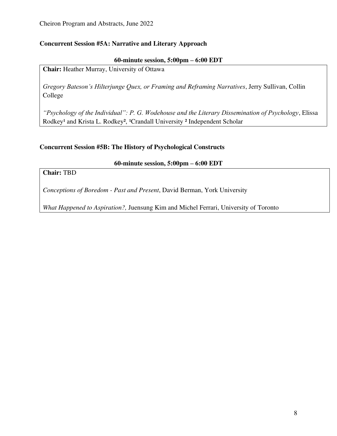### <span id="page-7-0"></span>**Concurrent Session #5A: Narrative and Literary Approach**

### **60-minute session, 5:00pm – 6:00 EDT**

**Chair:** Heather Murray, University of Ottawa

*Gregory Bateson's Hilterjunge Quex, or Framing and Reframing Narratives*, Jerry Sullivan, Collin College

*"Psychology of the Individual": P. G. Wodehouse and the Literary Dissemination of Psychology*, Elissa Rodkey<sup>1</sup> and Krista L. Rodkey<sup>2</sup>, <sup>1</sup>Crandall University <sup>2</sup> Independent Scholar

### <span id="page-7-1"></span>**Concurrent Session #5B: The History of Psychological Constructs**

### **60-minute session, 5:00pm – 6:00 EDT**

# **Chair:** TBD

*Conceptions of Boredom - Past and Present*, David Berman, York University

*What Happened to Aspiration?,* Juensung Kim and Michel Ferrari, University of Toronto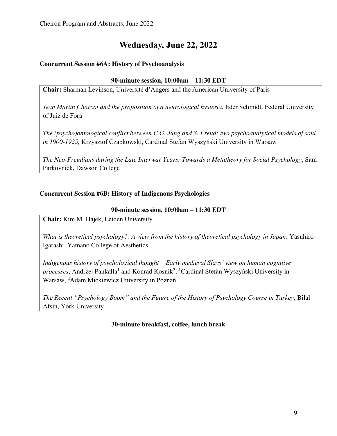# **Wednesday, June 22, 2022**

# <span id="page-8-1"></span><span id="page-8-0"></span>**Concurrent Session #6A: History of Psychoanalysis**

### **90-minute session, 10:00am – 11:30 EDT**

**Chair:** Sharman Levinson, Université d'Angers and the American University of Paris

*Jean Martin Charcot and the proposition of a neurological hysteria*, Eder Schmidt, Federal University of Juiz de Fora

*The (psycho)ontological conflict between C.G. Jung and S. Freud: two psychoanalytical models of soul in 1900-1925,* Krzysztof Czapkowski, Cardinal Stefan Wyszyński University in Warsaw

*The Neo-Freudians during the Late Interwar Years: Towards a Metatheory for Social Psychology*, Sam Parkovnick, Dawson College

## <span id="page-8-2"></span>**Concurrent Session #6B: History of Indigenous Psychologies**

## **90-minute session, 10:00am – 11:30 EDT**

**Chair:** Kim M. Hajek, Leiden University

*What is theoretical psychology?: A view from the history of theoretical psychology in Japan*, Yasuhiro Igarashi, Yamano College of Aesthetics

*Indigenous history of psychological thought – Early medieval Slavs' view on human cognitive*  processes, Andrzej Pankalla<sup>1</sup> and Konrad Kosnik<sup>2</sup>; <sup>1</sup>Cardinal Stefan Wyszyński University in Warsaw, <sup>2</sup>Adam Mickiewicz University in Poznań

*The Recent "Psychology Boom" and the Future of the History of Psychology Course in Turkey*, Bilal Afsin, York University

**30-minute breakfast, coffee, lunch break**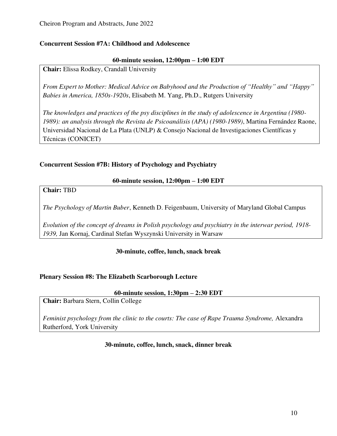### <span id="page-9-0"></span>**Concurrent Session #7A: Childhood and Adolescence**

### **60-minute session, 12:00pm – 1:00 EDT**

**Chair:** Elissa Rodkey, Crandall University

*From Expert to Mother: Medical Advice on Babyhood and the Production of "Healthy" and "Happy" Babies in America, 1850s-1920s*, Elisabeth M. Yang, Ph.D., Rutgers University

*The knowledges and practices of the psy disciplines in the study of adolescence in Argentina (1980- 1989): an analysis through the Revista de Psicoanálisis (APA) (1980-1989)*, Martina Fernández Raone, Universidad Nacional de La Plata (UNLP) & Consejo Nacional de Investigaciones Científicas y Técnicas (CONICET)

## <span id="page-9-1"></span>**Concurrent Session #7B: History of Psychology and Psychiatry**

### **60-minute session, 12:00pm – 1:00 EDT**

**Chair:** TBD

*The Psychology of Martin Buber*, Kenneth D. Feigenbaum, University of Maryland Global Campus

*Evolution of the concept of dreams in Polish psychology and psychiatry in the interwar period, 1918- 1939,* Jan Kornaj, Cardinal Stefan Wyszynski University in Warsaw

## **30-minute, coffee, lunch, snack break**

### <span id="page-9-2"></span>**Plenary Session #8: The Elizabeth Scarborough Lecture**

### **60-minute session, 1:30pm – 2:30 EDT**

**Chair:** Barbara Stern, Collin College

*Feminist psychology from the clinic to the courts: The case of Rape Trauma Syndrome,* Alexandra Rutherford, York University

### **30-minute, coffee, lunch, snack, dinner break**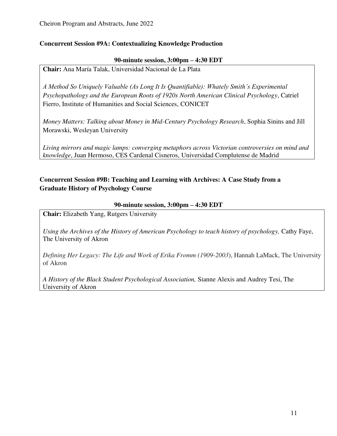### <span id="page-10-0"></span>**Concurrent Session #9A: Contextualizing Knowledge Production**

### **90-minute session, 3:00pm – 4:30 EDT**

**Chair:** Ana María Talak, Universidad Nacional de La Plata

*A Method So Uniquely Valuable (As Long It Is Quantifiable): Whately Smith's Experimental Psychopathology and the European Roots of 1920s North American Clinical Psychology*, Catriel Fierro, Institute of Humanities and Social Sciences, CONICET

*Money Matters: Talking about Money in Mid-Century Psychology Research*, Sophia Sinins and Jill Morawski, Wesleyan University

*Living mirrors and magic lamps: converging metaphors across Victorian controversies on mind and knowledge*, Juan Hermoso, CES Cardenal Cisneros, Universidad Complutense de Madrid

# <span id="page-10-1"></span>**Concurrent Session #9B: Teaching and Learning with Archives: A Case Study from a Graduate History of Psychology Course**

### **90-minute session, 3:00pm – 4:30 EDT**

**Chair:** Elizabeth Yang, Rutgers University

*Using the Archives of the History of American Psychology to teach history of psychology,* Cathy Faye, The University of Akron

*Defining Her Legacy: The Life and Work of Erika Fromm (1909-2003*), Hannah LaMack, The University of Akron

*A History of the Black Student Psychological Association,* Sianne Alexis and Audrey Tesi, The University of Akron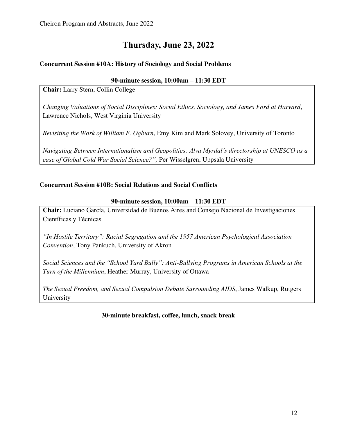# **Thursday, June 23, 2022**

# <span id="page-11-1"></span><span id="page-11-0"></span>**Concurrent Session #10A: History of Sociology and Social Problems**

## **90-minute session, 10:00am – 11:30 EDT**

**Chair:** Larry Stern, Collin College

*Changing Valuations of Social Disciplines: Social Ethics, Sociology, and James Ford at Harvard*, Lawrence Nichols, West Virginia University

*Revisiting the Work of William F. Ogburn*, Emy Kim and Mark Solovey, University of Toronto

*Navigating Between Internationalism and Geopolitics: Alva Myrdal's directorship at UNESCO as a case of Global Cold War Social Science?",* Per Wisselgren, Uppsala University

## <span id="page-11-2"></span>**Concurrent Session #10B: Social Relations and Social Conflicts**

### **90-minute session, 10:00am – 11:30 EDT**

**Chair:** Luciano García, Universidad de Buenos Aires and Consejo Nacional de Investigaciones Científicas y Técnicas

*"In Hostile Territory": Racial Segregation and the 1957 American Psychological Association Convention*, Tony Pankuch, University of Akron

*Social Sciences and the "School Yard Bully": Anti-Bullying Programs in American Schools at the Turn of the Millennium*, Heather Murray, University of Ottawa

*The Sexual Freedom, and Sexual Compulsion Debate Surrounding AIDS*, James Walkup, Rutgers University

## **30-minute breakfast, coffee, lunch, snack break**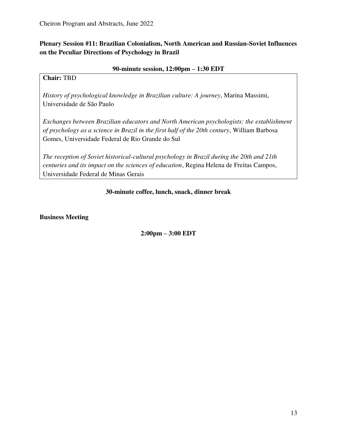<span id="page-12-0"></span>**Plenary Session #11: Brazilian Colonialism, North American and Russian-Soviet Influences on the Peculiar Directions of Psychology in Brazil** 

### **90-minute session, 12:00pm – 1:30 EDT**

### **Chair:** TBD

*History of psychological knowledge in Brazilian culture: A journey*, Marina Massimi, Universidade de São Paulo

*Exchanges between Brazilian educators and North American psychologists: the establishment of psychology as a science in Brazil in the first half of the 20th century*, William Barbosa Gomes, Universidade Federal de Rio Grande do Sul

*The reception of Soviet historical-cultural psychology in Brazil during the 20th and 21th centuries and its impact on the sciences of education*, Regina Helena de Freitas Campos, Universidade Federal de Minas Gerais

### **30-minute coffee, lunch, snack, dinner break**

<span id="page-12-1"></span>**Business Meeting** 

**2:00pm – 3:00 EDT**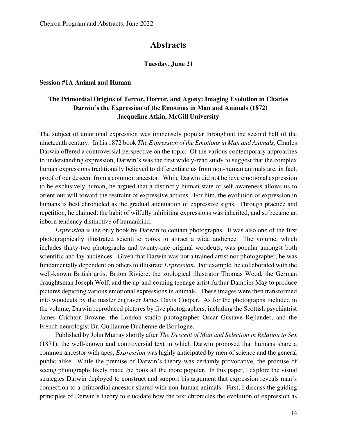# **Abstracts**

#### **Tuesday, June 21**

#### <span id="page-13-1"></span><span id="page-13-0"></span>**Session #1A Animal and Human**

### **The Primordial Origins of Terror, Horror, and Agony: Imaging Evolution in Charles Darwin's the Expression of the Emotions in Man and Animals (1872) Jacqueline Atkin, McGill University**

The subject of emotional expression was immensely popular throughout the second half of the nineteenth century. In his 1872 book *The Expression of the Emotions in Man and Animals*, Charles Darwin offered a controversial perspective on the topic. Of the various contemporary approaches to understanding expression, Darwin's was the first widely-read study to suggest that the complex human expressions traditionally believed to differentiate us from non-human animals are, in fact, proof of our descent from a common ancestor. While Darwin did not believe emotional expression to be exclusively human, he argued that a distinctly human state of self-awareness allows us to orient our will toward the restraint of expressive actions. For him, the evolution of expression in humans is best chronicled as the gradual attenuation of expressive signs. Through practice and repetition, he claimed, the habit of wilfully inhibiting expressions was inherited, and so became an inborn tendency distinctive of humankind.

*Expression* is the only book by Darwin to contain photographs. It was also one of the first photographically illustrated scientific books to attract a wide audience. The volume, which includes thirty-two photographs and twenty-one original woodcuts, was popular amongst both scientific and lay audiences. Given that Darwin was not a trained artist nor photographer, he was fundamentally dependent on others to illustrate *Expression*. For example, he collaborated with the well-known British artist Briton Rivière, the zoological illustrator Thomas Wood, the German draughtsman Joseph Wolf, and the up-and-coming teenage artist Arthur Dampier May to produce pictures depicting various emotional expressions in animals. These images were then transformed into woodcuts by the master engraver James Davis Cooper. As for the photographs included in the volume, Darwin reproduced pictures by five photographers, including the Scottish psychiatrist James Crichton-Browne, the London studio photographer Oscar Gustave Rejlander, and the French neurologist Dr. Guillaume Duchenne de Boulogne.

Published by John Murray shortly after *The Descent of Man and Selection in Relation to Sex*  (1871), the well-known and controversial text in which Darwin proposed that humans share a common ancestor with apes, *Expression* was highly anticipated by men of science and the general public alike. While the premise of Darwin's theory was certainly provocative, the promise of seeing photographs likely made the book all the more popular. In this paper, I explore the visual strategies Darwin deployed to construct and support his argument that expression reveals man's connection to a primordial ancestor shared with non-human animals. First, I discuss the guiding principles of Darwin's theory to elucidate how the text chronicles the evolution of expression as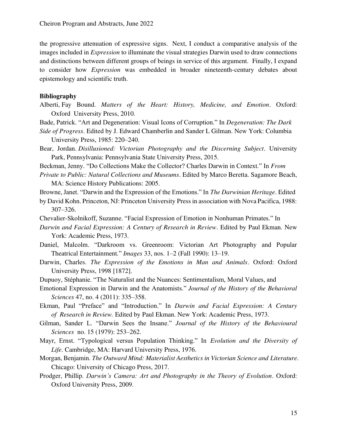the progressive attenuation of expressive signs. Next, I conduct a comparative analysis of the images included in *Expression* to illuminate the visual strategies Darwin used to draw connections and distinctions between different groups of beings in service of this argument. Finally, I expand to consider how *Expression* was embedded in broader nineteenth-century debates about epistemology and scientific truth.

#### **Bibliography**

- Alberti, Fay Bound. *Matters of the Heart: History, Medicine, and Emotion*. Oxford: Oxford University Press, 2010.
- Bade, Patrick. "Art and Degeneration: Visual Icons of Corruption." In *Degeneration: The Dark*
- *Side of Progress*. Edited by J. Edward Chamberlin and Sander L Gilman. New York: Columbia University Press, 1985: 220–240.

Bear, Jordan. *Disillusioned: Victorian Photography and the Discerning Subject*. University Park, Pennsylvania: Pennsylvania State University Press, 2015.

- Beckman, Jenny. "Do Collections Make the Collector? Charles Darwin in Context." In *From*
- *Private to Public: Natural Collections and Museums*. Edited by Marco Beretta. Sagamore Beach, MA: Science History Publications: 2005.
- Browne, Janet. "Darwin and the Expression of the Emotions." In *The Darwinian Heritage*. Edited
- by David Kohn. Princeton, NJ: Princeton University Press in association with Nova Pacifica, 1988: 307–326.
- Chevalier-Skolnikoff, Suzanne. "Facial Expression of Emotion in Nonhuman Primates." In
- *Darwin and Facial Expression: A Century of Research in Review*. Edited by Paul Ekman*.* New York: Academic Press, 1973.
- Daniel, Malcolm. "Darkroom vs. Greenroom: Victorian Art Photography and Popular Theatrical Entertainment." *Images* 33, nos. 1–2 (Fall 1990): 13–19.
- Darwin, Charles. *The Expression of the Emotions in Man and Animals*. Oxford: Oxford University Press, 1998 [1872].
- Dupuoy, Stéphanie. "The Naturalist and the Nuances: Sentimentalism, Moral Values, and
- Emotional Expression in Darwin and the Anatomists." *Journal of the History of the Behavioral Sciences* 47, no. 4 (2011): 335–358.
- Ekman, Paul "Preface" and "Introduction." In *Darwin and Facial Expression: A Century of Research in Review.* Edited by Paul Ekman. New York: Academic Press, 1973.
- Gilman, Sander L. "Darwin Sees the Insane." *Journal of the History of the Behavioural Sciences* no. 15 (1979): 253–262.
- Mayr, Ernst. "Typological versus Population Thinking." In *Evolution and the Diversity of Life*. Cambridge, MA: Harvard University Press, 1976.
- Morgan, Benjamin. *The Outward Mind: Materialist Aesthetics in Victorian Science and Literature*. Chicago: University of Chicago Press, 2017.
- Prodger, Phillip. *Darwin's Camera: Art and Photography in the Theory of Evolution*. Oxford: Oxford University Press, 2009.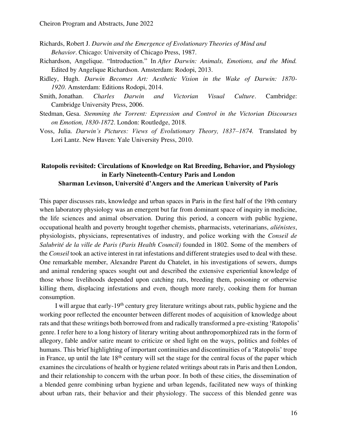- Richards, Robert J. *Darwin and the Emergence of Evolutionary Theories of Mind and Behavior*. Chicago: University of Chicago Press, 1987.
- Richardson, Angelique. "Introduction." In *After Darwin: Animals, Emotions, and the Mind.*  Edited by Angelique Richardson. Amsterdam: Rodopi, 2013.
- Ridley, Hugh. *Darwin Becomes Art: Aesthetic Vision in the Wake of Darwin: 1870- 1920*. Amsterdam: Editions Rodopi, 2014.
- Smith, Jonathan. *Charles Darwin and Victorian Visual Culture*. Cambridge: Cambridge University Press, 2006.
- Stedman, Gesa. *Stemming the Torrent: Expression and Control in the Victorian Discourses on Emotion, 1830-1872*. London: Routledge, 2018.
- Voss, Julia. *Darwin's Pictures: Views of Evolutionary Theory, 1837–1874.* Translated by Lori Lantz. New Haven: Yale University Press, 2010.

### **Ratopolis revisited: Circulations of Knowledge on Rat Breeding, Behavior, and Physiology in Early Nineteenth-Century Paris and London Sharman Levinson, Université d'Angers and the American University of Paris**

This paper discusses rats, knowledge and urban spaces in Paris in the first half of the 19th century when laboratory physiology was an emergent but far from dominant space of inquiry in medicine, the life sciences and animal observation. During this period, a concern with public hygiene, occupational health and poverty brought together chemists, pharmacists, veterinarians, *aliénistes*, physiologists, physicians, representatives of industry, and police working with the *Conseil de Salubrité de la ville de Paris (Paris Health Council)* founded in 1802. Some of the members of the *Conseil* took an active interest in rat infestations and different strategies used to deal with these. One remarkable member, Alexandre Parent du Chatelet, in his investigations of sewers, dumps and animal rendering spaces sought out and described the extensive experiential knowledge of those whose livelihoods depended upon catching rats, breeding them, poisoning or otherwise killing them, displacing infestations and even, though more rarely, cooking them for human consumption.

I will argue that early-19th century grey literature writings about rats, public hygiene and the working poor reflected the encounter between different modes of acquisition of knowledge about rats and that these writings both borrowed from and radically transformed a pre-existing 'Ratopolis' genre. I refer here to a long history of literary writing about anthropomorphized rats in the form of allegory, fable and/or satire meant to criticize or shed light on the ways, politics and foibles of humans. This brief highlighting of important continuities and discontinuities of a 'Ratopolis' trope in France, up until the late  $18<sup>th</sup>$  century will set the stage for the central focus of the paper which examines the circulations of health or hygiene related writings about rats in Paris and then London, and their relationship to concern with the urban poor. In both of these cities, the dissemination of a blended genre combining urban hygiene and urban legends, facilitated new ways of thinking about urban rats, their behavior and their physiology. The success of this blended genre was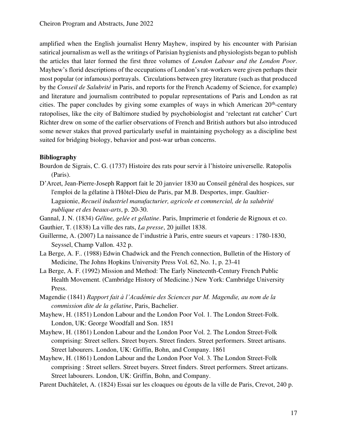amplified when the English journalist Henry Mayhew, inspired by his encounter with Parisian satirical journalism as well as the writings of Parisian hygienists and physiologists began to publish the articles that later formed the first three volumes of *London Labour and the London Poor*. Mayhew's florid descriptions of the occupations of London's rat-workers were given perhaps their most popular (or infamous) portrayals. Circulations between grey literature (such as that produced by the *Conseil de Salubrité* in Paris, and reports for the French Academy of Science, for example) and literature and journalism contributed to popular representations of Paris and London as rat cities. The paper concludes by giving some examples of ways in which American  $20<sup>th</sup>$ -century ratopolises, like the city of Baltimore studied by psychobiologist and 'relectant rat catcher' Curt Richter drew on some of the earlier observations of French and British authors but also introduced some newer stakes that proved particularly useful in maintaining psychology as a discipline best suited for bridging biology, behavior and post-war urban concerns.

### **Bibliography**

- Bourdon de Sigrais, C. G. (1737) Histoire des rats pour servir à l'histoire universelle. Ratopolis (Paris).
- D'Arcet, Jean-Pierre-Joseph Rapport fait le 20 janvier 1830 au Conseil général des hospices, sur l'emploi de la gélatine à l'Hôtel-Dieu de Paris, par M.B. Desportes, impr. Gaultier-Laguionie, *Recueil industriel manufacturier, agricole et commercial, de la salubrité publique et des beaux-arts*, p. 20-30.
- Gannal, J. N. (1834) *Géline, gelée et gélatine*. Paris, Imprimerie et fonderie de Rignoux et co.
- Gauthier, T. (1838) La ville des rats, *La presse*, 20 juillet 1838.
- Guillerme, A. (2007) La naissance de l'industrie à Paris, entre sueurs et vapeurs : 1780-1830, Seyssel, Champ Vallon. 432 p.
- La Berge, A. F.. (1988) Edwin Chadwick and the French connection, Bulletin of the History of Medicine, The Johns Hopkins University Press Vol. 62, No. 1, p. 23-41
- La Berge, A. F. (1992) Mission and Method: The Early Nineteenth-Century French Public Health Movement. (Cambridge History of Medicine.) New York: Cambridge University Press.
- Magendie (1841) *Rapport fait à l'Académie des Sciences par M. Magendie, au nom de la commission dite de la gélatine*, Paris, Bachelier.
- Mayhew, H. (1851) London Labour and the London Poor Vol. 1. The London Street-Folk. London, UK: George Woodfall and Son. 1851
- Mayhew, H. (1861) London Labour and the London Poor Vol. 2. The London Street-Folk comprising: Street sellers. Street buyers. Street finders. Street performers. Street artisans. Street labourers. London, UK: Griffin, Bohn, and Company. 1861
- Mayhew, H. (1861) London Labour and the London Poor Vol. 3. The London Street-Folk comprising : Street sellers. Street buyers. Street finders. Street performers. Street artizans. Street labourers. London, UK: Griffin, Bohn, and Company.
- Parent Duchâtelet, A. (1824) Essai sur les cloaques ou égouts de la ville de Paris, Crevot, 240 p.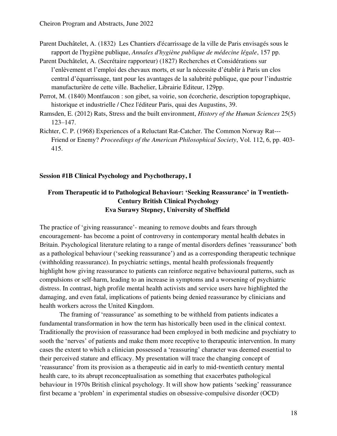- Parent Duchâtelet, A. (1832) Les Chantiers d'écarrissage de la ville de Paris envisagés sous le rapport de l'hygiène publique, *Annales d'hygiène publique de médecine légale*, 157 pp.
- Parent Duchâtelet, A. (Secrétaire rapporteur) (1827) Recherches et Considérations sur l'enlèvement et l'emploi des chevaux morts, et sur la nécessite d'établir à Paris un clos central d'équarrissage, tant pour les avantages de la salubrité publique, que pour l'industrie manufacturière de cette ville. Bachelier, Librairie Editeur, 129pp.
- Perrot, M. (1840) Montfaucon : son gibet, sa voirie, son écorcherie, description topographique, historique et industrielle / Chez l'éditeur Paris, quai des Augustins, 39.
- Ramsden, E. (2012) Rats, Stress and the built environment, *History of the Human Sciences* 25(5) 123–147.
- Richter, C. P. (1968) Experiences of a Reluctant Rat-Catcher. The Common Norway Rat--- Friend or Enemy? *Proceedings of the American Philosophical Society*, Vol. 112, 6, pp. 403- 415.

### <span id="page-17-0"></span>**Session #1B Clinical Psychology and Psychotherapy, I**

### **From Therapeutic id to Pathological Behaviour: 'Seeking Reassurance' in Twentieth-Century British Clinical Psychology Eva Surawy Stepney, University of Sheffield**

The practice of 'giving reassurance'- meaning to remove doubts and fears through encouragement- has become a point of controversy in contemporary mental health debates in Britain. Psychological literature relating to a range of mental disorders defines 'reassurance' both as a pathological behaviour ('seeking reassurance') and as a corresponding therapeutic technique (withholding reassurance). In psychiatric settings, mental health professionals frequently highlight how giving reassurance to patients can reinforce negative behavioural patterns, such as compulsions or self-harm, leading to an increase in symptoms and a worsening of psychiatric distress. In contrast, high profile mental health activists and service users have highlighted the damaging, and even fatal, implications of patients being denied reassurance by clinicians and health workers across the United Kingdom.

The framing of 'reassurance' as something to be withheld from patients indicates a fundamental transformation in how the term has historically been used in the clinical context. Traditionally the provision of reassurance had been employed in both medicine and psychiatry to sooth the 'nerves' of patients and make them more receptive to therapeutic intervention. In many cases the extent to which a clinician possessed a 'reassuring' character was deemed essential to their perceived stature and efficacy. My presentation will trace the changing concept of 'reassurance' from its provision as a therapeutic aid in early to mid-twentieth century mental health care, to its abrupt reconceptualisation as something that exacerbates pathological behaviour in 1970s British clinical psychology. It will show how patients 'seeking' reassurance first became a 'problem' in experimental studies on obsessive-compulsive disorder (OCD)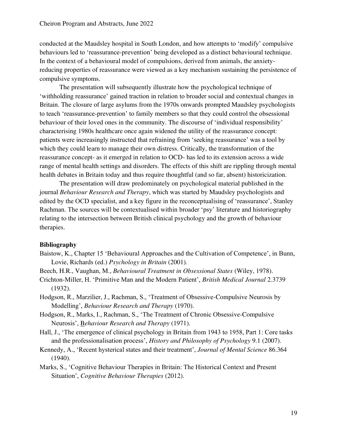conducted at the Maudsley hospital in South London, and how attempts to 'modify' compulsive behaviours led to 'reassurance-prevention' being developed as a distinct behavioural technique. In the context of a behavioural model of compulsions, derived from animals, the anxietyreducing properties of reassurance were viewed as a key mechanism sustaining the persistence of compulsive symptoms.

The presentation will subsequently illustrate how the psychological technique of 'withholding reassurance' gained traction in relation to broader social and contextual changes in Britain. The closure of large asylums from the 1970s onwards prompted Maudsley psychologists to teach 'reassurance-prevention' to family members so that they could control the obsessional behaviour of their loved ones in the community. The discourse of 'individual responsibility' characterising 1980s healthcare once again widened the utility of the reassurance concept: patients were increasingly instructed that refraining from 'seeking reassurance' was a tool by which they could learn to manage their own distress. Critically, the transformation of the reassurance concept- as it emerged in relation to OCD- has led to its extension across a wide range of mental health settings and disorders. The effects of this shift are rippling through mental health debates in Britain today and thus require thoughtful (and so far, absent) historicization.

The presentation will draw predominately on psychological material published in the journal *Behaviour Research and Therapy*, which was started by Maudsley psychologists and edited by the OCD specialist, and a key figure in the reconceptualising of 'reassurance', Stanley Rachman. The sources will be contextualised within broader 'psy' literature and historiography relating to the intersection between British clinical psychology and the growth of behaviour therapies.

### **Bibliography**

- Baistow, K., Chapter 15 'Behavioural Approaches and the Cultivation of Competence', in Bunn, Lovie, Richards (ed.) *Psychology in Britain* (2001).
- Beech, H.R., Vaughan, M., *Behavioural Treatment in Obsessional States* (Wiley, 1978).
- Crichton-Miller, H. 'Primitive Man and the Modern Patient', *British Medical Journal* 2.3739 (1932).
- Hodgson, R., Marzilier, J., Rachman, S., 'Treatment of Obsessive-Compulsive Neurosis by Modelling', *Behaviour Research and Therapy* (1970).
- Hodgson, R., Marks, I., Rachman, S., 'The Treatment of Chronic Obsessive-Compulsive Neurosis', B*ehaviour Research and Therapy* (1971).
- Hall, J., 'The emergence of clinical psychology in Britain from 1943 to 1958, Part 1: Core tasks and the professionalisation process', *History and Philosophy of Psychology* 9.1 (2007).
- Kennedy, A., 'Recent hysterical states and their treatment', *Journal of Mental Science* 86.364 (1940).
- Marks, S., 'Cognitive Behaviour Therapies in Britain: The Historical Context and Present Situation', *Cognitive Behaviour Therapies* (2012).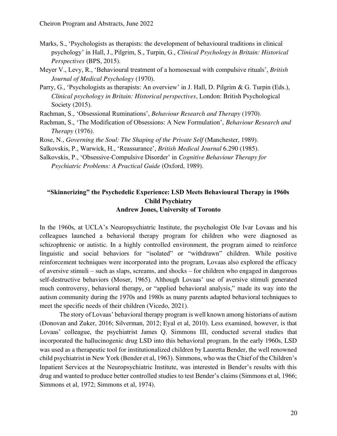- Marks, S., 'Psychologists as therapists: the development of behavioural traditions in clinical psychology' in Hall, J., Pilgrim, S., Turpin, G., *Clinical Psychology in Britain: Historical Perspectives* (BPS, 2015).
- Meyer V., Levy, R., 'Behavioural treatment of a homosexual with compulsive rituals', *British Journal of Medical Psychology* (1970).
- Parry, G., 'Psychologists as therapists: An overview' in J. Hall, D. Pilgrim & G. Turpin (Eds.), *Clinical psychology in Britain: Historical perspectives*, London: British Psychological Society (2015).

Rachman, S., 'Obsessional Ruminations', *Behaviour Research and Therapy* (1970).

Rachman, S., 'The Modification of Obsessions: A New Formulation', *Behaviour Research and Therapy* (1976).

Rose, N., *Governing the Soul: The Shaping of the Private Self* (Manchester, 1989).

Salkovskis, P., Warwick, H., 'Reassurance', *British Medical Journal* 6.290 (1985).

Salkovskis, P., 'Obsessive-Compulsive Disorder' in *Cognitive Behaviour Therapy for Psychiatric Problems: A Practical Guide* (Oxford, 1989).

### **"Skinnerizing" the Psychedelic Experience: LSD Meets Behavioural Therapy in 1960s Child Psychiatry Andrew Jones, University of Toronto**

In the 1960s, at UCLA's Neuropsychiatric Institute, the psychologist Ole Ivar Lovaas and his colleagues launched a behavioral therapy program for children who were diagnosed as schizophrenic or autistic. In a highly controlled environment, the program aimed to reinforce linguistic and social behaviors for "isolated" or "withdrawn" children. While positive reinforcement techniques were incorporated into the program, Lovaas also explored the efficacy of aversive stimuli – such as slaps, screams, and shocks – for children who engaged in dangerous self-destructive behaviors (Moser, 1965). Although Lovaas' use of aversive stimuli generated much controversy, behavioral therapy, or "applied behavioral analysis," made its way into the autism community during the 1970s and 1980s as many parents adapted behavioral techniques to meet the specific needs of their children (Vicedo, 2021).

The story of Lovaas' behavioral therapy program is well known among historians of autism (Donovan and Zuker, 2016; Silverman, 2012; Eyal et al, 2010). Less examined, however, is that Lovaas' colleague, the psychiatrist James Q. Simmons III, conducted several studies that incorporated the hallucinogenic drug LSD into this behavioral program. In the early 1960s, LSD was used as a therapeutic tool for institutionalized children by Lauretta Bender, the well renowned child psychiatrist in New York (Bender et al, 1963). Simmons, who was the Chief of the Children's Inpatient Services at the Neuropsychiatric Institute, was interested in Bender's results with this drug and wanted to produce better controlled studies to test Bender's claims (Simmons et al, 1966; Simmons et al, 1972; Simmons et al, 1974).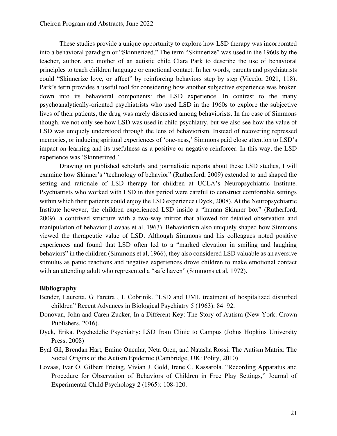These studies provide a unique opportunity to explore how LSD therapy was incorporated into a behavioral paradigm or "Skinnerized." The term "Skinnerize" was used in the 1960s by the teacher, author, and mother of an autistic child Clara Park to describe the use of behavioral principles to teach children language or emotional contact. In her words, parents and psychiatrists could "Skinnerize love, or affect" by reinforcing behaviors step by step (Vicedo, 2021, 118). Park's term provides a useful tool for considering how another subjective experience was broken down into its behavioral components: the LSD experience. In contrast to the many psychoanalytically-oriented psychiatrists who used LSD in the 1960s to explore the subjective lives of their patients, the drug was rarely discussed among behaviorists. In the case of Simmons though, we not only see how LSD was used in child psychiatry, but we also see how the value of LSD was uniquely understood through the lens of behaviorism. Instead of recovering repressed memories, or inducing spiritual experiences of 'one-ness,' Simmons paid close attention to LSD's impact on learning and its usefulness as a positive or negative reinforcer. In this way, the LSD experience was 'Skinnerized.'

Drawing on published scholarly and journalistic reports about these LSD studies, I will examine how Skinner's "technology of behavior" (Rutherford, 2009) extended to and shaped the setting and rationale of LSD therapy for children at UCLA's Neuropsychiatric Institute. Psychiatrists who worked with LSD in this period were careful to construct comfortable settings within which their patients could enjoy the LSD experience (Dyck, 2008). At the Neuropsychiatric Institute however, the children experienced LSD inside a "human Skinner box" (Rutherford, 2009), a contrived structure with a two-way mirror that allowed for detailed observation and manipulation of behavior (Lovaas et al, 1963). Behaviorism also uniquely shaped how Simmons viewed the therapeutic value of LSD. Although Simmons and his colleagues noted positive experiences and found that LSD often led to a "marked elevation in smiling and laughing behaviors" in the children (Simmons et al, 1966), they also considered LSD valuable as an aversive stimulus as panic reactions and negative experiences drove children to make emotional contact with an attending adult who represented a "safe haven" (Simmons et al, 1972).

### **Bibliography**

- Bender, Lauretta. G Faretra , L Cobrinik. "LSD and UML treatment of hospitalized disturbed children" Recent Advances in Biological Psychiatry 5 (1963): 84–92.
- Donovan, John and Caren Zucker, In a Different Key: The Story of Autism (New York: Crown Publishers, 2016).
- Dyck, Erika. Psychedelic Psychiatry: LSD from Clinic to Campus (Johns Hopkins University Press, 2008)
- Eyal Gil, Brendan Hart, Emine Oncular, Neta Oren, and Natasha Rossi, The Autism Matrix: The Social Origins of the Autism Epidemic (Cambridge, UK: Polity, 2010)
- Lovaas, Ivar O. Gilbert Frietag, Vivian J. Gold, Irene C. Kassarola. "Recording Apparatus and Procedure for Observation of Behaviors of Children in Free Play Settings," Journal of Experimental Child Psychology 2 (1965): 108-120.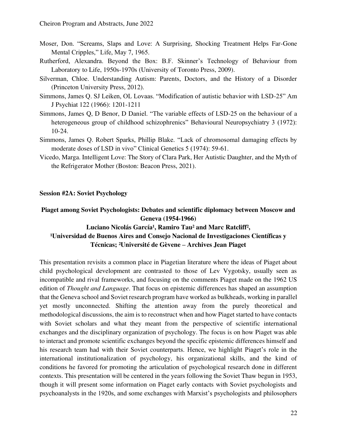- Moser, Don. "Screams, Slaps and Love: A Surprising, Shocking Treatment Helps Far-Gone Mental Cripples," Life, May 7, 1965.
- Rutherford, Alexandra. Beyond the Box: B.F. Skinner's Technology of Behaviour from Laboratory to Life, 1950s-1970s (University of Toronto Press, 2009).
- Silverman, Chloe. Understanding Autism: Parents, Doctors, and the History of a Disorder (Princeton University Press, 2012).
- Simmons, James Q. SJ Leiken, OL Lovaas. "Modification of autistic behavior with LSD-25" Am J Psychiat 122 (1966): 1201-1211
- Simmons, James Q, D Benor, D Daniel. "The variable effects of LSD-25 on the behaviour of a heterogeneous group of childhood schizophrenics" Behavioural Neuropsychiatry 3 (1972): 10-24.
- Simmons, James Q. Robert Sparks, Phillip Blake. "Lack of chromosomal damaging effects by moderate doses of LSD in vivo" Clinical Genetics 5 (1974): 59-61.
- Vicedo, Marga. Intelligent Love: The Story of Clara Park, Her Autistic Daughter, and the Myth of the Refrigerator Mother (Boston: Beacon Press, 2021).

### <span id="page-21-0"></span>**Session #2A: Soviet Psychology**

### **Piaget among Soviet Psychologists: Debates and scientific diplomacy between Moscow and Geneva (1954-1966)**

# Luciano Nicolás García<sup>1</sup>, Ramiro Tau<sup>2</sup> and Marc Ratcliff<sup>2</sup>, <sup>1</sup>Universidad de Buenos Aires and Consejo Nacional de Investigaciones Científicas y **Técnicas; ²Université de Gèvene – Archives Jean Piaget**

This presentation revisits a common place in Piagetian literature where the ideas of Piaget about child psychological development are contrasted to those of Lev Vygotsky, usually seen as incompatible and rival frameworks, and focusing on the comments Piaget made on the 1962 US edition of *Thought and Language*. That focus on epistemic differences has shaped an assumption that the Geneva school and Soviet research program have worked as bulkheads, working in parallel yet mostly unconnected. Shifting the attention away from the purely theoretical and methodological discussions, the aim is to reconstruct when and how Piaget started to have contacts with Soviet scholars and what they meant from the perspective of scientific international exchanges and the disciplinary organization of psychology. The focus is on how Piaget was able to interact and promote scientific exchanges beyond the specific epistemic differences himself and his research team had with their Soviet counterparts. Hence, we highlight Piaget's role in the international institutionalization of psychology, his organizational skills, and the kind of conditions he favored for promoting the articulation of psychological research done in different contexts. This presentation will be centered in the years following the Soviet Thaw begun in 1953, though it will present some information on Piaget early contacts with Soviet psychologists and psychoanalysts in the 1920s, and some exchanges with Marxist's psychologists and philosophers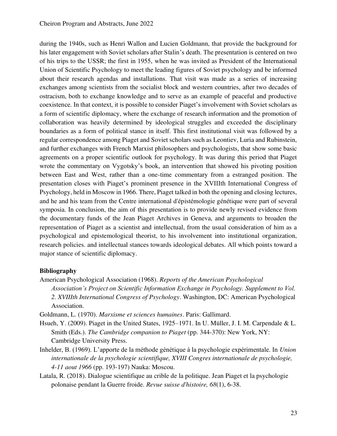during the 1940s, such as Henri Wallon and Lucien Goldmann, that provide the background for his later engagement with Soviet scholars after Stalin's death. The presentation is centered on two of his trips to the USSR; the first in 1955, when he was invited as President of the International Union of Scientific Psychology to meet the leading figures of Soviet psychology and be informed about their research agendas and installations. That visit was made as a series of increasing exchanges among scientists from the socialist block and western countries, after two decades of ostracism, both to exchange knowledge and to serve as an example of peaceful and productive coexistence. In that context, it is possible to consider Piaget's involvement with Soviet scholars as a form of scientific diplomacy, where the exchange of research information and the promotion of collaboration was heavily determined by ideological struggles and exceeded the disciplinary boundaries as a form of political stance in itself. This first institutional visit was followed by a regular correspondence among Piaget and Soviet scholars such as Leontiev, Luria and Rubinstein, and further exchanges with French Marxist philosophers and psychologists, that show some basic agreements on a proper scientific outlook for psychology. It was during this period that Piaget wrote the commentary on Vygotsky's book, an intervention that showed his pivoting position between East and West, rather than a one-time commentary from a estranged position. The presentation closes with Piaget's prominent presence in the XVIIIth International Congress of Psychology, held in Moscow in 1966. There, Piaget talked in both the opening and closing lectures, and he and his team from the Centre international d'épistémologie génétique were part of several symposia. In conclusion, the aim of this presentation is to provide newly revised evidence from the documentary funds of the Jean Piaget Archives in Geneva, and arguments to broaden the representation of Piaget as a scientist and intellectual, from the usual consideration of him as a psychological and epistemological theorist, to his involvement into institutional organization, research policies. and intellectual stances towards ideological debates. All which points toward a major stance of scientific diplomacy.

### **Bibliography**

American Psychological Association (1968). *Reports of the American Psychological* 

*Association's Project on Scientific Information Exchange in Psychology. Supplement to Vol. 2. XVIIIth International Congress of Psychology*. Washington, DC: American Psychological Association.

Goldmann, L. (1970). *Marxisme et sciences humaines*. Paris: Gallimard.

- Hsueh, Y. (2009). Piaget in the United States, 1925–1971. In U. Müller, J. I. M. Carpendale & L. Smith (Eds.). *The Cambridge companion to Piaget* (pp. 344-370): New York, NY: Cambridge University Press.
- Inhelder, B. (1969). L'apporte de la méthode génétique à la psychologie expérimentale. In *Union internationale de la psychologie scientifique, XVIII Congres internationale de psychologie, 4-11 aout 1966* (pp. 193-197) Nauka: Moscou.
- Latala, R. (2018). Dialogue scientifique au crible de la politique. Jean Piaget et la psychologie polonaise pendant la Guerre froide. *Revue suisse d'histoire, 68*(1), 6-38.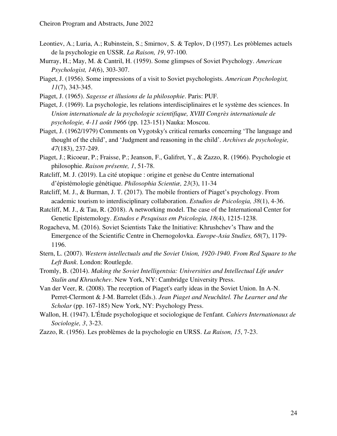- Leontiev, A.; Luria, A.; Rubinstein, S.; Smirnov, S. & Teplov, D (1957). Les pròblemes actuels de la psychologie en USSR. *La Raison, 19*, 97-100.
- Murray, H.; May, M. & Cantril, H. (1959). Some glimpses of Soviet Psychology. *American Psychologist, 14*(6), 303-307.
- Piaget, J. (1956). Some impressions of a visit to Soviet psychologists. *American Psychologist, 11*(7), 343-345.
- Piaget, J. (1965). *Sagesse et illusions de la philosophie*. Paris: PUF.
- Piaget, J. (1969). La psychologie, les relations interdisciplinaires et le système des sciences. In *Union internationale de la psychologie scientifique, XVIII Congrès internationale de psychologie, 4-11 août 1966* (pp. 123-151) Nauka: Moscou.
- Piaget, J. (1962/1979) Comments on Vygotsky's critical remarks concerning 'The language and thought of the child', and 'Judgment and reasoning in the child'*. Archives de psychologie, 47*(183), 237-249.
- Piaget, J.; Ricoeur, P.; Fraisse, P.; Jeanson, F., Galifret, Y., & Zazzo, R. (1966). Psychologie et philosophie. *Raison présente, 1*, 51-78.
- Ratcliff, M. J. (2019). La cité utopique : origine et genèse du Centre international d'épistémologie génétique. *Philosophia Scientiæ, 23*(3), 11-34
- Ratcliff, M. J., & Burman, J. T. (2017). The mobile frontiers of Piaget's psychology. From academic tourism to interdisciplinary collaboration. *Estudios de Psicologia, 38*(1), 4-36.
- Ratcliff, M. J., & Tau, R. (2018). A networking model. The case of the International Center for Genetic Epistemology. *Estudos e Pesquisas em Psicologia, 18*(4), 1215-1238.
- Rogacheva, M. (2016). Soviet Scientists Take the Initiative: Khrushchev's Thaw and the Emergence of the Scientific Centre in Chernogolovka. *Europe-Asia Studies, 68*(7), 1179- 1196.
- Stern, L. (2007). *Western intellectuals and the Soviet Union, 1920-1940. From Red Square to the Left Bank*. London: Routlegde.
- Tromly, B. (2014). *Making the Soviet Intelligentsia: Universities and Intellectual Life under Stalin and Khrushchev*. New York, NY: Cambridge University Press.
- Van der Veer, R. (2008). The reception of Piaget's early ideas in the Soviet Union. In A-N. Perret-Clermont & J-M. Barrelet (Eds.). *Jean Piaget and Neuchâtel. The Learner and the Scholar* (pp. 167-185) New York, NY: Psychology Press.
- Wallon, H. (1947). L'Étude psychologique et sociologique de l'enfant. *Cahiers Internationaux de Sociologie, 3*, 3-23.
- Zazzo, R. (1956). Les problèmes de la psychologie en URSS. *La Raison, 15*, 7-23.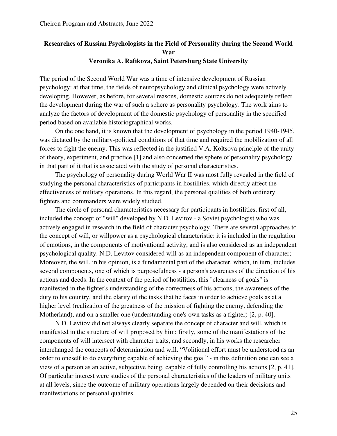### **Researches of Russian Psychologists in the Field of Personality during the Second World War Veronika A. Rafikova, Saint Petersburg State University**

The period of the Second World War was a time of intensive development of Russian psychology: at that time, the fields of neuropsychology and clinical psychology were actively developing. However, as before, for several reasons, domestic sources do not adequately reflect the development during the war of such a sphere as personality psychology. The work aims to analyze the factors of development of the domestic psychology of personality in the specified period based on available historiographical works.

On the one hand, it is known that the development of psychology in the period 1940-1945. was dictated by the military-political conditions of that time and required the mobilization of all forces to fight the enemy. This was reflected in the justified V.A. Koltsova principle of the unity of theory, experiment, and practice [1] and also concerned the sphere of personality psychology in that part of it that is associated with the study of personal characteristics.

The psychology of personality during World War II was most fully revealed in the field of studying the personal characteristics of participants in hostilities, which directly affect the effectiveness of military operations. In this regard, the personal qualities of both ordinary fighters and commanders were widely studied.

The circle of personal characteristics necessary for participants in hostilities, first of all, included the concept of "will" developed by N.D. Levitov - a Soviet psychologist who was actively engaged in research in the field of character psychology. There are several approaches to the concept of will, or willpower as a psychological characteristic: it is included in the regulation of emotions, in the components of motivational activity, and is also considered as an independent psychological quality. N.D. Levitov considered will as an independent component of character; Moreover, the will, in his opinion, is a fundamental part of the character, which, in turn, includes several components, one of which is purposefulness - a person's awareness of the direction of his actions and deeds. In the context of the period of hostilities, this "clearness of goals" is manifested in the fighter's understanding of the correctness of his actions, the awareness of the duty to his country, and the clarity of the tasks that he faces in order to achieve goals as at a higher level (realization of the greatness of the mission of fighting the enemy, defending the Motherland), and on a smaller one (understanding one's own tasks as a fighter) [2, p. 40].

N.D. Levitov did not always clearly separate the concept of character and will, which is manifested in the structure of will proposed by him: firstly, some of the manifestations of the components of will intersect with character traits, and secondly, in his works the researcher interchanged the concepts of determination and will. "Volitional effort must be understood as an order to oneself to do everything capable of achieving the goal" - in this definition one can see a view of a person as an active, subjective being, capable of fully controlling his actions [2, p. 41]. Of particular interest were studies of the personal characteristics of the leaders of military units at all levels, since the outcome of military operations largely depended on their decisions and manifestations of personal qualities.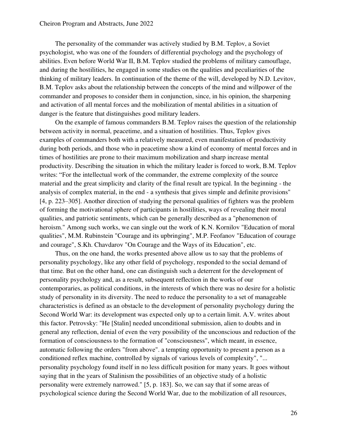The personality of the commander was actively studied by B.M. Teplov, a Soviet psychologist, who was one of the founders of differential psychology and the psychology of abilities. Even before World War II, B.M. Teplov studied the problems of military camouflage, and during the hostilities, he engaged in some studies on the qualities and peculiarities of the thinking of military leaders. In continuation of the theme of the will, developed by N.D. Levitov, B.M. Teplov asks about the relationship between the concepts of the mind and willpower of the commander and proposes to consider them in conjunction, since, in his opinion, the sharpening and activation of all mental forces and the mobilization of mental abilities in a situation of danger is the feature that distinguishes good military leaders.

On the example of famous commanders B.M. Teplov raises the question of the relationship between activity in normal, peacetime, and a situation of hostilities. Thus, Teplov gives examples of commanders both with a relatively measured, even manifestation of productivity during both periods, and those who in peacetime show a kind of economy of mental forces and in times of hostilities are prone to their maximum mobilization and sharp increase mental productivity. Describing the situation in which the military leader is forced to work, B.M. Teplov writes: "For the intellectual work of the commander, the extreme complexity of the source material and the great simplicity and clarity of the final result are typical. In the beginning - the analysis of complex material, in the end - a synthesis that gives simple and definite provisions" [4, p. 223–305]. Another direction of studying the personal qualities of fighters was the problem of forming the motivational sphere of participants in hostilities, ways of revealing their moral qualities, and patriotic sentiments, which can be generally described as a "phenomenon of heroism." Among such works, we can single out the work of K.N. Kornilov "Education of moral qualities", M.M. Rubinstein "Courage and its upbringing", M.P. Feofanov "Education of courage and courage", S.Kh. Chavdarov "On Courage and the Ways of its Education", etc.

Thus, on the one hand, the works presented above allow us to say that the problems of personality psychology, like any other field of psychology, responded to the social demand of that time. But on the other hand, one can distinguish such a deterrent for the development of personality psychology and, as a result, subsequent reflection in the works of our contemporaries, as political conditions, in the interests of which there was no desire for a holistic study of personality in its diversity. The need to reduce the personality to a set of manageable characteristics is defined as an obstacle to the development of personality psychology during the Second World War: its development was expected only up to a certain limit. A.V. writes about this factor. Petrovsky: "He [Stalin] needed unconditional submission, alien to doubts and in general any reflection, denial of even the very possibility of the unconscious and reduction of the formation of consciousness to the formation of "consciousness", which meant, in essence, automatic following the orders "from above". a tempting opportunity to present a person as a conditioned reflex machine, controlled by signals of various levels of complexity", "... personality psychology found itself in no less difficult position for many years. It goes without saying that in the years of Stalinism the possibilities of an objective study of a holistic personality were extremely narrowed." [5, p. 183]. So, we can say that if some areas of psychological science during the Second World War, due to the mobilization of all resources,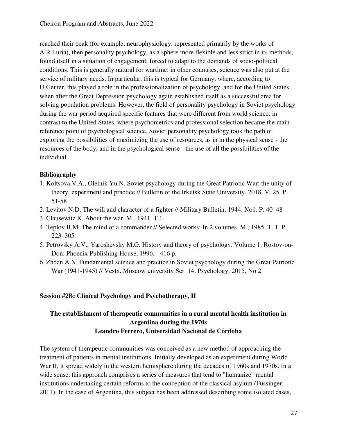reached their peak (for example, neurophysiology, represented primarily by the works of A.R.Luria), then personality psychology, as a sphere more flexible and less strict in its methods, found itself in a situation of engagement, forced to adapt to the demands of socio-political conditions. This is generally natural for wartime: in other countries, science was also put at the service of military needs. In particular, this is typical for Germany, where, according to U.Geuter, this played a role in the professionalization of psychology, and for the United States, when after the Great Depression psychology again established itself as a successful area for solving population problems. However, the field of personality psychology in Soviet psychology during the war period acquired specific features that were different from world science: in contrast to the United States, where psychometrics and professional selection became the main reference point of psychological science, Soviet personality psychology took the path of exploring the possibilities of maximizing the use of resources, as in in the physical sense - the resources of the body, and in the psychological sense - the use of all the possibilities of the individual.

### **Bibliography**

- 1. Koltsova V.A., Oleinik Yu.N. Soviet psychology during the Great Patriotic War: the unity of theory, experiment and practice // Bulletin of the Irkutsk State University. 2018. V. 25. P. 51-58
- 2. Levitov N.D. The will and character of a fighter // Military Bulletin. 1944. No1. P. 40–48
- 3. Clausewitz K. About the war. M., 1941. T.1.
- 4. Teplov B.M. The mind of a commander // Selected works: In 2 volumes. M., 1985. T. 1. P. 223–305
- 5. Petrovsky A.V., Yaroshevsky M.G. History and theory of psychology. Volume 1. Rostov-on-Don: Phoenix Publishing House, 1996. - 416 p.
- 6. Zhdan A.N. Fundamental science and practice in Soviet psychology during the Great Patriotic War (1941-1945) // Vestn. Moscow university Ser. 14. Psychology. 2015. No 2.

### <span id="page-26-0"></span>**Session #2B: Clinical Psychology and Psychotherapy, II**

# **The establishment of therapeutic communities in a rural mental health institution in Argentina during the 1970s Leandro Ferrero, Universidad Nacional de Córdoba**

The system of therapeutic communities was conceived as a new method of approaching the treatment of patients in mental institutions. Initially developed as an experiment during World War II, it spread widely in the western hemisphere during the decades of 1960s and 1970s. In a wide sense, this approach comprises a series of measures that tend to "humanize" mental institutions undertaking certain reforms to the conception of the classical asylum (Fussinger, 2011). In the case of Argentina, this subject has been addressed describing some isolated cases,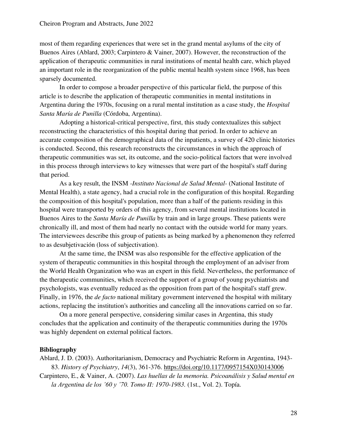most of them regarding experiences that were set in the grand mental asylums of the city of Buenos Aires (Ablard, 2003; Carpintero & Vainer, 2007). However, the reconstruction of the application of therapeutic communities in rural institutions of mental health care, which played an important role in the reorganization of the public mental health system since 1968, has been sparsely documented.

In order to compose a broader perspective of this particular field, the purpose of this article is to describe the application of therapeutic communities in mental institutions in Argentina during the 1970s, focusing on a rural mental institution as a case study, the *Hospital Santa María de Punilla* (Córdoba, Argentina).

Adopting a historical-critical perspective, first, this study contextualizes this subject reconstructing the characteristics of this hospital during that period. In order to achieve an accurate composition of the demographical data of the inpatients, a survey of 420 clinic histories is conducted. Second, this research reconstructs the circumstances in which the approach of therapeutic communities was set, its outcome, and the socio-political factors that were involved in this process through interviews to key witnesses that were part of the hospital's staff during that period.

As a key result, the INSM *-Instituto Nacional de Salud Mental-* (National Institute of Mental Health), a state agency, had a crucial role in the configuration of this hospital. Regarding the composition of this hospital's population, more than a half of the patients residing in this hospital were transported by orders of this agency, from several mental institutions located in Buenos Aires to the *Santa María de Punilla* by train and in large groups. These patients were chronically ill, and most of them had nearly no contact with the outside world for many years. The interviewees describe this group of patients as being marked by a phenomenon they referred to as desubjetivación (loss of subjectivation).

At the same time, the INSM was also responsible for the effective application of the system of therapeutic communities in this hospital through the employment of an adviser from the World Health Organization who was an expert in this field. Nevertheless, the performance of the therapeutic communities, which received the support of a group of young psychiatrists and psychologists, was eventually reduced as the opposition from part of the hospital's staff grew. Finally, in 1976, the *de facto* national military government intervened the hospital with military actions, replacing the institution's authorities and canceling all the innovations carried on so far.

On a more general perspective, considering similar cases in Argentina, this study concludes that the application and continuity of the therapeutic communities during the 1970s was highly dependent on external political factors.

### **Bibliography**

Ablard, J. D. (2003). Authoritarianism, Democracy and Psychiatric Reform in Argentina, 1943- 83. *History of Psychiatry*, *14*(3), 361-376.<https://doi.org/10.1177/0957154X030143006>

Carpintero, E., & Vainer, A. (2007). *Las huellas de la memoria. Psicoanálisis y Salud mental en la Argentina de los '60 y '70. Tomo II: 1970-1983.* (1st., Vol. 2). Topía.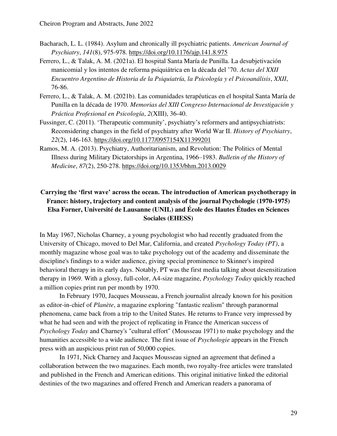- Bacharach, L. L. (1984). Asylum and chronically ill psychiatric patients. *American Journal of Psychiatry*, *141*(8), 975-978.<https://doi.org/10.1176/ajp.141.8.975>
- Ferrero, L., & Talak, A. M. (2021a). El hospital Santa María de Punilla. La desubjetivación manicomial y los intentos de reforma psiquiátrica en la década del '70. *Actas del XXII Encuentro Argentino de Historia de la Psiquiatría, la Psicología y el Psicoanálisis*, *XXII*, 76-86.
- Ferrero, L., & Talak, A. M. (2021b). Las comunidades terapéuticas en el hospital Santa María de Punilla en la década de 1970. *Memorias del XIII Congreso Internacional de Investigación y Práctica Profesional en Psicología*, *2*(XIII), 36-40.
- Fussinger, C. (2011). 'Therapeutic community', psychiatry's reformers and antipsychiatrists: Reconsidering changes in the field of psychiatry after World War II. *History of Psychiatry*, *22*(2), 146-163.<https://doi.org/10.1177/0957154X11399201>
- Ramos, M. A. (2013). Psychiatry, Authoritarianism, and Revolution: The Politics of Mental Illness during Military Dictatorships in Argentina, 1966–1983. *Bulletin of the History of Medicine*, *87*(2), 250-278.<https://doi.org/10.1353/bhm.2013.0029>

# **Carrying the 'first wave' across the ocean. The introduction of American psychotherapy in France: history, trajectory and content analysis of the journal Psychologie (1970-1975) Elsa Forner, Université de Lausanne (UNIL) and École des Hautes Études en Sciences Sociales (EHESS)**

In May 1967, Nicholas Charney, a young psychologist who had recently graduated from the University of Chicago, moved to Del Mar, California, and created *Psychology Today (PT)*, a monthly magazine whose goal was to take psychology out of the academy and disseminate the discipline's findings to a wider audience, giving special prominence to Skinner's inspired behavioral therapy in its early days. Notably, PT was the first media talking about desensitization therapy in 1969. With a glossy, full-color, A4-size magazine, *Psychology Today* quickly reached a million copies print run per month by 1970.

In February 1970, Jacques Mousseau, a French journalist already known for his position as editor-in-chief of *Planète*, a magazine exploring "fantastic realism" through paranormal phenomena, came back from a trip to the United States. He returns to France very impressed by what he had seen and with the project of replicating in France the American success of *Psychology Today* and Charney's "cultural effort" (Mousseau 1971) to make psychology and the humanities accessible to a wide audience. The first issue of *Psychologie* appears in the French press with an auspicious print run of 50,000 copies.

In 1971, Nick Charney and Jacques Mousseau signed an agreement that defined a collaboration between the two magazines. Each month, two royalty-free articles were translated and published in the French and American editions. This original initiative linked the editorial destinies of the two magazines and offered French and American readers a panorama of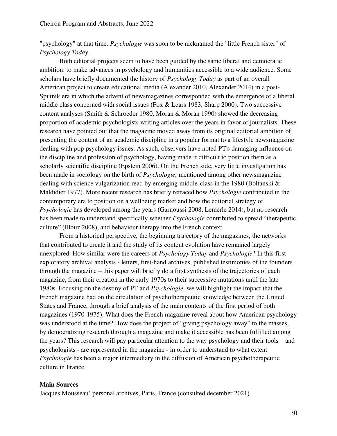"psychology" at that time. *Psychologie* was soon to be nicknamed the "little French sister" of *Psychology Today*.

Both editorial projects seem to have been guided by the same liberal and democratic ambition: to make advances in psychology and humanities accessible to a wide audience. Some scholars have briefly documented the history of *Psychology Today* as part of an overall American project to create educational media (Alexander 2010, Alexander 2014) in a post-Sputnik era in which the advent of newsmagazines corresponded with the emergence of a liberal middle class concerned with social issues (Fox & Lears 1983, Sharp 2000). Two successive content analyses (Smith & Schroeder 1980, Moran & Moran 1990) showed the decreasing proportion of academic psychologists writing articles over the years in favor of journalists. These research have pointed out that the magazine moved away from its original editorial ambition of presenting the content of an academic discipline in a popular format to a lifestyle newsmagazine dealing with pop psychology issues. As such, observers have noted PT's damaging influence on the discipline and profession of psychology, having made it difficult to position them as a scholarly scientific discipline (Epstein 2006). On the French side, very little investigation has been made in sociology on the birth of *Psychologie*, mentioned among other newsmagazine dealing with science vulgarization read by emerging middle-class in the 1980 (Boltanski & Maldidier 1977). More recent research has briefly retraced how *Psychologie* contributed in the contemporary era to position on a wellbeing market and how the editorial strategy of *Psychologie* has developed among the years (Garnoussi 2008, Lemerle 2014), but no research has been made to understand specifically whether *Psychologie* contributed to spread "therapeutic culture" (Illouz 2008), and behaviour therapy into the French context.

From a historical perspective, the beginning trajectory of the magazines, the networks that contributed to create it and the study of its content evolution have remained largely unexplored. How similar were the careers of *Psychology Today* and *Psychologie*? In this first exploratory archival analysis - letters, first-hand archives, published testimonies of the founders through the magazine – this paper will briefly do a first synthesis of the trajectories of each magazine, from their creation in the early 1970s to their successive mutations until the late 1980s. Focusing on the destiny of PT and *Psychologie,* we will highlight the impact that the French magazine had on the circulation of psychotherapeutic knowledge between the United States and France, through a brief analysis of the main contents of the first period of both magazines (1970-1975). What does the French magazine reveal about how American psychology was understood at the time? How does the project of "giving psychology away" to the masses, by democratizing research through a magazine and make it accessible has been fulfilled among the years? This research will pay particular attention to the way psychology and their tools – and psychologists - are represented in the magazine - in order to understand to what extent *Psychologie* has been a major intermediary in the diffusion of American psychotherapeutic culture in France.

### **Main Sources**

Jacques Mousseau' personal archives, Paris, France (consulted december 2021)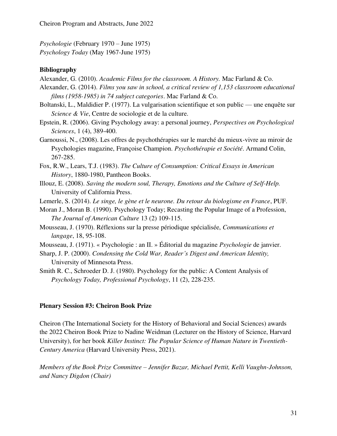*Psychologie* (February 1970 – June 1975) *Psychology Today* (May 1967-June 1975)

#### **Bibliography**

- Alexander, G. (2010). *Academic Films for the classroom. A History.* Mac Farland & Co.
- Alexander, G. (2014). *Films you saw in school, a critical review of 1,153 classroom educational films (1958-1985) in 74 subject categories*. Mac Farland & Co.
- Boltanski, L., Maldidier P. (1977). La vulgarisation scientifique et son public une enquête sur *Science & Vie*, Centre de sociologie et de la culture.
- Epstein, R. (2006). Giving Psychology away: a personal journey, *Perspectives on Psychological Sciences*, 1 (4), 389-400.
- Garnoussi, N., (2008). Les offres de psychothérapies sur le marché du mieux-vivre au miroir de Psychologies magazine, Françoise Champion. *Psychothérapie et Société*. Armand Colin, 267-285.
- Fox, R.W., Lears, T.J. (1983). *The Culture of Consumption: Critical Essays in American History*, 1880-1980, Pantheon Books.
- Illouz, E. (2008). *Saving the modern soul, Therapy, Emotions and the Culture of Self-Help.*  University of California Press.
- Lemerle, S. (2014). *Le singe, le gène et le neurone. Du retour du biologisme en France*, PUF.
- Moran J., Moran B. (1990). Psychology Today; Recasting the Popular Image of a Profession, *The Journal of American Culture* 13 (2) 109-115.
- Mousseau, J. (1970). Réflexions sur la presse périodique spécialisée, *Communications et langage*, 18, 95-108.
- Mousseau, J. (1971). « Psychologie : an II. » Éditorial du magazine *Psychologie* de janvier.
- Sharp, J. P. (2000). *Condensing the Cold War, Reader's Digest and American Identity,*  University of Minnesota Press.
- Smith R. C., Schroeder D. J. (1980). Psychology for the public: A Content Analysis of *Psychology Today, Professional Psychology*, 11 (2), 228-235.

### <span id="page-30-0"></span>**Plenary Session #3: Cheiron Book Prize**

Cheiron (The International Society for the History of Behavioral and Social Sciences) awards the 2022 Cheiron Book Prize to Nadine Weidman (Lecturer on the History of Science, Harvard University), for her book *Killer Instinct: The Popular Science of Human Nature in Twentieth-Century America* (Harvard University Press, 2021).

*Members of the Book Prize Committee – Jennifer Bazar, Michael Pettit, Kelli Vaughn-Johnson, and Nancy Digdon (Chair)*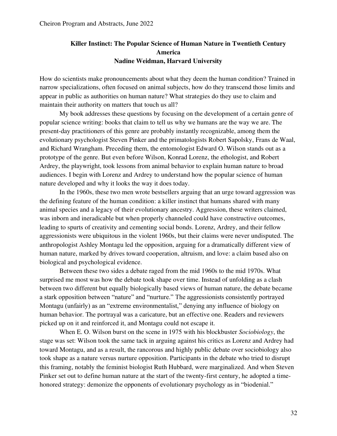### **Killer Instinct: The Popular Science of Human Nature in Twentieth Century America Nadine Weidman, Harvard University**

How do scientists make pronouncements about what they deem the human condition? Trained in narrow specializations, often focused on animal subjects, how do they transcend those limits and appear in public as authorities on human nature? What strategies do they use to claim and maintain their authority on matters that touch us all?

 My book addresses these questions by focusing on the development of a certain genre of popular science writing: books that claim to tell us why we humans are the way we are. The present-day practitioners of this genre are probably instantly recognizable, among them the evolutionary psychologist Steven Pinker and the primatologists Robert Sapolsky, Frans de Waal, and Richard Wrangham. Preceding them, the entomologist Edward O. Wilson stands out as a prototype of the genre. But even before Wilson, Konrad Lorenz, the ethologist, and Robert Ardrey, the playwright, took lessons from animal behavior to explain human nature to broad audiences. I begin with Lorenz and Ardrey to understand how the popular science of human nature developed and why it looks the way it does today.

 In the 1960s, these two men wrote bestsellers arguing that an urge toward aggression was the defining feature of the human condition: a killer instinct that humans shared with many animal species and a legacy of their evolutionary ancestry. Aggression, these writers claimed, was inborn and ineradicable but when properly channeled could have constructive outcomes, leading to spurts of creativity and cementing social bonds. Lorenz, Ardrey, and their fellow aggressionists were ubiquitous in the violent 1960s, but their claims were never undisputed. The anthropologist Ashley Montagu led the opposition, arguing for a dramatically different view of human nature, marked by drives toward cooperation, altruism, and love: a claim based also on biological and psychological evidence.

 Between these two sides a debate raged from the mid 1960s to the mid 1970s. What surprised me most was how the debate took shape over time. Instead of unfolding as a clash between two different but equally biologically based views of human nature, the debate became a stark opposition between "nature" and "nurture." The aggressionists consistently portrayed Montagu (unfairly) as an "extreme environmentalist," denying any influence of biology on human behavior. The portrayal was a caricature, but an effective one. Readers and reviewers picked up on it and reinforced it, and Montagu could not escape it.

 When E. O. Wilson burst on the scene in 1975 with his blockbuster *Sociobiology*, the stage was set: Wilson took the same tack in arguing against his critics as Lorenz and Ardrey had toward Montagu, and as a result, the rancorous and highly public debate over sociobiology also took shape as a nature versus nurture opposition. Participants in the debate who tried to disrupt this framing, notably the feminist biologist Ruth Hubbard, were marginalized. And when Steven Pinker set out to define human nature at the start of the twenty-first century, he adopted a timehonored strategy: demonize the opponents of evolutionary psychology as in "biodenial."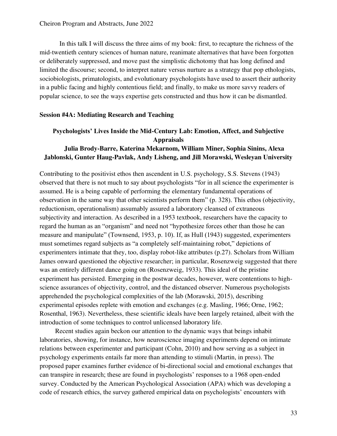In this talk I will discuss the three aims of my book: first, to recapture the richness of the mid-twentieth century sciences of human nature, reanimate alternatives that have been forgotten or deliberately suppressed, and move past the simplistic dichotomy that has long defined and limited the discourse; second, to interpret nature versus nurture as a strategy that pop ethologists, sociobiologists, primatologists, and evolutionary psychologists have used to assert their authority in a public facing and highly contentious field; and finally, to make us more savvy readers of popular science, to see the ways expertise gets constructed and thus how it can be dismantled.

#### <span id="page-32-0"></span>**Session #4A: Mediating Research and Teaching**

### **Psychologists' Lives Inside the Mid-Century Lab: Emotion, Affect, and Subjective Appraisals**

### **Julia Brody-Barre, Katerina Mekarnom, William Miner, Sophia Sinins, Alexa Jablonski, Gunter Haug-Pavlak, Andy Lisheng, and Jill Morawski, Wesleyan University**

Contributing to the positivist ethos then ascendent in U.S. psychology, S.S. Stevens (1943) observed that there is not much to say about psychologists "for in all science the experimenter is assumed. He is a being capable of performing the elementary fundamental operations of observation in the same way that other scientists perform them" (p. 328). This ethos (objectivity, reductionism, operationalism) assumably assured a laboratory cleansed of extraneous subjectivity and interaction. As described in a 1953 textbook, researchers have the capacity to regard the human as an "organism" and need not "hypothesize forces other than those he can measure and manipulate" (Townsend, 1953, p. 10). If, as Hull (1943) suggested, experimenters must sometimes regard subjects as "a completely self-maintaining robot," depictions of experimenters intimate that they, too, display robot-like attributes (p.27). Scholars from William James onward questioned the objective researcher; in particular, Rosenzweig suggested that there was an entirely different dance going on (Rosenzweig, 1933). This ideal of the pristine experiment has persisted. Emerging in the postwar decades, however, were contentions to highscience assurances of objectivity, control, and the distanced observer. Numerous psychologists apprehended the psychological complexities of the lab (Morawski, 2015), describing experimental episodes replete with emotion and exchanges (e.g. Masling, 1966; Orne, 1962; Rosenthal, 1963). Nevertheless, these scientific ideals have been largely retained, albeit with the introduction of some techniques to control unlicensed laboratory life.

Recent studies again beckon our attention to the dynamic ways that beings inhabit laboratories, showing, for instance, how neuroscience imaging experiments depend on intimate relations between experimenter and participant (Cohn, 2010) and how serving as a subject in psychology experiments entails far more than attending to stimuli (Martin, in press). The proposed paper examines further evidence of bi-directional social and emotional exchanges that can transpire in research; these are found in psychologists' responses to a 1968 open-ended survey. Conducted by the American Psychological Association (APA) which was developing a code of research ethics, the survey gathered empirical data on psychologists' encounters with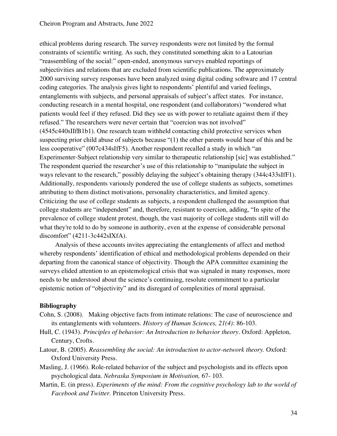ethical problems during research. The survey respondents were not limited by the formal constraints of scientific writing. As such, they constituted something akin to a Latourian "reassembling of the social:" open-ended, anonymous surveys enabled reportings of subjectivities and relations that are excluded from scientific publications. The approximately 2000 surviving survey responses have been analyzed using digital coding software and 17 central coding categories. The analysis gives light to respondents' plentiful and varied feelings, entanglements with subjects, and personal appraisals of subject's affect states. For instance, conducting research in a mental hospital, one respondent (and collaborators) "wondered what patients would feel if they refused. Did they see us with power to retaliate against them if they refused." The researchers were never certain that "coercion was not involved" (4545c440sIIfB1b1). One research team withheld contacting child protective services when suspecting prior child abuse of subjects because "(1) the other parents would hear of this and be less cooperative" (007c434sIfF5). Another respondent recalled a study in which "an Experimenter-Subject relationship very similar to therapeutic relationship [sic] was established." The respondent queried the researcher's use of this relationship to "manipulate the subject in ways relevant to the research," possibly delaying the subject's obtaining therapy (344c433sIfF1). Additionally, respondents variously pondered the use of college students as subjects, sometimes attributing to them distinct motivations, personality characteristics, and limited agency. Criticizing the use of college students as subjects, a respondent challenged the assumption that college students are "independent" and, therefore, resistant to coercion, adding, "In spite of the prevalence of college student protest, though, the vast majority of college students still will do what they're told to do by someone in authority, even at the expense of considerable personal discomfort" (4211-3c442sIXfA).

Analysis of these accounts invites appreciating the entanglements of affect and method whereby respondents' identification of ethical and methodological problems depended on their departing from the canonical stance of objectivity. Though the APA committee examining the surveys elided attention to an epistemological crisis that was signaled in many responses, more needs to be understood about the science's continuing, resolute commitment to a particular epistemic notion of "objectivity" and its disregard of complexities of moral appraisal.

### **Bibliography**

- Cohn, S. (2008). Making objective facts from intimate relations: The case of neuroscience and its entanglements with volunteers. *History of Human Sciences, 21(4)*: 86-103.
- Hull, C. (1943). *Principles of behavior: An Introduction to behavior theory*. Oxford: Appleton, Century, Crofts.
- Latour, B. (2005). *Reassembling the social: An introduction to actor-network theory.* Oxford: Oxford University Press.
- Masling, J. (1966). Role-related behavior of the subject and psychologists and its effects upon psychological data. *Nebraska Symposium in Motivation,* 67- 103.
- Martin, E. (in press). *Experiments of the mind: From the cognitive psychology lab to the world of Facebook and Twitter.* Princeton University Press.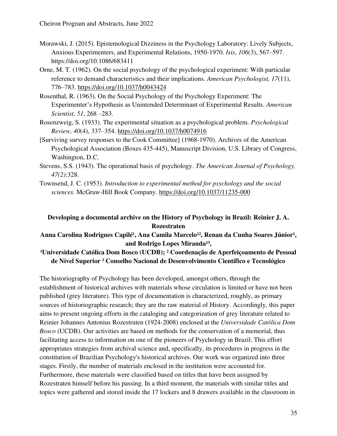- Morawski, J. (2015). Epistemological Dizziness in the Psychology Laboratory: Lively Subjects, Anxious Experimenters, and Experimental Relations, 1950-1970. *Isis*, *106*(3), 567–597. https://doi.org/10.1086/683411
- Orne, M. T. (1962). On the social psychology of the psychological experiment: With particular reference to demand characteristics and their implications. *American Psychologist, 17*(11), 776–783. [https://doi.org/10.1037/h0043424](https://psycnet.apa.org/doi/10.1037/h0043424)
- Rosenthal, R. (1963). On the Social Psychology of the Psychology Experiment: The Experimenter's Hypothesis as Unintended Determinant of Experimental Results. *American Scientist, 51*, 268 –283.
- Rosenzweig, S. (1933). The experimental situation as a psychological problem. *Psychological Review, 40*(4), 337–354. [https://doi.org/10.1037/h0074916](https://psycnet.apa.org/doi/10.1037/h0074916)
- [Surviving survey responses to the Cook Committee] (1968-1970). Archives of the American Psychological Association (Boxes 435-445), Manuscript Division, U.S. Library of Congress, Washington, D.C.
- Stevens, S.S. (1943). The operational basis of psychology. *The American Journal of Psychology, 47(2)*:328.
- Townsend, J. C. (1953). *Introduction to experimental method for psychology and the social sciences.* McGraw-Hill Book Company. [https://doi.org/10.1037/11235-000](https://psycnet.apa.org/doi/10.1037/11235-000)

# **Developing a documental archive on the History of Psychology in Brazil: Reinier J. A. Rozestraten**

Anna Carolina Rodrigues Capilé<sup>1</sup>, Ana Camila Marcelo<sup>12</sup>, Renan da Cunha Soares Júnior<sup>1</sup>, and Rodrigo Lopes Miranda<sup>13</sup>,

# <sup>1</sup>Universidade Católica Dom Bosco (UCDB); <sup>2</sup> Coordenação de Aperfeiçoamento de Pessoal **de Nível Superior ³ Conselho Nacional de Desenvolvimento Científico e Tecnológico**

The historiography of Psychology has been developed, amongst others, through the establishment of historical archives with materials whose circulation is limited or have not been published (grey literature). This type of documentation is characterized, roughly, as primary sources of historiographic research; they are the raw material of History. Accordingly, this paper aims to present ongoing efforts in the cataloging and categorization of grey literature related to Reinier Johannes Antonius Rozestraten (1924-2008) enclosed at the *Universidade Católica Dom Bosco* (UCDB). Our activities are based on methods for the conservation of a memorial, thus facilitating access to information on one of the pioneers of Psychology in Brazil. This effort appropriates strategies from archival science and, specifically, its procedures in progress in the constitution of Brazilian Psychology's historical archives. Our work was organized into three stages. Firstly, the number of materials enclosed in the institution were accounted for. Furthermore, these materials were classified based on titles that have been assigned by Rozestraten himself before his passing. In a third moment, the materials with similar titles and topics were gathered and stored inside the 17 lockers and 8 drawers available in the classroom in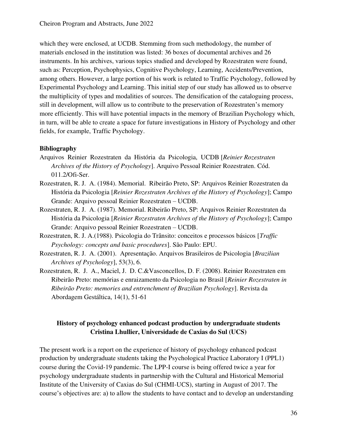which they were enclosed, at UCDB. Stemming from such methodology, the number of materials enclosed in the institution was listed: 36 boxes of documental archives and 26 instruments. In his archives, various topics studied and developed by Rozestraten were found, such as: Perception, Psychophysics, Cognitive Psychology, Learning, Accidents/Prevention, among others. However, a large portion of his work is related to Traffic Psychology, followed by Experimental Psychology and Learning. This initial step of our study has allowed us to observe the multiplicity of types and modalities of sources. The densification of the cataloguing process, still in development, will allow us to contribute to the preservation of Rozestraten's memory more efficiently. This will have potential impacts in the memory of Brazilian Psychology which, in turn, will be able to create a space for future investigations in History of Psychology and other fields, for example, Traffic Psychology.

### **Bibliography**

- Arquivos Reinier Rozestraten da História da Psicologia, UCDB [*Reinier Rozestraten Archives of the History of Psychology*]. Arquivo Pessoal Reinier Rozestraten. Cód. 011.2/Ofi-Ser.
- Rozestraten, R. J. A. (1984). Memorial. Ribeirão Preto, SP: Arquivos Reinier Rozestraten da História da Psicologia [*Reinier Rozestraten Archives of the History of Psychology*]; Campo Grande: Arquivo pessoal Reinier Rozestraten – UCDB.
- Rozestraten, R. J. A. (1987). Memorial. Ribeirão Preto, SP: Arquivos Reinier Rozestraten da História da Psicologia [*Reinier Rozestraten Archives of the History of Psychology*]; Campo Grande: Arquivo pessoal Reinier Rozestraten – UCDB.
- Rozestraten, R. J. A.(1988). Psicologia do Trânsito: conceitos e processos básicos [*Traffic Psychology: concepts and basic procedures*]. São Paulo: EPU.
- Rozestraten, R. J. A. (2001). Apresentação. Arquivos Brasileiros de Psicologia [*Brazilian Archives of Psychology*], 53(3), 6.
- Rozestraten, R. J. A., Maciel, J. D. C.&Vasconcellos, D. F. (2008). Reinier Rozestraten em Ribeirão Preto: memórias e enraizamento da Psicologia no Brasil [*Reinier Rozestraten in Ribeirão Preto: memories and entrenchment of Brazilian Psychology*]. Revista da Abordagem Gestáltica, 14(1), 51-61

# **History of psychology enhanced podcast production by undergraduate students Cristina Lhullier, Universidade de Caxias do Sul (UCS)**

The present work is a report on the experience of history of psychology enhanced podcast production by undergraduate students taking the Psychological Practice Laboratory I (PPL1) course during the Covid-19 pandemic. The LPP-I course is being offered twice a year for psychology undergraduate students in partnership with the Cultural and Historical Memorial Institute of the University of Caxias do Sul (CHMI-UCS), starting in August of 2017. The course's objectives are: a) to allow the students to have contact and to develop an understanding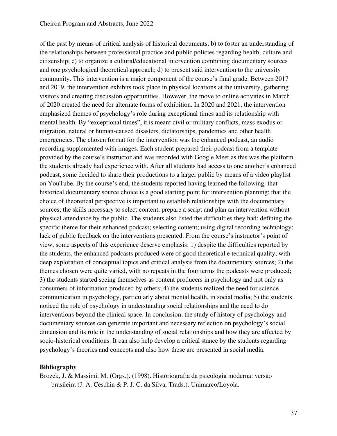of the past by means of critical analysis of historical documents; b) to foster an understanding of the relationships between professional practice and public policies regarding health, culture and citizenship; c) to organize a cultural/educational intervention combining documentary sources and one psychological theoretical approach; d) to present said intervention to the university community. This intervention is a major component of the course's final grade. Between 2017 and 2019, the intervention exhibits took place in physical locations at the university, gathering visitors and creating discussion opportunities. However, the move to online activities in March of 2020 created the need for alternate forms of exhibition. In 2020 and 2021, the intervention emphasized themes of psychology's role during exceptional times and its relationship with mental health. By "exceptional times", it is meant civil or military conflicts, mass exodus or migration, natural or human-caused disasters, dictatorships, pandemics and other health emergencies. The chosen format for the intervention was the enhanced podcast, an audio recording supplemented with images. Each student prepared their podcast from a template provided by the course's instructor and was recorded with Google Meet as this was the platform the students already had experience with. After all students had access to one another's enhanced podcast, some decided to share their productions to a larger public by means of a video playlist on YouTube. By the course's end, the students reported having learned the following: that historical documentary source choice is a good starting point for intervention planning; that the choice of theoretical perspective is important to establish relationships with the documentary sources; the skills necessary to select content, prepare a script and plan an intervention without physical attendance by the public. The students also listed the difficulties they had: defining the specific theme for their enhanced podcast; selecting content; using digital recording technology; lack of public feedback on the interventions presented. From the course's instructor's point of view, some aspects of this experience deserve emphasis: 1) despite the difficulties reported by the students, the enhanced podcasts produced were of good theoretical e technical quality, with deep exploration of conceptual topics and critical analysis from the documentary sources; 2) the themes chosen were quite varied, with no repeats in the four terms the podcasts were produced; 3) the students started seeing themselves as content producers in psychology and not only as consumers of information produced by others; 4) the students realized the need for science communication in psychology, particularly about mental health, in social media; 5) the students noticed the role of psychology in understanding social relationships and the need to do interventions beyond the clinical space. In conclusion, the study of history of psychology and documentary sources can generate important and necessary reflection on psychology's social dimension and its role in the understanding of social relationships and how they are affected by socio-historical conditions. It can also help develop a critical stance by the students regarding psychology's theories and concepts and also how these are presented in social media.

### **Bibliography**

Brozek, J. & Massimi, M. (Orgs.). (1998). Historiografia da psicologia moderna: versão brasileira (J. A. Ceschin & P. J. C. da Silva, Trads.). Unimarco/Loyola.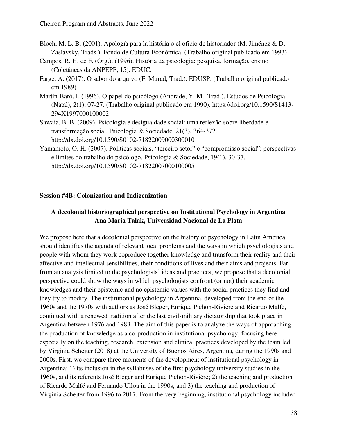- Bloch, M. L. B. (2001). Apología para la história o el oficio de historiador (M. Jiménez & D. Zaslavsky, Trads.). Fondo de Cultura Económica. (Trabalho original publicado em 1993)
- Campos, R. H. de F. (Org.). (1996). História da psicologia: pesquisa, formação, ensino (Coletâneas da ANPEPP, 15). EDUC.
- Farge, A. (2017). O sabor do arquivo (F. Murad, Trad.). EDUSP. (Trabalho original publicado em 1989)
- Martín-Baró, I. (1996). O papel do psicólogo (Andrade, Y. M., Trad.). Estudos de Psicologia (Natal), 2(1), 07-27. (Trabalho original publicado em 1990). https://doi.org/10.1590/S1413- 294X1997000100002
- Sawaia, B. B. (2009). Psicologia e desigualdade social: uma reflexão sobre liberdade e transformação social. Psicologia & Sociedade, 21(3), 364-372. http://dx.doi.org/10.1590/S0102-71822009000300010
- Yamamoto, O. H. (2007). Políticas sociais, "terceiro setor" e "compromisso social": perspectivas e limites do trabalho do psicólogo. Psicologia & Sociedade, 19(1), 30-37. <http://dx.doi.org/10.1590/S0102-71822007000100005>

### **Session #4B: Colonization and Indigenization**

## **A decolonial historiographical perspective on Institutional Psychology in Argentina Ana Maria Talak, Universidad Nacional de La Plata**

We propose here that a decolonial perspective on the history of psychology in Latin America should identifies the agenda of relevant local problems and the ways in which psychologists and people with whom they work coproduce together knowledge and transform their reality and their affective and intellectual sensibilities, their conditions of lives and their aims and projects. Far from an analysis limited to the psychologists' ideas and practices, we propose that a decolonial perspective could show the ways in which psychologists confront (or not) their academic knowledges and their epistemic and no epistemic values with the social practices they find and they try to modify. The institutional psychology in Argentina, developed from the end of the 1960s and the 1970s with authors as José Bleger, Enrique Pichon-Rivière and Ricardo Malfé, continued with a renewed tradition after the last civil-military dictatorship that took place in Argentina between 1976 and 1983. The aim of this paper is to analyze the ways of approaching the production of knowledge as a co-production in institutional psychology, focusing here especially on the teaching, research, extension and clinical practices developed by the team led by Virginia Schejter (2018) at the University of Buenos Aires, Argentina, during the 1990s and 2000s. First, we compare three moments of the development of institutional psychology in Argentina: 1) its inclusion in the syllabuses of the first psychology university studies in the 1960s, and its referents José Bleger and Enrique Pichon-Rivière; 2) the teaching and production of Ricardo Malfé and Fernando Ulloa in the 1990s, and 3) the teaching and production of Virginia Schejter from 1996 to 2017. From the very beginning, institutional psychology included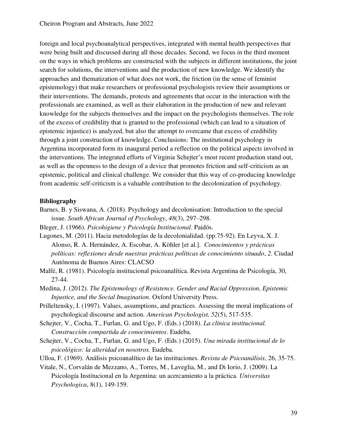foreign and local psychoanalytical perspectives, integrated with mental health perspectives that were being built and discussed during all those decades. Second, we focus in the third moment on the ways in which problems are constructed with the subjects in different institutions, the joint search for solutions, the interventions and the production of new knowledge. We identify the approaches and thematization of what does not work, the friction (in the sense of feminist epistemology) that make researchers or professional psychologists review their assumptions or their interventions. The demands, protests and agreements that occur in the interaction with the professionals are examined, as well as their elaboration in the production of new and relevant knowledge for the subjects themselves and the impact on the psychologists themselves. The role of the excess of credibility that is granted to the professional (which can lead to a situation of epistemic injustice) is analyzed, but also the attempt to overcame that excess of credibility through a joint construction of knowledge. Conclusions: The institutional psychology in Argentina incorporated form its inaugural period a reflection on the political aspects involved in the interventions. The integrated efforts of Virginia Schejter's most recent production stand out, as well as the openness to the design of a device that promotes friction and self-criticism as an epistemic, political and clinical challenge. We consider that this way of co-producing knowledge from academic self-criticism is a valuable contribution to the decolonization of psychology.

- Barnes, B. y Siswana, A. (2018). Psychology and decolonisation: Introduction to the special issue. *South African Journal of Psychology*, *48*(3), 297–298.
- Bleger, J. (1966). *Psicohigiene y Psicología Institucional*. Paidós.
- Lugones, M. (2011). Hacia metodologías de la decolonialidad. (pp.75-92). En Leyva, X. J. Alonso, R. A. Hernández, A. Escobar, A. Köhler [et al.]. *Conocimientos y prácticas políticas: reflexiones desde nuestras prácticas políticas de conocimiento situado*, *2*. Ciudad Autónoma de Buenos Aires: CLACSO
- Malfé, R. (1981). Psicología institucional psicoanalítica. Revista Argentina de Psicología, 30, 27-44.
- Medina, J. (2012). *The Epistemology of Resistence. Gender and Racial Oppression, Epistemic Injustice, and the Social Imagination*. Oxford University Press.
- Prilleltensky, I. (1997). Values, assumptions, and practices. Assessing the moral implications of psychological discourse and action*. American Psychologist, 52*(5), 517-535.
- Schejter, V., Cocha, T., Furlan, G. and Ugo, F. (Eds.) (2018). *La clínica institucional. Construcción compartida de conocimientos*. Eudeba.
- Schejter, V., Cocha, T., Furlan, G. and Ugo, F. (Eds.) (2015). *Una mirada institucional de lo psicológico: la alteridad en nosotros.* Eudeba.
- Ulloa, F. (1969). Análisis psicoanalítico de las instituciones. *Revista de Psicoanálisis*, 26, 35-75.
- Vitale, N., Corvalán de Mezzano, A., Torres, M., Laveglia, M., and Di Iorio, J. (2009). La Psicología Institucional en la Argentina: un acercamiento a la práctica. *Universitas Psychologica*, 8(1), 149-159.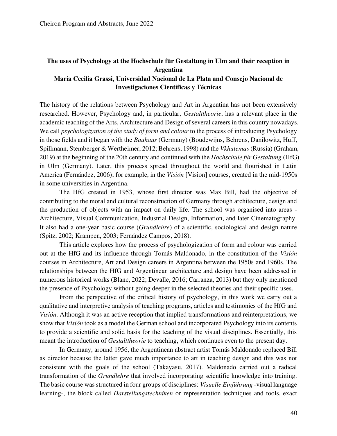## **The uses of Psychology at the Hochschule für Gestaltung in Ulm and their reception in Argentina**

## **Maria Cecilia Grassi, Universidad Nacional de La Plata and Consejo Nacional de Investigaciones Científicas y Técnicas**

The history of the relations between Psychology and Art in Argentina has not been extensively researched. However, Psychology and, in particular, *Gestalttheorie*, has a relevant place in the academic teaching of the Arts, Architecture and Design of several careers in this country nowadays. We call *psychologization of the study of form and colour* to the process of introducing Psychology in those fields and it began with the *Bauhaus* (Germany) (Boudewijns, Behrens, Danilowitz, Huff, Spillmann, Stemberger & Wertheimer, 2012; Behrens, 1998) and the *Vkhutemas* (Russia) (Graham, 2019) at the beginning of the 20th century and continued with the *Hochschule für Gestaltung* (HfG) in Ulm (Germany). Later, this process spread throughout the world and flourished in Latin America (Fernández, 2006); for example, in the *Visión* [Vision] courses, created in the mid-1950s in some universities in Argentina.

The HfG created in 1953, whose first director was Max Bill, had the objective of contributing to the moral and cultural reconstruction of Germany through architecture, design and the production of objects with an impact on daily life. The school was organised into areas - Architecture, Visual Communication, Industrial Design, Information, and later Cinematography. It also had a one-year basic course (*Grundlehre*) of a scientific, sociological and design nature (Spitz, 2002; Krampen, 2003; Fernández Campos, 2018).

This article explores how the process of psychologization of form and colour was carried out at the HfG and its influence through Tomás Maldonado, in the constitution of the *Visión* courses in Architecture, Art and Design careers in Argentina between the 1950s and 1960s. The relationships between the HfG and Argentinean architecture and design have been addressed in numerous historical works (Blanc, 2022; Devalle, 2016; Carranza, 2013) but they only mentioned the presence of Psychology without going deeper in the selected theories and their specific uses.

From the perspective of the critical history of psychology, in this work we carry out a qualitative and interpretive analysis of teaching programs, articles and testimonies of the HfG and *Visión*. Although it was an active reception that implied transformations and reinterpretations, we show that *Visión* took as a model the German school and incorporated Psychology into its contents to provide a scientific and solid basis for the teaching of the visual disciplines. Essentially, this meant the introduction of *Gestalttheorie* to teaching, which continues even to the present day.

In Germany, around 1956, the Argentinean abstract artist Tomás Maldonado replaced Bill as director because the latter gave much importance to art in teaching design and this was not consistent with the goals of the school (Takayasu, 2017). Maldonado carried out a radical transformation of the *Grundlehre* that involved incorporating scientific knowledge into training. The basic course was structured in four groups of disciplines: *Visuelle Einführung* -visual language learning-, the block called *Darstellungstechniken* or representation techniques and tools, exact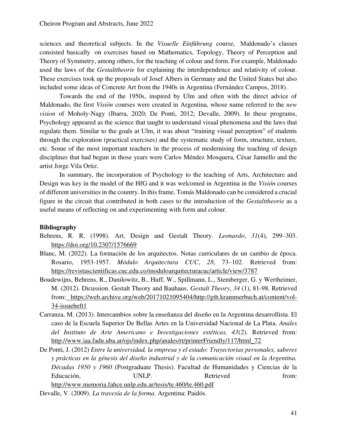sciences and theoretical subjects. In the *Visuelle Einführung* course, Maldonado's classes consisted basically on exercises based on Mathematics, Topology, Theory of Perception and Theory of Symmetry, among others, for the teaching of colour and form. For example, Maldonado used the laws of the *Gestalttheorie* for explaining the interdependence and relativity of colour. These exercises took up the proposals of Josef Albers in Germany and the United States but also included some ideas of Concrete Art from the 1940s in Argentina (Fernández Campos, 2018).

Towards the end of the 1950s, inspired by Ulm and often with the direct advice of Maldonado, the first *Visión* courses were created in Argentina, whose name referred to the *new vision* of Moholy-Nagy (Ibarra, 2020; De Ponti, 2012; Devalle, 2009). In these programs, Psychology appeared as the science that taught to understand visual phenomena and the laws that regulate them. Similar to the goals at Ulm, it was about "training visual perception" of students through the exploration (practical exercises) and the systematic study of form, structure, texture, etc. Some of the most important teachers in the process of modernising the teaching of design disciplines that had begun in those years were Carlos Méndez Mosquera, César Jannello and the artist Jorge Vila Ortiz.

In summary, the incorporation of Psychology to the teaching of Arts, Architecture and Design was key in the model of the HfG and it was welcomed in Argentina in the *Visión* courses of different universities in the country. In this frame, Tomás Maldonado can be considered a crucial figure in the circuit that contributed in both cases to the introduction of the *Gestalttheorie* as a useful means of reflecting on and experimenting with form and colour.

- Behrens, R. R. (1998). Art, Design and Gestalt Theory. *Leonardo*, *31*(4), 299–303[.](https://doi.org/10.2307/1576669)  <https://doi.org/10.2307/1576669>
- Blanc, M. (2022). La formación de los arquitectos. Notas curriculares de un cambio de época. Rosario, 1953-1957*. Módulo Arquitectura CUC*, *28*, 73–102. Retrieved from[:](https://revistascientificas.cuc.edu.co/moduloarquitecturacuc/article/view/3787)  <https://revistascientificas.cuc.edu.co/moduloarquitecturacuc/article/view/3787>
- Boudewijns, Behrens, R., Danilowitz, B., Huff, W., Spillmann, L., Stemberger, G. y Wertheimer, M. (2012). Dicussion. Gestalt Theory and Bauhaus. *Gestalt Theory*, *34* (1), 81-98. Retrieved from[: https://web.archive.org/web/20171021095404/http://gth.krammerbuch.at/content/vol-](https://web.archive.org/web/20171021095404/http:/gth.krammerbuch.at/content/vol-34-issueheft1)[34-issueheft1](https://web.archive.org/web/20171021095404/http:/gth.krammerbuch.at/content/vol-34-issueheft1)
- Carranza, M. (2013). Intercambios sobre la enseñanza del diseño en la Argentina desarrollista. El caso de la Escuela Superior De Bellas Artes en la Universidad Nacional de La Plata. *Anales del Instituto de Arte Americano e Investigaciones estéticas, 43*(2). Retrieved from[:](http://www.iaa.fadu.uba.ar/ojs/index.php/anales/rt/printerFriendly/117/html_72)  [http://www.iaa.fadu.uba.ar/ojs/index.php/anales/rt/printerFriendly/117/html\\_72](http://www.iaa.fadu.uba.ar/ojs/index.php/anales/rt/printerFriendly/117/html_72)
- De Ponti, J. (2012) *Entre la universidad, la empresa y el estado: Trayectorias personales, saberes y prácticas en la génesis del diseño industrial y de la comunicación visual en la Argentina. Décadas 1950 y 1960* (Postgraduate Thesis). Facultad de Humanidades y Ciencias de la Educación, UNLP. Retrieved from: <http://www.memoria.fahce.unlp.edu.ar/tesis/te.460/te.460.pdf>

Devalle, V. (2009). *La travesía de la forma*. Argentina: Paidós.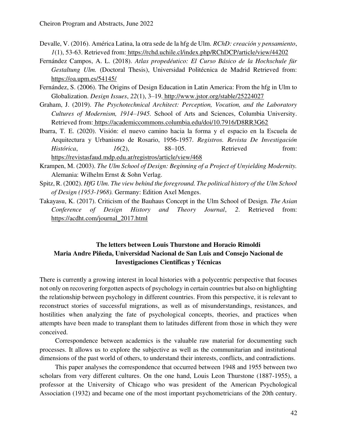- Devalle, V. (2016). América Latina, la otra sede de la hfg de Ulm. *RChD: creación y pensamiento*, *1*(1), 53-63. Retrieved from[: https://rchd.uchile.cl/index.php/RChDCP/article/view/44202](https://rchd.uchile.cl/index.php/RChDCP/article/view/44202)
- Fernández Campos, A. L. (2018). *Atlas propedéutico: El Curso Básico de la Hochschule für Gestaltung Ulm.* (Doctoral Thesis), Universidad Politécnica de Madrid Retrieved from[:](https://oa.upm.es/54145/)  <https://oa.upm.es/54145/>
- Fernández, S. (2006). The Origins of Design Education in Latin America: From the hfg in Ulm to Globalization. *Design Issues*, *22*(1), 3–19[. http://www.jstor.org/stable/25224027](http://www.jstor.org/stable/25224027)
- Graham, J. (2019). *The Psychotechnical Architect: Perception, Vocation, and the Laboratory Cultures of Modernism, 1914–1945.* School of Arts and Sciences, Columbia University. Retrieved from[: https://academiccommons.columbia.edu/doi/10.7916/D8RR3G62](https://academiccommons.columbia.edu/doi/10.7916/D8RR3G62)
- Ibarra, T. E. (2020). Visión: el nuevo camino hacia la forma y el espacio en la Escuela de Arquitectura y Urbanismo de Rosario, 1956-1957. *Registros. Revista De Investigación Histórica*, *16*(2), 88–105. Retrieved from: <https://revistasfaud.mdp.edu.ar/registros/article/view/468>
- Krampen, M. (2003). *The Ulm School of Design: Beginning of a Project of Unyielding Modernity.*  Alemania: Wilhelm Ernst & Sohn Verlag.
- Spitz, R. (2002). *HfG Ulm. The view behind the foreground. The political history of the Ulm School of Design (1953-1968).* Germany: Edition Axel Menges.
- Takayasu, K. (2017). Criticism of the Bauhaus Concept in the Ulm School of Design. *The Asian Conference of Design History and Theory Journal*, *2*. Retrieved from: [https://acdht.com/journal\\_2017.html](https://acdht.com/journal_2017.html)

## **The letters between Louis Thurstone and Horacio Rimoldi Maria Andre Piñeda, Universidad Nacional de San Luis and Consejo Nacional de Investigaciones Científicas y Técnicas**

There is currently a growing interest in local histories with a polycentric perspective that focuses not only on recovering forgotten aspects of psychology in certain countries but also on highlighting the relationship between psychology in different countries. From this perspective, it is relevant to reconstruct stories of successful migrations, as well as of misunderstandings, resistances, and hostilities when analyzing the fate of psychological concepts, theories, and practices when attempts have been made to transplant them to latitudes different from those in which they were conceived.

Correspondence between academics is the valuable raw material for documenting such processes. It allows us to explore the subjective as well as the communitarian and institutional dimensions of the past world of others, to understand their interests, conflicts, and contradictions.

This paper analyses the correspondence that occurred between 1948 and 1955 between two scholars from very different cultures. On the one hand, Louis Leon Thurstone (1887-1955), a professor at the University of Chicago who was president of the American Psychological Association (1932) and became one of the most important psychometricians of the 20th century.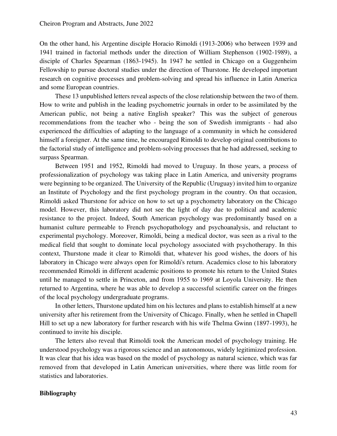On the other hand, his Argentine disciple Horacio Rimoldi (1913-2006) who between 1939 and 1941 trained in factorial methods under the direction of William Stephenson (1902-1989), a disciple of Charles Spearman (1863-1945). In 1947 he settled in Chicago on a Guggenheim Fellowship to pursue doctoral studies under the direction of Thurstone. He developed important research on cognitive processes and problem-solving and spread his influence in Latin America and some European countries.

These 13 unpublished letters reveal aspects of the close relationship between the two of them. How to write and publish in the leading psychometric journals in order to be assimilated by the American public, not being a native English speaker? This was the subject of generous recommendations from the teacher who - being the son of Swedish immigrants - had also experienced the difficulties of adapting to the language of a community in which he considered himself a foreigner. At the same time, he encouraged Rimoldi to develop original contributions to the factorial study of intelligence and problem-solving processes that he had addressed, seeking to surpass Spearman.

Between 1951 and 1952, Rimoldi had moved to Uruguay. In those years, a process of professionalization of psychology was taking place in Latin America, and university programs were beginning to be organized. The University of the Republic (Uruguay) invited him to organize an Institute of Psychology and the first psychology program in the country. On that occasion, Rimoldi asked Thurstone for advice on how to set up a psychometry laboratory on the Chicago model. However, this laboratory did not see the light of day due to political and academic resistance to the project. Indeed, South American psychology was predominantly based on a humanist culture permeable to French psychopathology and psychoanalysis, and reluctant to experimental psychology. Moreover, Rimoldi, being a medical doctor, was seen as a rival to the medical field that sought to dominate local psychology associated with psychotherapy. In this context, Thurstone made it clear to Rimoldi that, whatever his good wishes, the doors of his laboratory in Chicago were always open for Rimoldi's return. Academics close to his laboratory recommended Rimoldi in different academic positions to promote his return to the United States until he managed to settle in Princeton, and from 1955 to 1969 at Loyola University. He then returned to Argentina, where he was able to develop a successful scientific career on the fringes of the local psychology undergraduate programs.

In other letters, Thurstone updated him on his lectures and plans to establish himself at a new university after his retirement from the University of Chicago. Finally, when he settled in Chapell Hill to set up a new laboratory for further research with his wife Thelma Gwinn (1897-1993), he continued to invite his disciple.

The letters also reveal that Rimoldi took the American model of psychology training. He understood psychology was a rigorous science and an autonomous, widely legitimized profession. It was clear that his idea was based on the model of psychology as natural science, which was far removed from that developed in Latin American universities, where there was little room for statistics and laboratories.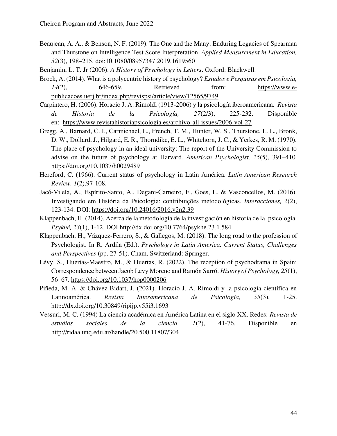- Beaujean, A. A., & Benson, N. F. (2019). The One and the Many: Enduring Legacies of Spearman and Thurstone on Intelligence Test Score Interpretation. *Applied Measurement in Education, 32*(3), 198–215. doi:10.1080/08957347.2019.1619560
- Benjamin, L. T. Jr (2006). *A History of Psychology in Letters*. Oxford: Blackwell.
- Brock, A. (2014). What is a polycentric history of psychology? *Estudos e Pesquisas em Psicologia, 14*(2), 646-659. Retrieved from: [https://www.e](https://www.e-publicacoes.uerj.br/index.php/revispsi/article/view/12565/9749)[publicacoes.uerj.br/index.php/revispsi/article/view/12565/9749](https://www.e-publicacoes.uerj.br/index.php/revispsi/article/view/12565/9749)
- Carpintero, H. (2006). Horacio J. A. Rimoldi (1913-2006) y la psicología iberoamericana. *Revista de Historia de la Psicología, 27*(2/3), 225-232. Disponible en: <https://www.revistahistoriapsicologia.es/archivo-all-issues/2006-vol-27>
- Gregg, A., Barnard, C. I., Carmichael, L., French, T. M., Hunter, W. S., Thurstone, L. L., Bronk, D. W., Dollard, J., Hilgard, E. R., Thorndike, E. L., Whitehorn, J. C., & Yerkes, R. M. (1970). The place of psychology in an ideal university: The report of the University Commission to advise on the future of psychology at Harvard. *American Psychologist, 25*(5), 391–410. <https://doi.org/10.1037/h0029489>
- Hereford, C. (1966). Current status of psychology in Latin América. *Latin American Research Review, 1*(2),97-108.
- Jacó-Vilela, A., Espírito-Santo, A., Degani-Carneiro, F., Goes, L. & Vasconcellos, M. (2016). Investigando em História da Psicologia: contribuições metodológicas. *Interacciones, 2*(2), 123-134. DOI: <https://doi.org/10.24016/2016.v2n2.39>
- Klappenbach, H. (2014). Acerca de la metodología de la investigación en historia de la psicología. *Psykhé, 23*(1), 1-12. DOI http://dx.doi.org/10.7764/psykhe.23.1.584
- Klappenbach, H., Vázquez-Ferrero, S., & Gallegos, M. (2018). The long road to the profession of Psychologist. In R. Ardila (Ed.), *Psychology in Latin America. Current Status, Challenges and Perspectives* (pp. 27-51). Cham, Switzerland: Springer.
- Lévy, S., Huertas-Maestro, M., & Huertas, R. (2022). The reception of psychodrama in Spain: Correspondence between Jacob Levy Moreno and Ramón Sarró. *History of Psychology, 25*(1), 56–67. [https://doi.org/10.1037/hop0000206](https://psycnet.apa.org/doi/10.1037/hop0000206)
- Piñeda, M. A. & Chávez Bidart, J. (2021). Horacio J. A. Rimoldi y la psicología científica en Latinoamérica. *Revista Interamericana de Psicología, 55*(3), 1-25. <http://dx.doi.org/10.30849/ripijp.v55i3.1693>
- Vessuri, M. C. (1994) La ciencia académica en América Latina en el siglo XX. Redes: *Revista de estudios sociales de la ciencia, 1*(2), 41-76. Disponible en <http://ridaa.unq.edu.ar/handle/20.500.11807/304>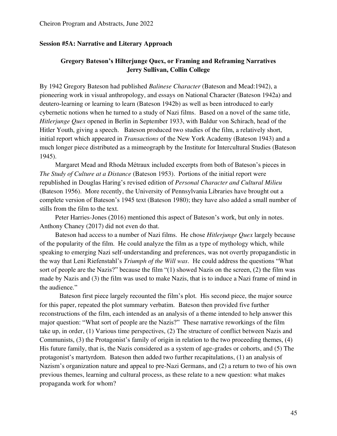### **Session #5A: Narrative and Literary Approach**

## **Gregory Bateson's Hilterjunge Quex, or Framing and Reframing Narratives Jerry Sullivan, Collin College**

By 1942 Gregory Bateson had published *Balinese Character* (Bateson and Mead:1942), a pioneering work in visual anthropology, and essays on National Character (Bateson 1942a) and deutero-learning or learning to learn (Bateson 1942b) as well as been introduced to early cybernetic notions when he turned to a study of Nazi films. Based on a novel of the same title, *Hitlerjunge Quex* opened in Berlin in September 1933, with Baldur von Schirach, head of the Hitler Youth, giving a speech. Bateson produced two studies of the film, a relatively short, initial report which appeared in *Transactions* of the New York Academy (Bateson 1943) and a much longer piece distributed as a mimeograph by the Institute for Intercultural Studies (Bateson 1945).

Margaret Mead and Rhoda Métraux included excerpts from both of Bateson's pieces in *The Study of Culture at a Distance* (Bateson 1953).Portions of the initial report were republished in Douglas Haring's revised edition of *Personal Character and Cultural Milieu*  (Bateson 1956). More recently, the University of Pennsylvania Libraries have brought out a complete version of Bateson's 1945 text (Bateson 1980); they have also added a small number of stills from the film to the text.

Peter Harries-Jones (2016) mentioned this aspect of Bateson's work, but only in notes. Anthony Chaney (2017) did not even do that.

Bateson had access to a number of Nazi films. He chose *Hitlerjunge Quex* largely because of the popularity of the film. He could analyze the film as a type of mythology which, while speaking to emerging Nazi self-understanding and preferences, was not overtly propagandistic in the way that Leni Riefenstahl's *Triumph of the Will was*. He could address the questions "What sort of people are the Nazis?" because the film "(1) showed Nazis on the screen, (2) the film was made by Nazis and (3) the film was used to make Nazis, that is to induce a Nazi frame of mind in the audience."

Bateson first piece largely recounted the film's plot. His second piece, the major source for this paper, repeated the plot summary verbatim. Bateson then provided five further reconstructions of the film, each intended as an analysis of a theme intended to help answer this major question: "What sort of people are the Nazis?" These narrative reworkings of the film take up, in order, (1) Various time perspectives, (2) The structure of conflict between Nazis and Communists, (3) the Protagonist's family of origin in relation to the two proceeding themes, (4) His future family, that is, the Nazis considered as a system of age-grades or cohorts, and (5) The protagonist's martyrdom. Bateson then added two further recapitulations, (1) an analysis of Nazism's organization nature and appeal to pre-Nazi Germans, and (2) a return to two of his own previous themes, learning and cultural process, as these relate to a new question: what makes propaganda work for whom?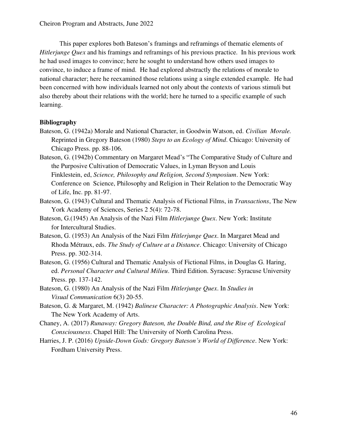This paper explores both Bateson's framings and reframings of thematic elements of *Hitlerjunge Quex* and his framings and reframings of his previous practice. In his previous work he had used images to convince; here he sought to understand how others used images to convince, to induce a frame of mind. He had explored abstractly the relations of morale to national character; here he reexamined those relations using a single extended example. He had been concerned with how individuals learned not only about the contexts of various stimuli but also thereby about their relations with the world; here he turned to a specific example of such learning.

- Bateson, G. (1942a) Morale and National Character, in Goodwin Watson, ed. *Civilian Morale.*  Reprinted in Gregory Bateson (1980) *Steps to an Ecology of Mind*. Chicago: University of Chicago Press. pp. 88-106.
- Bateson, G. (1942b) Commentary on Margaret Mead's "The Comparative Study of Culture and the Purposive Cultivation of Democratic Values, in Lyman Bryson and Louis Finklestein, ed, *Science, Philosophy and Religion, Second Symposium*. New York: Conference on Science, Philosophy and Religion in Their Relation to the Democratic Way of Life, Inc. pp. 81-97.
- Bateson, G. (1943) Cultural and Thematic Analysis of Fictional Films, in *Transactions*, The New York Academy of Sciences, Series 2 5(4): 72-78.
- Bateson, G.(1945) An Analysis of the Nazi Film *Hitlerjunge Quex*. New York: Institute for Intercultural Studies.
- Bateson, G. (1953) An Analysis of the Nazi Film *Hitlerjunge Quex*. In Margaret Mead and Rhoda Métraux, eds. *The Study of Culture at a Distance*. Chicago: University of Chicago Press. pp. 302-314.
- Bateson, G. (1956) Cultural and Thematic Analysis of Fictional Films, in Douglas G. Haring, ed. *Personal Character and Cultural Milieu*. Third Edition. Syracuse: Syracuse University Press. pp. 137-142.
- Bateson, G. (1980) An Analysis of the Nazi Film *Hitlerjunge Quex*. In *Studies in Visual Communication* 6(3) 20-55.
- Bateson, G. & Margaret, M. (1942) *Balinese Character: A Photographic Analysis*. New York: The New York Academy of Arts.
- Chaney, A. (2017) *Runaway: Gregory Bateson, the Double Bind, and the Rise of Ecological Consciousness*. Chapel Hill: The University of North Carolina Press.
- Harries, J. P. (2016) *Upside-Down Gods: Gregory Bateson's World of Difference*. New York: Fordham University Press.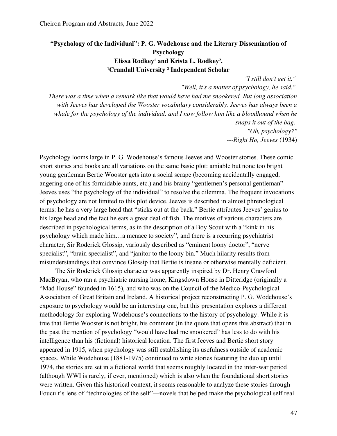## **"Psychology of the Individual": P. G. Wodehouse and the Literary Dissemination of Psychology**  Elissa Rodkey<sup>1</sup> and Krista L. Rodkey<sup>2</sup>, <sup>1</sup>Crandall University<sup>2</sup> Independent Scholar

*"I still don't get it."* 

*"Well, it's a matter of psychology, he said." There was a time when a remark like that would have had me snookered. But long association with Jeeves has developed the Wooster vocabulary considerably. Jeeves has always been a whale for the psychology of the individual, and I now follow him like a bloodhound when he snaps it out of the bag. "Oh, psychology?" ---Right Ho, Jeeves* (1934)

Psychology looms large in P. G. Wodehouse's famous Jeeves and Wooster stories. These comic short stories and books are all variations on the same basic plot: amiable but none too bright young gentleman Bertie Wooster gets into a social scrape (becoming accidentally engaged, angering one of his formidable aunts, etc.) and his brainy "gentlemen's personal gentleman" Jeeves uses "the psychology of the individual" to resolve the dilemma. The frequent invocations of psychology are not limited to this plot device. Jeeves is described in almost phrenological terms: he has a very large head that "sticks out at the back." Bertie attributes Jeeves' genius to his large head and the fact he eats a great deal of fish. The motives of various characters are described in psychological terms, as in the description of a Boy Scout with a "kink in his psychology which made him…a menace to society", and there is a recurring psychiatrist character, Sir Roderick Glossip, variously described as "eminent loony doctor", "nerve specialist", "brain specialist", and "janitor to the loony bin." Much hilarity results from misunderstandings that convince Glossip that Bertie is insane or otherwise mentally deficient.

The Sir Roderick Glossip character was apparently inspired by Dr. Henry Crawford MacBryan, who ran a psychiatric nursing home, Kingsdown House in Ditteridge (originally a "Mad House" founded in 1615), and who was on the Council of the Medico-Psychological Association of Great Britain and Ireland. A historical project reconstructing P. G. Wodehouse's exposure to psychology would be an interesting one, but this presentation explores a different methodology for exploring Wodehouse's connections to the history of psychology. While it is true that Bertie Wooster is not bright, his comment (in the quote that opens this abstract) that in the past the mention of psychology "would have had me snookered" has less to do with his intelligence than his (fictional) historical location. The first Jeeves and Bertie short story appeared in 1915, when psychology was still establishing its usefulness outside of academic spaces. While Wodehouse (1881-1975) continued to write stories featuring the duo up until 1974, the stories are set in a fictional world that seems roughly located in the inter-war period (although WWI is rarely, if ever, mentioned) which is also when the foundational short stories were written. Given this historical context, it seems reasonable to analyze these stories through Foucult's lens of "technologies of the self"—novels that helped make the psychological self real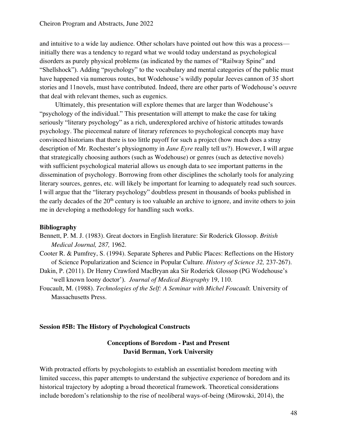and intuitive to a wide lay audience. Other scholars have pointed out how this was a process initially there was a tendency to regard what we would today understand as psychological disorders as purely physical problems (as indicated by the names of "Railway Spine" and "Shellshock"). Adding "psychology" to the vocabulary and mental categories of the public must have happened via numerous routes, but Wodehouse's wildly popular Jeeves cannon of 35 short stories and 11novels, must have contributed. Indeed, there are other parts of Wodehouse's oeuvre that deal with relevant themes, such as eugenics.

Ultimately, this presentation will explore themes that are larger than Wodehouse's "psychology of the individual." This presentation will attempt to make the case for taking seriously "literary psychology" as a rich, underexplored archive of historic attitudes towards psychology. The piecemeal nature of literary references to psychological concepts may have convinced historians that there is too little payoff for such a project (how much does a stray description of Mr. Rochester's physiognomy in *Jane Eyre* really tell us?). However, I will argue that strategically choosing authors (such as Wodehouse) or genres (such as detective novels) with sufficient psychological material allows us enough data to see important patterns in the dissemination of psychology. Borrowing from other disciplines the scholarly tools for analyzing literary sources, genres, etc. will likely be important for learning to adequately read such sources. I will argue that the "literary psychology" doubtless present in thousands of books published in the early decades of the 20<sup>th</sup> century is too valuable an archive to ignore, and invite others to join me in developing a methodology for handling such works.

### **Bibliography**

- Bennett, P. M. J. (1983). Great doctors in English literature: Sir Roderick Glossop. *British Medical Journal, 287,* 1962.
- Cooter R. & Pumfrey, S. (1994). Separate Spheres and Public Places: Reflections on the History of Science Popularization and Science in Popular Culture. *History of Science 32,* 237-267).
- Dakin, P. (2011). Dr Henry Crawford MacBryan aka Sir Roderick Glossop (PG Wodehouse's 'well known loony doctor'). *Journal of Medical Biography* 19, 110.
- Foucault, M. (1988). *Technologies of the Self: A Seminar with Michel Foucault.* University of Massachusetts Press.

#### **Session #5B: The History of Psychological Constructs**

### **Conceptions of Boredom - Past and Present David Berman, York University**

With protracted efforts by psychologists to establish an essentialist boredom meeting with limited success, this paper attempts to understand the subjective experience of boredom and its historical trajectory by adopting a broad theoretical framework. Theoretical considerations include boredom's relationship to the rise of neoliberal ways-of-being (Mirowski, 2014), the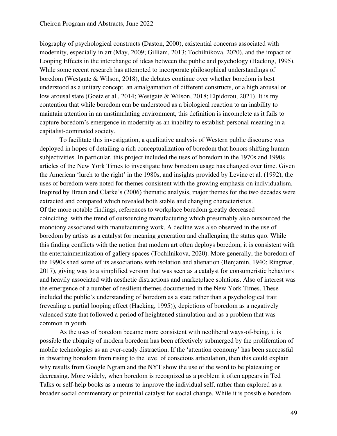biography of psychological constructs (Daston, 2000), existential concerns associated with modernity, especially in art (May, 2009; Gilliam, 2013; Tochilnikova, 2020), and the impact of Looping Effects in the interchange of ideas between the public and psychology (Hacking, 1995). While some recent research has attempted to incorporate philosophical understandings of boredom (Westgate & Wilson, 2018), the debates continue over whether boredom is best understood as a unitary concept, an amalgamation of different constructs, or a high arousal or low arousal state (Goetz et al., 2014; Westgate & Wilson, 2018; Elpidorou, 2021). It is my contention that while boredom can be understood as a biological reaction to an inability to maintain attention in an unstimulating environment, this definition is incomplete as it fails to capture boredom's emergence in modernity as an inability to establish personal meaning in a capitalist-dominated society.

To facilitate this investigation, a qualitative analysis of Western public discourse was deployed in hopes of detailing a rich conceptualization of boredom that honors shifting human subjectivities. In particular, this project included the uses of boredom in the 1970s and 1990s articles of the New York Times to investigate how boredom usage has changed over time. Given the American 'lurch to the right' in the 1980s, and insights provided by Levine et al. (1992), the uses of boredom were noted for themes consistent with the growing emphasis on individualism. Inspired by Braun and Clarke's (2006) thematic analysis, major themes for the two decades were extracted and compared which revealed both stable and changing characteristics. Of the more notable findings, references to workplace boredom greatly decreased coinciding with the trend of outsourcing manufacturing which presumably also outsourced the monotony associated with manufacturing work. A decline was also observed in the use of boredom by artists as a catalyst for meaning generation and challenging the status quo. While this finding conflicts with the notion that modern art often deploys boredom, it is consistent with the entertainmentization of gallery spaces (Tochilnikova, 2020). More generally, the boredom of the 1990s shed some of its associations with isolation and alienation (Benjamin, 1940; Ringmar, 2017), giving way to a simplified version that was seen as a catalyst for consumeristic behaviors and heavily associated with aesthetic distractions and marketplace solutions. Also of interest was the emergence of a number of resilient themes documented in the New York Times. These included the public's understanding of boredom as a state rather than a psychological trait (revealing a partial looping effect (Hacking, 1995)), depictions of boredom as a negatively valenced state that followed a period of heightened stimulation and as a problem that was common in youth.

As the uses of boredom became more consistent with neoliberal ways-of-being, it is possible the ubiquity of modern boredom has been effectively submerged by the proliferation of mobile technologies as an ever-ready distraction. If the 'attention economy' has been successful in thwarting boredom from rising to the level of conscious articulation, then this could explain why results from Google Ngram and the NYT show the use of the word to be plateauing or decreasing. More widely, when boredom is recognized as a problem it often appears in Ted Talks or self-help books as a means to improve the individual self, rather than explored as a broader social commentary or potential catalyst for social change. While it is possible boredom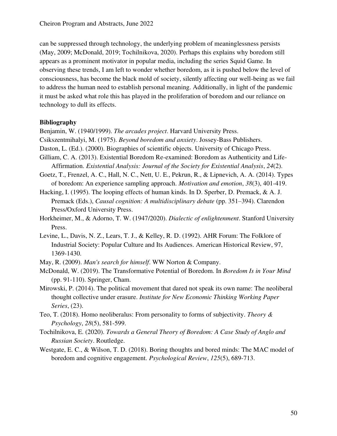can be suppressed through technology, the underlying problem of meaninglessness persists (May, 2009; McDonald, 2019; Tochilnikova, 2020). Perhaps this explains why boredom still appears as a prominent motivator in popular media, including the series Squid Game. In observing these trends, I am left to wonder whether boredom, as it is pushed below the level of consciousness, has become the black mold of society, silently affecting our well-being as we fail to address the human need to establish personal meaning. Additionally, in light of the pandemic it must be asked what role this has played in the proliferation of boredom and our reliance on technology to dull its effects.

#### **Bibliography**

Benjamin, W. (1940/1999). *The arcades project*. Harvard University Press.

- Csikszentmihalyi, M. (1975). *Beyond boredom and anxiety*. Jossey-Bass Publishers.
- Daston, L. (Ed.). (2000). Biographies of scientific objects. University of Chicago Press.
- Gilliam, C. A. (2013). Existential Boredom Re-examined: Boredom as Authenticity and Life-Affirmation. *Existential Analysis: Journal of the Society for Existential Analysis*, *24*(2).
- Goetz, T., Frenzel, A. C., Hall, N. C., Nett, U. E., Pekrun, R., & Lipnevich, A. A. (2014). Types of boredom: An experience sampling approach. *Motivation and emotion*, *38*(3), 401-419.
- Hacking, I. (1995). The looping effects of human kinds. In D. Sperber, D. Premack, & A. J. Premack (Eds.), *Causal cognition: A multidisciplinary debate* (pp. 351–394). Clarendon Press/Oxford University Press.
- Horkheimer, M., & Adorno, T. W. (1947/2020). *Dialectic of enlightenment*. Stanford University Press.
- Levine, L., Davis, N. Z., Lears, T. J., & Kelley, R. D. (1992). AHR Forum: The Folklore of Industrial Society: Popular Culture and Its Audiences. American Historical Review, 97, 1369-1430.
- May, R. (2009). *Man's search for himself*. WW Norton & Company.
- McDonald, W. (2019). The Transformative Potential of Boredom. In *Boredom Is in Your Mind* (pp. 91-110). Springer, Cham.
- Mirowski, P. (2014). The political movement that dared not speak its own name: The neoliberal thought collective under erasure. *Institute for New Economic Thinking Working Paper Series*, (23).
- Teo, T. (2018). Homo neoliberalus: From personality to forms of subjectivity. *Theory & Psychology*, *28*(5), 581-599.
- Tochilnikova, E. (2020). *Towards a General Theory of Boredom: A Case Study of Anglo and Russian Society*. Routledge.
- Westgate, E. C., & Wilson, T. D. (2018). Boring thoughts and bored minds: The MAC model of boredom and cognitive engagement. *Psychological Review*, *125*(5), 689-713.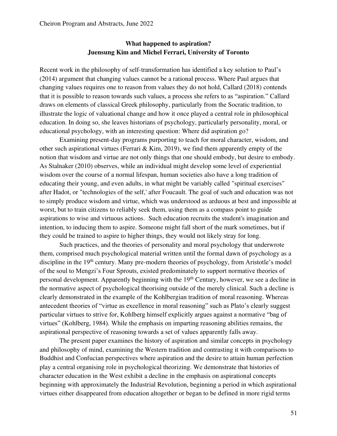## **What happened to aspiration? Juensung Kim and Michel Ferrari, University of Toronto**

Recent work in the philosophy of self-transformation has identified a key solution to Paul's (2014) argument that changing values cannot be a rational process. Where Paul argues that changing values requires one to reason from values they do not hold, Callard (2018) contends that it is possible to reason towards such values, a process she refers to as "aspiration." Callard draws on elements of classical Greek philosophy, particularly from the Socratic tradition, to illustrate the logic of valuational change and how it once played a central role in philosophical education. In doing so, she leaves historians of psychology, particularly personality, moral, or educational psychology, with an interesting question: Where did aspiration go?

Examining present-day programs purporting to teach for moral character, wisdom, and other such aspirational virtues (Ferrari & Kim, 2019), we find them apparently empty of the notion that wisdom and virtue are not only things that one should embody, but desire to embody. As Stalnaker (2010) observes, while an individual might develop some level of experiential wisdom over the course of a normal lifespan, human societies also have a long tradition of educating their young, and even adults, in what might be variably called "spiritual exercises" after Hadot, or "technologies of the self,' after Foucault. The goal of such and education was not to simply produce wisdom and virtue, which was understood as arduous at best and impossible at worst, but to train citizens to reliably seek them, using them as a compass point to guide aspirations to wise and virtuous actions. Such education recruits the student's imagination and intention, to inducing them to aspire. Someone might fall short of the mark sometimes, but if they could be trained to aspire to higher things, they would not likely stray for long.

Such practices, and the theories of personality and moral psychology that underwrote them, comprised much psychological material written until the formal dawn of psychology as a discipline in the 19<sup>th</sup> century. Many pre-modern theories of psychology, from Aristotle's model of the soul to Mengzi's Four Sprouts, existed predominately to support normative theories of personal development. Apparently beginning with the 19<sup>th</sup> Century, however, we see a decline in the normative aspect of psychological theorising outside of the merely clinical. Such a decline is clearly demonstrated in the example of the Kohlbergian tradition of moral reasoning. Whereas antecedent theories of "virtue as excellence in moral reasoning" such as Plato's clearly suggest particular virtues to strive for, Kohlberg himself explicitly argues against a normative "bag of virtues" (Kohlberg, 1984). While the emphasis on imparting reasoning abilities remains, the aspirational perspective of reasoning towards a set of values apparently falls away.

The present paper examines the history of aspiration and similar concepts in psychology and philosophy of mind, examining the Western tradition and contrasting it with comparisons to Buddhist and Confucian perspectives where aspiration and the desire to attain human perfection play a central organising role in psychological theorizing. We demonstrate that histories of character education in the West exhibit a decline in the emphasis on aspirational concepts beginning with approximately the Industrial Revolution, beginning a period in which aspirational virtues either disappeared from education altogether or began to be defined in more rigid terms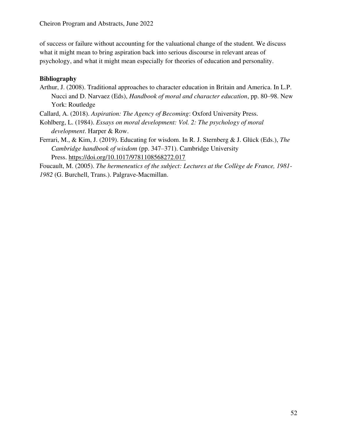of success or failure without accounting for the valuational change of the student. We discuss what it might mean to bring aspiration back into serious discourse in relevant areas of psychology, and what it might mean especially for theories of education and personality.

## **Bibliography**

Arthur, J. (2008). Traditional approaches to character education in Britain and America. In L.P. Nucci and D. Narvaez (Eds), *Handbook of moral and character education*, pp. 80–98. New York: Routledge

Callard, A. (2018). *Aspiration: The Agency of Becoming*: Oxford University Press.

Kohlberg, L. (1984). *Essays on moral development: Vol. 2: The psychology of moral development*. Harper & Row.

Ferrari, M., & Kim, J. (2019). Educating for wisdom. In R. J. Sternberg & J. Glück (Eds.), *The Cambridge handbook of wisdom* (pp. 347–371). Cambridge University Press. [https://doi.org/10.1017/9781108568272.017](https://psycnet.apa.org/doi/10.1017/9781108568272.017) 

Foucault, M. (2005). *The hermeneutics of the subject: Lectures at the Collège de France, 1981- 1982* (G. Burchell, Trans.). Palgrave-Macmillan.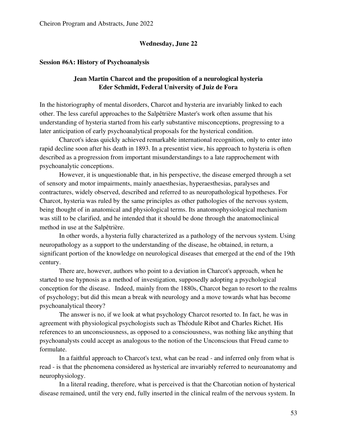### **Wednesday, June 22**

#### **Session #6A: History of Psychoanalysis**

## **Jean Martin Charcot and the proposition of a neurological hysteria Eder Schmidt, Federal University of Juiz de Fora**

In the historiography of mental disorders, Charcot and hysteria are invariably linked to each other. The less careful approaches to the Salpêtrière Master's work often assume that his understanding of hysteria started from his early substantive misconceptions, progressing to a later anticipation of early psychoanalytical proposals for the hysterical condition.

Charcot's ideas quickly achieved remarkable international recognition, only to enter into rapid decline soon after his death in 1893. In a presentist view, his approach to hysteria is often described as a progression from important misunderstandings to a late rapprochement with psychoanalytic conceptions.

However, it is unquestionable that, in his perspective, the disease emerged through a set of sensory and motor impairments, mainly anaesthesias, hyperaesthesias, paralyses and contractures, widely observed, described and referred to as neuropathological hypotheses. For Charcot, hysteria was ruled by the same principles as other pathologies of the nervous system, being thought of in anatomical and physiological terms. Its anatomophysiological mechanism was still to be clarified, and he intended that it should be done through the anatomoclinical method in use at the Salpêtrière.

In other words, a hysteria fully characterized as a pathology of the nervous system. Using neuropathology as a support to the understanding of the disease, he obtained, in return, a significant portion of the knowledge on neurological diseases that emerged at the end of the 19th century.

There are, however, authors who point to a deviation in Charcot's approach, when he started to use hypnosis as a method of investigation, supposedly adopting a psychological conception for the disease. Indeed, mainly from the 1880s, Charcot began to resort to the realms of psychology; but did this mean a break with neurology and a move towards what has become psychoanalytical theory?

The answer is no, if we look at what psychology Charcot resorted to. In fact, he was in agreement with physiological psychologists such as Théodule Ribot and Charles Richet. His references to an unconsciousness, as opposed to a consciousness, was nothing like anything that psychoanalysts could accept as analogous to the notion of the Unconscious that Freud came to formulate.

In a faithful approach to Charcot's text, what can be read - and inferred only from what is read - is that the phenomena considered as hysterical are invariably referred to neuroanatomy and neurophysiology.

In a literal reading, therefore, what is perceived is that the Charcotian notion of hysterical disease remained, until the very end, fully inserted in the clinical realm of the nervous system. In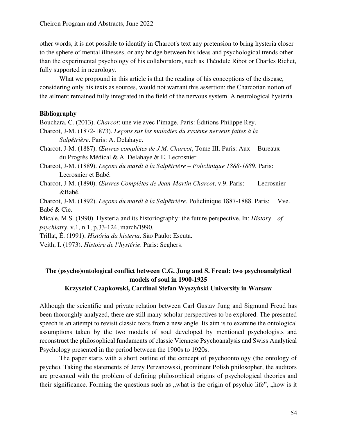other words, it is not possible to identify in Charcot's text any pretension to bring hysteria closer to the sphere of mental illnesses, or any bridge between his ideas and psychological trends other than the experimental psychology of his collaborators, such as Théodule Ribot or Charles Richet, fully supported in neurology.

 What we propound in this article is that the reading of his conceptions of the disease, considering only his texts as sources, would not warrant this assertion: the Charcotian notion of the ailment remained fully integrated in the field of the nervous system. A neurological hysteria.

## **Bibliography**

Bouchara, C. (2013). *Charcot*: une vie avec l'image. Paris: Éditions Philippe Rey.

Charcot, J-M. (1872-1873). *Leçons sur les maladies du système nerveux faites à la Salpêtrière*. Paris: A. Delahaye.

Charcot, J-M. (1887). *Œuvres complètes de J.M. Charcot*, Tome III. Paris: Aux Bureaux du Progrès Médical & A. Delahaye & E. Lecrosnier.

Charcot, J-M. (1889). *Leçons du mardi à la Salpêtrière – Policlinique 1888-1889*. Paris: Lecrosnier et Babé.

Charcot, J-M. (1890). *Œuvres Complètes de Jean-Martin Charcot*, v.9. Paris: Lecrosnier &Babé.

Charcot, J-M. (1892). *Leçons du mardi à la Salpêtrière*. Policlinique 1887-1888. Paris: Vve. Babé & Cie.

Micale, M.S. (1990). Hysteria and its historiography: the future perspective. In: *History of psychiatry*, v.1, n.1, p.33-124, march/1990.

Trillat, É. (1991). *História da histeria*. São Paulo: Escuta.

Veith, I. (1973). *Histoire de l'hystérie*. Paris: Seghers.

# **The (psycho)ontological conflict between C.G. Jung and S. Freud: two psychoanalytical models of soul in 1900-1925**

### **Krzysztof Czapkowski, Cardinal Stefan Wyszyński University in Warsaw**

Although the scientific and private relation between Carl Gustav Jung and Sigmund Freud has been thoroughly analyzed, there are still many scholar perspectives to be explored. The presented speech is an attempt to revisit classic texts from a new angle. Its aim is to examine the ontological assumptions taken by the two models of soul developed by mentioned psychologists and reconstruct the philosophical fundaments of classic Viennese Psychoanalysis and Swiss Analytical Psychology presented in the period between the 1900s to 1920s.

The paper starts with a short outline of the concept of psychoontology (the ontology of psyche). Taking the statements of Jerzy Perzanowski, prominent Polish philosopher, the auditors are presented with the problem of defining philosophical origins of psychological theories and their significance. Forming the questions such as "what is the origin of psychic life", "how is it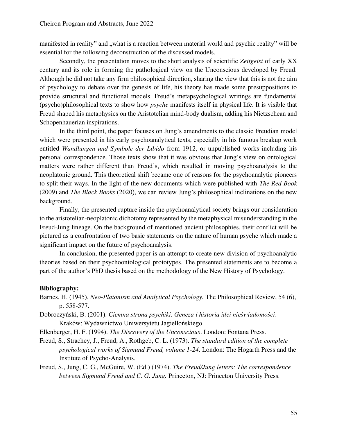manifested in reality" and "what is a reaction between material world and psychic reality" will be essential for the following deconstruction of the discussed models.

Secondly, the presentation moves to the short analysis of scientific *Zeitgeist* of early XX century and its role in forming the pathological view on the Unconscious developed by Freud. Although he did not take any firm philosophical direction, sharing the view that this is not the aim of psychology to debate over the genesis of life, his theory has made some presuppositions to provide structural and functional models. Freud's metapsychological writings are fundamental (psycho)philosophical texts to show how *psyche* manifests itself in physical life. It is visible that Freud shaped his metaphysics on the Aristotelian mind-body dualism, adding his Nietzschean and Schopenhauerian inspirations.

In the third point, the paper focuses on Jung's amendments to the classic Freudian model which were presented in his early psychoanalytical texts, especially in his famous breakup work entitled *Wandlungen und Symbole der Libido* from 1912, or unpublished works including his personal correspondence. Those texts show that it was obvious that Jung's view on ontological matters were rather different than Freud's, which resulted in moving psychoanalysis to the neoplatonic ground. This theoretical shift became one of reasons for the psychoanalytic pioneers to split their ways. In the light of the new documents which were published with *The Red Book* (2009) and *The Black Books* (2020), we can review Jung's philosophical inclinations on the new background.

Finally, the presented rupture inside the psychoanalytical society brings our consideration to the aristotelian-neoplatonic dichotomy represented by the metaphysical misunderstanding in the Freud-Jung lineage. On the background of mentioned ancient philosophies, their conflict will be pictured as a confrontation of two basic statements on the nature of human psyche which made a significant impact on the future of psychoanalysis.

In conclusion, the presented paper is an attempt to create new division of psychoanalytic theories based on their psychoontological prototypes. The presented statements are to become a part of the author's PhD thesis based on the methodology of the New History of Psychology.

### **Bibliography:**

- Barnes, H. (1945). *Neo-Platonism and Analytical Psychology.* The Philosophical Review, 54 (6), p. 558-577.
- Dobroczyński, B. (2001). *Ciemna strona psychiki. Geneza i historia idei nieświadomości*. Kraków: Wydawnictwo Uniwersytetu Jagiellońskiego.

Ellenberger, H. F. (1994). *The Discovery of the Unconscious*. London: Fontana Press.

Freud, S., Strachey, J., Freud, A., Rothgeb, C. L. (1973). *The standard edition of the complete psychological works of Sigmund Freud, volume 1-24*. London: The Hogarth Press and the Institute of Psycho-Analysis.

Freud, S., Jung, C. G., McGuire, W. (Ed.) (1974). *The Freud/Jung letters: The correspondence between Sigmund Freud and C. G. Jung.* Princeton, NJ: Princeton University Press*.*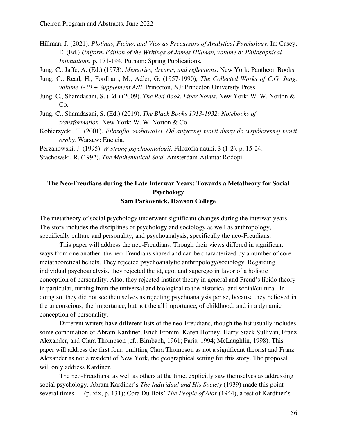Hillman, J. (2021). *Plotinus, Ficino, and Vico as Precursors of Analytical Psychology*. In: Casey, E. (Ed.) *Uniform Edition of the Writings of James Hillman, volume 8: Philosophical Intimations*, p. 171-194. Putnam: Spring Publications.

Jung, C., Jaffe, A. (Ed.) (1973). *Memories, dreams, and reflections*. New York: Pantheon Books.

- Jung, C., Read, H., Fordham, M., Adler, G. (1957-1990), *The Collected Works of C.G. Jung. volume 1-20 + Supplement A/B*. Princeton, NJ: Princeton University Press.
- Jung, C., Shamdasani, S. (Ed.) (2009). *The Red Book. Liber Novus*. New York: W. W. Norton & Co.
- Jung, C., Shamdasani, S. (Ed.) (2019). *The Black Books 1913-1932: Notebooks of transformation.* New York: W. W. Norton & Co.
- Kobierzycki, T. (2001). *Filozofia osobowości. Od antycznej teorii duszy do współczesnej teorii osoby.* Warsaw: Eneteia.
- Perzanowski, J. (1995). *W stronę psychoontologii.* Filozofia nauki, 3 (1-2), p. 15-24.

Stachowski, R. (1992). *The Mathematical Soul*. Amsterdam-Atlanta: Rodopi.

## **The Neo-Freudians during the Late Interwar Years: Towards a Metatheory for Social Psychology Sam Parkovnick, Dawson College**

The metatheory of social psychology underwent significant changes during the interwar years. The story includes the disciplines of psychology and sociology as well as anthropology, specifically culture and personality, and psychoanalysis, specifically the neo-Freudians.

This paper will address the neo-Freudians. Though their views differed in significant ways from one another, the neo-Freudians shared and can be characterized by a number of core metatheoretical beliefs. They rejected psychoanalytic anthropology/sociology. Regarding individual psychoanalysis, they rejected the id, ego, and superego in favor of a holistic conception of personality. Also, they rejected instinct theory in general and Freud's libido theory in particular, turning from the universal and biological to the historical and social/cultural. In doing so, they did not see themselves as rejecting psychoanalysis per se, because they believed in the unconscious; the importance, but not the all importance, of childhood; and in a dynamic conception of personality.

Different writers have different lists of the neo-Freudians, though the list usually includes some combination of Abram Kardiner, Erich Fromm, Karen Horney, Harry Stack Sullivan, Franz Alexander, and Clara Thompson (cf., Birnbach, 1961; Paris, 1994; McLaughlin, 1998). This paper will address the first four, omitting Clara Thompson as not a significant theorist and Franz Alexander as not a resident of New York, the geographical setting for this story. The proposal will only address Kardiner.

The neo-Freudians, as well as others at the time, explicitly saw themselves as addressing social psychology. Abram Kardiner's *The Individual and His Society* (1939) made this point several times. (p. xix, p. 131); Cora Du Bois' *The People of Alor* (1944), a test of Kardiner's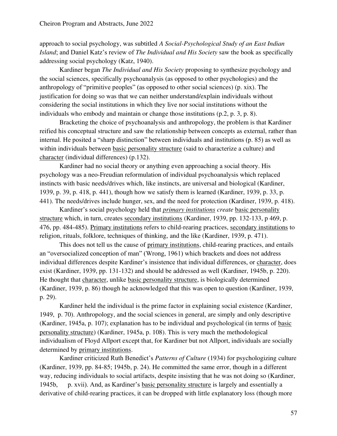approach to social psychology, was subtitled *A Social-Psychological Study of an East Indian Island*; and Daniel Katz's review of *The Individual and His Society* saw the book as specifically addressing social psychology (Katz, 1940).

Kardiner began *The Individual and His Society* proposing to synthesize psychology and the social sciences, specifically psychoanalysis (as opposed to other psychologies) and the anthropology of "primitive peoples" (as opposed to other social sciences) (p. xix). The justification for doing so was that we can neither understand/explain individuals without considering the social institutions in which they live nor social institutions without the individuals who embody and maintain or change those institutions (p.2, p. 3, p. 8).

Bracketing the choice of psychoanalysis and anthropology, the problem is that Kardiner reified his conceptual structure and saw the relationship between concepts as external, rather than internal. He posited a "sharp distinction" between individuals and institutions (p. 85) as well as within individuals between basic personality structure (said to characterize a culture) and character (individual differences) (p.132).

Kardiner had no social theory or anything even approaching a social theory. His psychology was a neo-Freudian reformulation of individual psychoanalysis which replaced instincts with basic needs/drives which, like instincts, are universal and biological (Kardiner, 1939, p. 39, p. 418, p. 441), though how we satisfy them is learned (Kardiner, 1939, p. 33, p. 441). The needs/drives include hunger, sex, and the need for protection (Kardiner, 1939, p. 418).

Kardiner's social psychology held that *primary institutions create* basic personality structure which, in turn, creates secondary institutions (Kardiner, 1939, pp. 132-133, p 469, p. 476, pp. 484-485). Primary institutions refers to child-rearing practices, secondary institutions to religion, rituals, folklore, techniques of thinking, and the like (Kardiner, 1939, p. 471).

This does not tell us the cause of primary institutions, child-rearing practices, and entails an "oversocialized conception of man" (Wrong, 1961) which brackets and does not address individual differences despite Kardiner's insistence that individual differences, or character, does exist (Kardiner, 1939, pp. 131-132) and should be addressed as well (Kardiner, 1945b, p. 220). He thought that character, unlike basic personality structure, is biologically determined (Kardiner, 1939, p. 86) though he acknowledged that this was open to question (Kardiner, 1939, p. 29).

Kardiner held the individual is the prime factor in explaining social existence (Kardiner, 1949, p. 70). Anthropology, and the social sciences in general, are simply and only descriptive (Kardiner, 1945a, p. 107); explanation has to be individual and psychological (in terms of basic personality structure) (Kardiner, 1945a, p. 108). This is very much the methodological individualism of Floyd Allport except that, for Kardiner but not Allport, individuals are socially determined by primary institutions.

Kardiner criticized Ruth Benedict's *Patterns of Culture* (1934) for psychologizing culture (Kardiner, 1939, pp. 84-85; 1945b, p. 24). He committed the same error, though in a different way, reducing individuals to social artifacts, despite insisting that he was not doing so (Kardiner, 1945b, p. xvii). And, as Kardiner's basic personality structure is largely and essentially a derivative of child-rearing practices, it can be dropped with little explanatory loss (though more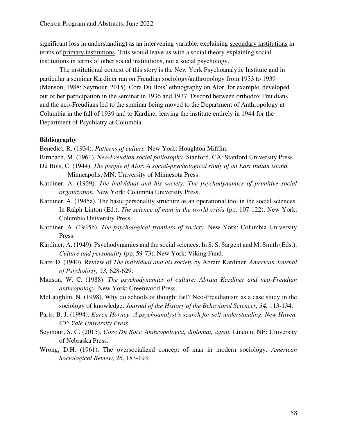significant loss in understanding) as an intervening variable, explaining secondary institutions in terms of primary institutions. This would leave us with a social theory explaining social institutions in terms of other social institutions, not a social psychology.

The institutional context of this story is the New York Psychoanalytic Institute and in particular a seminar Kardiner ran on Freudian sociology/anthropology from 1933 to 1939 (Manson, 1988; Seymour, 2015). Cora Du Bois' ethnography on Alor, for example, developed out of her participation in the seminar in 1936 and 1937. Discord between orthodox Freudians and the neo-Freudians led to the seminar being moved to the Department of Anthropology at Columbia in the fall of 1939 and to Kardiner leaving the institute entirely in 1944 for the Department of Psychiatry at Columbia.

### **Bibliography**

Benedict, R. (1934). *Patterns of culture.* New York: Houghton Mifflin.

- Birnbach, M. (1961). *Neo-Freudian social philosophy.* Stanford, CA: Stanford University Press.
- Du Bois, C. (1944). *The people of Alor: A social-psychological study of an East Indian island.* Minneapolis, MN: University of Minnesota Press.
- Kardiner, A. (1939). *The individual and his society: The psychodynamics of primitive social organization.* New York: Columbia University Press.
- Kardiner, A. (1945a). The basic personality structure as an operational tool in the social sciences. In Ralph Linton (Ed.), *The science of man in the world crisis* (pp. 107-122). New York: Columbia University Press.
- Kardiner, A. (1945b). *The psychological frontiers of society.* New York: Columbia University Press.
- Kardiner, A. (1949). Psychodynamics and the social sciences. In S. S. Sargent and M. Smith (Eds.), *Culture and personality* (pp. 59-73). New York: Viking Fund.
- Katz, D. (1940). Review of *The individual and his society* by Abram Kardiner. *American Journal of Psychology, 53,* 628-629.
- Manson, W. C. (1988). *The psychodynamics of culture: Abram Kardiner and neo-Freudian anthropology.* New York: Greenwood Press.
- McLaughlin, N. (1998). Why do schools of thought fail? Neo-Freudianism as a case study in the sociology of knowledge. *Journal of the History of the Behavioral Sciences, 34,* 113-134.
- Paris, B. J. (1994). *Karen Horney: A psychoanalyst's search for self-understanding. New Haven, CT: Yale University Press.*
- Seymour, S. C. (2015). *Cora Du Bois: Anthropologist, diplomat, agent.* Lincoln, NE: University of Nebraska Press.
- Wrong, D.H. (1961). The oversocialized concept of man in modern sociology. *American Sociological Review, 26,* 183-193.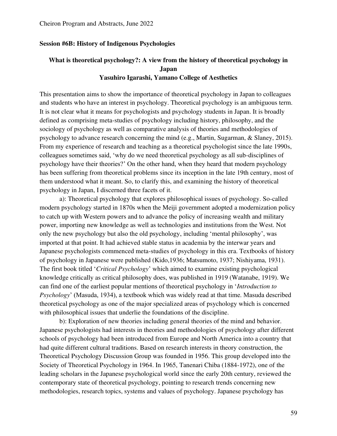### **Session #6B: History of Indigenous Psychologies**

## **What is theoretical psychology?: A view from the history of theoretical psychology in Japan Yasuhiro Igarashi, Yamano College of Aesthetics**

This presentation aims to show the importance of theoretical psychology in Japan to colleagues and students who have an interest in psychology. Theoretical psychology is an ambiguous term. It is not clear what it means for psychologists and psychology students in Japan. It is broadly defined as comprising meta-studies of psychology including history, philosophy, and the sociology of psychology as well as comparative analysis of theories and methodologies of psychology to advance research concerning the mind (e.g., Martin, Sugarman, & Slaney, 2015). From my experience of research and teaching as a theoretical psychologist since the late 1990s, colleagues sometimes said, 'why do we need theoretical psychology as all sub-disciplines of psychology have their theories?' On the other hand, when they heard that modern psychology has been suffering from theoretical problems since its inception in the late 19th century, most of them understood what it meant. So, to clarify this, and examining the history of theoretical psychology in Japan, I discerned three facets of it.

a): Theoretical psychology that explores philosophical issues of psychology. So-called modern psychology started in 1870s when the Meiji government adopted a modernization policy to catch up with Western powers and to advance the policy of increasing wealth and military power, importing new knowledge as well as technologies and institutions from the West. Not only the new psychology but also the old psychology, including 'mental philosophy', was imported at that point. It had achieved stable status in academia by the interwar years and Japanese psychologists commenced meta-studies of psychology in this era. Textbooks of history of psychology in Japanese were published (Kido,1936; Matsumoto, 1937; Nishiyama, 1931). The first book titled '*Critical Psychology*' which aimed to examine existing psychological knowledge critically as critical philosophy does, was published in 1919 (Watanabe, 1919). We can find one of the earliest popular mentions of theoretical psychology in '*Introduction to Psychology*' (Masuda, 1934), a textbook which was widely read at that time. Masuda described theoretical psychology as one of the major specialized areas of psychology which is concerned with philosophical issues that underlie the foundations of the discipline.

b): Exploration of new theories including general theories of the mind and behavior. Japanese psychologists had interests in theories and methodologies of psychology after different schools of psychology had been introduced from Europe and North America into a country that had quite different cultural traditions. Based on research interests in theory construction, the Theoretical Psychology Discussion Group was founded in 1956. This group developed into the Society of Theoretical Psychology in 1964. In 1965, Tanenari Chiba (1884-1972), one of the leading scholars in the Japanese psychological world since the early 20th century, reviewed the contemporary state of theoretical psychology, pointing to research trends concerning new methodologies, research topics, systems and values of psychology. Japanese psychology has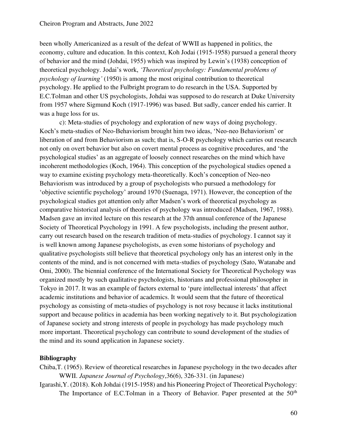been wholly Americanized as a result of the defeat of WWII as happened in politics, the economy, culture and education. In this context, Koh Jodai (1915-1958) pursued a general theory of behavior and the mind (Johdai, 1955) which was inspired by Lewin's (1938) conception of theoretical psychology. Jodai's work, *'Theoretical psychology: Fundamental problems of psychology of learning'* (1950) is among the most original contribution to theoretical psychology. He applied to the Fulbright program to do research in the USA. Supported by E.C.Tolman and other US psychologists, Johdai was supposed to do research at Duke University from 1957 where Sigmund Koch (1917-1996) was based. But sadly, cancer ended his carrier. It was a huge loss for us.

c): Meta-studies of psychology and exploration of new ways of doing psychology. Koch's meta-studies of Neo-Behaviorism brought him two ideas, 'Neo-neo Behaviorism' or liberation of and from Behaviorism as such; that is, S-O-R psychology which carries out research not only on overt behavior but also on covert mental process as cognitive procedures, and 'the psychological studies' as an aggregate of loosely connect researches on the mind which have incoherent methodologies (Koch, 1964). This conception of the psychological studies opened a way to examine existing psychology meta-theoretically. Koch's conception of Neo-neo Behaviorism was introduced by a group of psychologists who pursued a methodology for 'objective scientific psychology' around 1970 (Suenaga, 1971). However, the conception of the psychological studies got attention only after Madsen's work of theoretical psychology as comparative historical analysis of theories of psychology was introduced (Madsen, 1967, 1988). Madsen gave an invited lecture on this research at the 37th annual conference of the Japanese Society of Theoretical Psychology in 1991. A few psychologists, including the present author, carry out research based on the research tradition of meta-studies of psychology. I cannot say it is well known among Japanese psychologists, as even some historians of psychology and qualitative psychologists still believe that theoretical psychology only has an interest only in the contents of the mind, and is not concerned with meta-studies of psychology (Sato, Watanabe and Omi, 2000). The biennial conference of the International Society for Theoretical Psychology was organized mostly by such qualitative psychologists, historians and professional philosopher in Tokyo in 2017. It was an example of factors external to 'pure intellectual interests' that affect academic institutions and behavior of academics. It would seem that the future of theoretical psychology as consisting of meta-studies of psychology is not rosy because it lacks institutional support and because politics in academia has been working negatively to it. But psychologization of Japanese society and strong interests of people in psychology has made psychology much more important. Theoretical psychology can contribute to sound development of the studies of the mind and its sound application in Japanese society.

- Chiba,T. (1965). Review of theoretical researches in Japanese psychology in the two decades after WWII. *Japanese Journal of Psychology*,36(6), 326-331. (in Japanese)
- Igarashi,Y. (2018). Koh Johdai (1915-1958) and his Pioneering Project of Theoretical Psychology: The Importance of E.C.Tolman in a Theory of Behavior. Paper presented at the 50<sup>th</sup>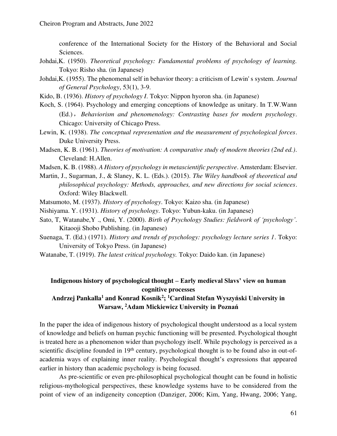conference of the International Society for the History of the Behavioral and Social Sciences.

- Johdai,K. (1950). *Theoretical psychology: Fundamental problems of psychology of learning.*  Tokyo: Risho sha. (in Japanese)
- Johdai,K. (1955). The phenomenal self in behavior theory: a criticism of Lewin' s system. *Journal of General Psychology*, 53(1), 3-9.
- Kido, B. (1936). *History of psychology I*. Tokyo: Nippon hyoron sha. (in Japanese)
- Koch, S. (1964). Psychology and emerging conceptions of knowledge as unitary. In T.W.Wann (Ed.),*Behaviorism and phenomenology: Contrasting bases for modern psychology*. Chicago: University of Chicago Press.
- Lewin, K. (1938). *The conceptual representation and the measurement of psychological forces*. Duke University Press.
- Madsen, K. B. (1961). *Theories of motivation: A comparative study of modern theories (2nd ed.)*. Cleveland: H.Allen.
- Madsen, K. B. (1988). *A History of psychology in metascientific perspective*. Amsterdam: Elsevier.
- Martin, J., Sugarman, J., & Slaney, K. L. (Eds.). (2015). *The Wiley handbook of theoretical and philosophical psychology: Methods, approaches, and new directions for social sciences*. Oxford: Wiley Blackwell.
- Matsumoto, M. (1937). *History of psychology*. Tokyo: Kaizo sha. (in Japanese)
- Nishiyama. Y. (1931). *History of psychology*. Tokyo: Yubun-kaku. (in Japanese)
- Sato, T, Watanabe,Y ., Omi, Y. (2000). *Birth of Psychology Studies: fieldwork of 'psychology'*. Kitaooji Shobo Publishing. (in Japanese)
- Suenaga, T. (Ed.) (1971). *History and trends of psychology: psychology lecture series 1*. Tokyo: University of Tokyo Press. (in Japanese)
- Watanabe, T. (1919). *The latest critical psychology.* Tokyo: Daido kan. (in Japanese)

## **Indigenous history of psychological thought – Early medieval Slavs' view on human cognitive processes**

## Andrzej Pankalla<sup>1</sup> and Konrad Kosnik<sup>2</sup>; <sup>1</sup>Cardinal Stefan Wyszyński University in **Warsaw, <sup>2</sup>Adam Mickiewicz University in Poznań**

In the paper the idea of indigenous history of psychological thought understood as a local system of knowledge and beliefs on human psychic functioning will be presented. Psychological thought is treated here as a phenomenon wider than psychology itself. While psychology is perceived as a scientific discipline founded in 19<sup>th</sup> century, psychological thought is to be found also in out-ofacademia ways of explaining inner reality. Psychological thought's expressions that appeared earlier in history than academic psychology is being focused.

As pre-scientific or even pre-philosophical psychological thought can be found in holistic religious-mythological perspectives, these knowledge systems have to be considered from the point of view of an indigeneity conception (Danziger, 2006; Kim, Yang, Hwang, 2006; Yang,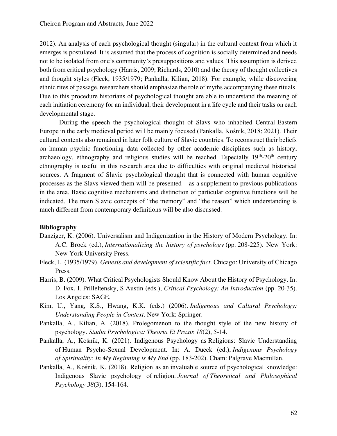2012). An analysis of each psychological thought (singular) in the cultural context from which it emerges is postulated. It is assumed that the process of cognition is socially determined and needs not to be isolated from one's community's presuppositions and values. This assumption is derived both from critical psychology (Harris, 2009; Richards, 2010) and the theory of thought collectives and thought styles (Fleck, 1935/1979; Pankalla, Kilian, 2018). For example, while discovering ethnic rites of passage, researchers should emphasize the role of myths accompanying these rituals. Due to this procedure historians of psychological thought are able to understand the meaning of each initiation ceremony for an individual, their development in a life cycle and their tasks on each developmental stage.

During the speech the psychological thought of Slavs who inhabited Central-Eastern Europe in the early medieval period will be mainly focused (Pankalla, Kośnik, 2018; 2021). Their cultural contents also remained in later folk culture of Slavic countries. To reconstruct their beliefs on human psychic functioning data collected by other academic disciplines such as history, archaeology, ethnography and religious studies will be reached. Especially  $19<sup>th</sup>$ -20<sup>th</sup> century ethnography is useful in this research area due to difficulties with original medieval historical sources. A fragment of Slavic psychological thought that is connected with human cognitive processes as the Slavs viewed them will be presented – as a supplement to previous publications in the area. Basic cognitive mechanisms and distinction of particular cognitive functions will be indicated. The main Slavic concepts of "the memory" and "the reason" which understanding is much different from contemporary definitions will be also discussed.

- Danziger, K. (2006). Universalism and Indigenization in the History of Modern Psychology. In: A.C. Brock (ed.), *Internationalizing the history of psychology* (pp. 208-225). New York: New York University Press.
- Fleck, L. (1935/1979). *Genesis and development of scientific fact*. Chicago: University of Chicago Press.
- Harris, B. (2009). What Critical Psychologists Should Know About the History of Psychology. In: D. Fox, I. Prilleltensky, S Austin (eds.), *Critical Psychology: An Introduction* (pp. 20-35). Los Angeles: SAGE.
- Kim, U., Yang, K.S., Hwang, K.K. (eds.) (2006). *Indigenous and Cultural Psychology: Understanding People in Context*. New York: Springer.
- Pankalla, A., Kilian, A. (2018). Prolegomenon to the thought style of the new history of psychology. *Studia Psychologica: Theoria Et Praxis 18*(2), 5-14.
- Pankalla, A., Kośnik, K. (2021). Indigenous Psychology as Religious: Slavic Understanding of Human Psycho-Sexual Development. In: A. Dueck (ed.), *Indigenous Psychology of Spirituality: In My Beginning is My End* (pp. 183-202). Cham: Palgrave Macmillan.
- Pankalla, A., Kośnik, K. (2018). Religion as an invaluable source of psychological knowledge: Indigenous Slavic psychology of religion. *Journal of Theoretical and Philosophical Psychology 38*(3), 154-164.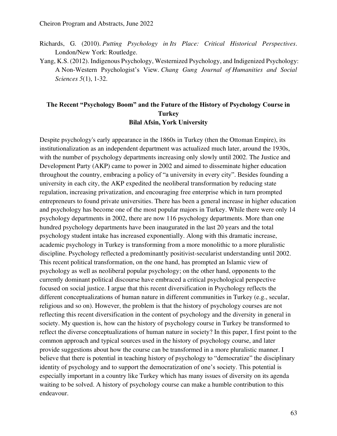- Richards, G. (2010). *Putting Psychology in Its Place: Critical Historical Perspectives*. London/New York: Routledge.
- Yang, K.S. (2012). Indigenous Psychology, Westernized Psychology, and Indigenized Psychology: A Non-Western Psychologist's View. *Chang Gung Journal of Humanities and Social Sciences 5*(1), 1-32.

### **The Recent "Psychology Boom" and the Future of the History of Psychology Course in Turkey Bilal Afsin, York University**

Despite psychology's early appearance in the 1860s in Turkey (then the Ottoman Empire), its institutionalization as an independent department was actualized much later, around the 1930s, with the number of psychology departments increasing only slowly until 2002. The Justice and Development Party (AKP) came to power in 2002 and aimed to disseminate higher education throughout the country, embracing a policy of "a university in every city". Besides founding a university in each city, the AKP expedited the neoliberal transformation by reducing state regulation, increasing privatization, and encouraging free enterprise which in turn prompted entrepreneurs to found private universities. There has been a general increase in higher education and psychology has become one of the most popular majors in Turkey. While there were only 14 psychology departments in 2002, there are now 116 psychology departments. More than one hundred psychology departments have been inaugurated in the last 20 years and the total psychology student intake has increased exponentially. Along with this dramatic increase, academic psychology in Turkey is transforming from a more monolithic to a more pluralistic discipline. Psychology reflected a predominantly positivist-secularist understanding until 2002. This recent political transformation, on the one hand, has prompted an Islamic view of psychology as well as neoliberal popular psychology; on the other hand, opponents to the currently dominant political discourse have embraced a critical psychological perspective focused on social justice. I argue that this recent diversification in Psychology reflects the different conceptualizations of human nature in different communities in Turkey (e.g., secular, religious and so on). However, the problem is that the history of psychology courses are not reflecting this recent diversification in the content of psychology and the diversity in general in society. My question is, how can the history of psychology course in Turkey be transformed to reflect the diverse conceptualizations of human nature in society? In this paper, I first point to the common approach and typical sources used in the history of psychology course, and later provide suggestions about how the course can be transformed in a more pluralistic manner. I believe that there is potential in teaching history of psychology to "democratize" the disciplinary identity of psychology and to support the democratization of one's society. This potential is especially important in a country like Turkey which has many issues of diversity on its agenda waiting to be solved. A history of psychology course can make a humble contribution to this endeavour.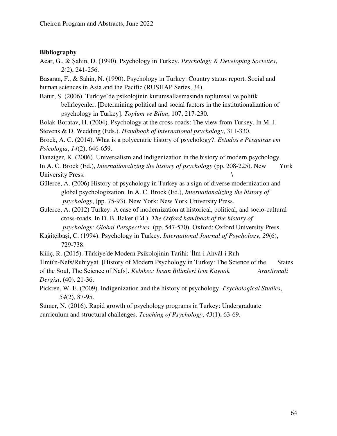### **Bibliography**

Acar, G., & Şahin, D. (1990). Psychology in Turkey. *Psychology & Developing Societies*, *2*(2), 241-256.

Basaran, F., & Sahin, N. (1990). Psychology in Turkey: Country status report. Social and human sciences in Asia and the Pacific (RUSHAP Series, 34).

Batur, S. (2006). Turkiye`de psikolojinin kurumsallasmasinda toplumsal ve politik belirleyenler. [Determining political and social factors in the institutionalization of psychology in Turkey]. *Toplum ve Bilim*, 107, 217-230.

Bolak-Boratav, H. (2004). Psychology at the cross-roads: The view from Turkey. In M. J.

Stevens & D. Wedding (Eds.). *Handbook of international psychology*, 311-330.

Brock, A. C. (2014). What is a polycentric history of psychology?. *Estudos e Pesquisas em Psicologia*, *14*(2), 646-659.

Danziger, K. (2006). Universalism and indigenization in the history of modern psychology.

In A. C. Brock (Ed.), *Internationalizing the history of psychology* (pp. 208-225). New York University Press.

- Gülerce, A. (2006) History of psychology in Turkey as a sign of diverse modernization and global psychologization. In A. C. Brock (Ed.), *Internationalizing the history of psychology*, (pp. 75-93). New York: New York University Press.
- Gulerce, A. (2012) Turkey: A case of modernization at historical, political, and socio-cultural cross-roads. In D. B. Baker (Ed.). *The Oxford handbook of the history of psychology: Global Perspectives.* (pp. 547-570). Oxford: Oxford University Press.
- Kaĝitçibaşi, C. (1994). Psychology in Turkey. *International Journal of Psychology*, *29*(6), 729-738.
- Kiliç, R. (2015). Türkiye'de Modern Psikolojinin Tarihi: 'İlm-i Ahvâl-i Ruh

'İlmü'n-Nefs/Ruhiyyat. [History of Modern Psychology in Turkey: The Science of the States of the Soul, The Science of Nafs]. *Kebikec: Insan Bilimleri Icin Kaynak Arastirmali Dergisi*, (40). 21-36.

Pickren, W. E. (2009). Indigenization and the history of psychology. *Psychological Studies*, *54*(2), 87-95.

Sümer, N. (2016). Rapid growth of psychology programs in Turkey: Undergraduate curriculum and structural challenges. *Teaching of Psychology*, *43*(1), 63-69.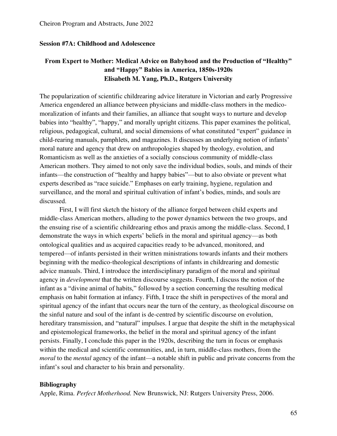### **Session #7A: Childhood and Adolescence**

## **From Expert to Mother: Medical Advice on Babyhood and the Production of "Healthy" and "Happy" Babies in America, 1850s-1920s Elisabeth M. Yang, Ph.D., Rutgers University**

The popularization of scientific childrearing advice literature in Victorian and early Progressive America engendered an alliance between physicians and middle-class mothers in the medicomoralization of infants and their families, an alliance that sought ways to nurture and develop babies into "healthy", "happy," and morally upright citizens. This paper examines the political, religious, pedagogical, cultural, and social dimensions of what constituted "expert" guidance in child-rearing manuals, pamphlets, and magazines. It discusses an underlying notion of infants' moral nature and agency that drew on anthropologies shaped by theology, evolution, and Romanticism as well as the anxieties of a socially conscious community of middle-class American mothers. They aimed to not only save the individual bodies, souls, and minds of their infants—the construction of "healthy and happy babies"—but to also obviate or prevent what experts described as "race suicide." Emphases on early training, hygiene, regulation and surveillance, and the moral and spiritual cultivation of infant's bodies, minds, and souls are discussed.

First, I will first sketch the history of the alliance forged between child experts and middle-class American mothers, alluding to the power dynamics between the two groups, and the ensuing rise of a scientific childrearing ethos and praxis among the middle-class. Second, I demonstrate the ways in which experts' beliefs in the moral and spiritual agency—as both ontological qualities and as acquired capacities ready to be advanced, monitored, and tempered—of infants persisted in their written ministrations towards infants and their mothers beginning with the medico-theological descriptions of infants in childrearing and domestic advice manuals. Third, I introduce the interdisciplinary paradigm of the moral and spiritual agency in *development* that the written discourse suggests. Fourth, I discuss the notion of the infant as a "divine animal of habits," followed by a section concerning the resulting medical emphasis on habit formation at infancy. Fifth, I trace the shift in perspectives of the moral and spiritual agency of the infant that occurs near the turn of the century, as theological discourse on the sinful nature and soul of the infant is de-centred by scientific discourse on evolution, hereditary transmission, and "natural" impulses. I argue that despite the shift in the metaphysical and epistemological frameworks, the belief in the moral and spiritual agency of the infant persists. Finally, I conclude this paper in the 1920s, describing the turn in focus or emphasis within the medical and scientific communities, and, in turn, middle-class mothers, from the *moral* to the *mental* agency of the infant—a notable shift in public and private concerns from the infant's soul and character to his brain and personality.

### **Bibliography**

Apple, Rima. *Perfect Motherhood.* New Brunswick, NJ: Rutgers University Press, 2006.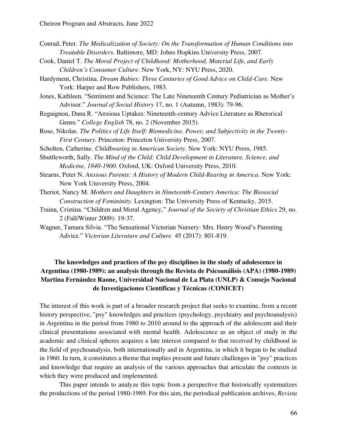- Conrad, Peter. *The Medicalization of Society: On the Transformation of Human Conditions into Treatable Disorders.* Baltimore, MD: Johns Hopkins University Press, 2007.
- Cook, Daniel T. *The Moral Project of Childhood: Motherhood, Material Life, and Early Children's Consumer Culture.* New York, NY: NYU Press, 2020.
- Hardyment, Christina. *Dream Babies: Three Centuries of Good Advice on Child-Care.* New York: Harper and Row Publishers, 1983.

Jones, Kathleen. "Sentiment and Science: The Late Nineteenth Century Pediatrician as Mother's Advisor." *Journal of Social History* 17, no. 1 (Autumn, 1983): 79-96.

- Regaignon, Dana R. "Anxious Uptakes: Nineteenth-century Advice Literature as Rhetorical Genre." *College English* 78, no. 2 (November 2015).
- Rose, Nikolas. *The Politics of Life Itself: Biomedicine, Power, and Subjectivity in the Twenty-First Century.* Princeton: Princeton University Press, 2007.
- Scholten, Catherine. *Childbearing in American Society*. New York: NYU Press, 1985.
- Shuttleworth, Sally. *The Mind of the Child: Child Development in Literature, Science, and Medicine, 1840-1900.* Oxford, UK: Oxford University Press, 2010.
- Stearns, Peter N. *Anxious Parents: A History of Modern Child-Rearing in America*. New York: New York University Press, 2004.
- Theriot, Nancy M. *Mothers and Daughters in Nineteenth-Century America: The Biosocial Construction of Femininity.* Lexington: The University Press of Kentucky, 2015.
- Traina, Cristina. "Children and Moral Agency," *Journal of the Society of Christian Ethics* 29, no. 2 (Fall/Winter 2009): 19-37.
- Wagner, Tamara Silvia. "The Sensational Victorian Nursery: Mrs. Henry Wood's Parenting Advice." *Victorian Literature and Culture* 45 (2017): 801-819.

## **The knowledges and practices of the psy disciplines in the study of adolescence in Argentina (1980-1989): an analysis through the Revista de Psicoanálisis (APA) (1980-1989) Martina Fernández Raone, Universidad Nacional de La Plata (UNLP) & Consejo Nacional de Investigaciones Científicas y Técnicas (CONICET)**

The interest of this work is part of a broader research project that seeks to examine, from a recent history perspective, "psy" knowledges and practices (psychology, psychiatry and psychoanalysis) in Argentina in the period from 1980 to 2010 around to the approach of the adolescent and their clinical presentations associated with mental health. Adolescence as an object of study in the academic and clinical spheres acquires a late interest compared to that received by childhood in the field of psychoanalysis, both internationally and in Argentina, in which it began to be studied in 1960. In turn, it constitutes a theme that implies present and future challenges in "psy" practices and knowledge that require an analysis of the various approaches that articulate the contexts in which they were produced and implemented.

This paper intends to analyze this topic from a perspective that historically systematizes the productions of the period 1980-1989. For this aim, the periodical publication archives, *Revista*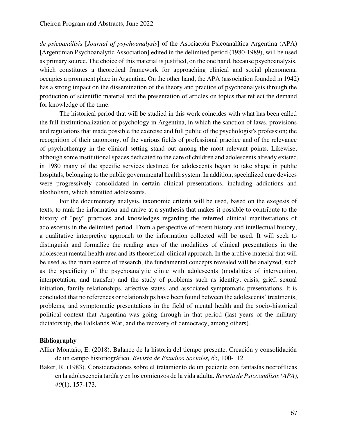*de psicoanálisis* [*Journal of psychoanalysis*] of the Asociación Psicoanalítica Argentina (APA) [Argentinian Psychoanalytic Association] edited in the delimited period (1980-1989), will be used as primary source. The choice of this material is justified, on the one hand, because psychoanalysis, which constitutes a theoretical framework for approaching clinical and social phenomena, occupies a prominent place in Argentina. On the other hand, the APA (association founded in 1942) has a strong impact on the dissemination of the theory and practice of psychoanalysis through the production of scientific material and the presentation of articles on topics that reflect the demand for knowledge of the time.

The historical period that will be studied in this work coincides with what has been called the full institutionalization of psychology in Argentina, in which the sanction of laws, provisions and regulations that made possible the exercise and full public of the psychologist's profession; the recognition of their autonomy, of the various fields of professional practice and of the relevance of psychotherapy in the clinical setting stand out among the most relevant points. Likewise, although some institutional spaces dedicated to the care of children and adolescents already existed, in 1980 many of the specific services destined for adolescents began to take shape in public hospitals, belonging to the public governmental health system. In addition, specialized care devices were progressively consolidated in certain clinical presentations, including addictions and alcoholism, which admitted adolescents.

For the documentary analysis, taxonomic criteria will be used, based on the exegesis of texts, to rank the information and arrive at a synthesis that makes it possible to contribute to the history of "psy" practices and knowledges regarding the referred clinical manifestations of adolescents in the delimited period. From a perspective of recent history and intellectual history, a qualitative interpretive approach to the information collected will be used. It will seek to distinguish and formalize the reading axes of the modalities of clinical presentations in the adolescent mental health area and its theoretical-clinical approach. In the archive material that will be used as the main source of research, the fundamental concepts revealed will be analyzed, such as the specificity of the psychoanalytic clinic with adolescents (modalities of intervention, interpretation, and transfer) and the study of problems such as identity, crisis, grief, sexual initiation, family relationships, affective states, and associated symptomatic presentations. It is concluded that no references or relationships have been found between the adolescents' treatments, problems, and symptomatic presentations in the field of mental health and the socio-historical political context that Argentina was going through in that period (last years of the military dictatorship, the Falklands War, and the recovery of democracy, among others).

- Allier Montaño, E. (2018). Balance de la historia del tiempo presente. Creación y consolidación de un campo historiográfico. *Revista de Estudios Sociales, 65,* 100-112.
- Baker, R. (1983). Consideraciones sobre el tratamiento de un paciente con fantasías necrofílicas en la adolescencia tardía y en los comienzos de la vida adulta. *Revista de Psicoanálisis (APA), 40*(1), 157-173.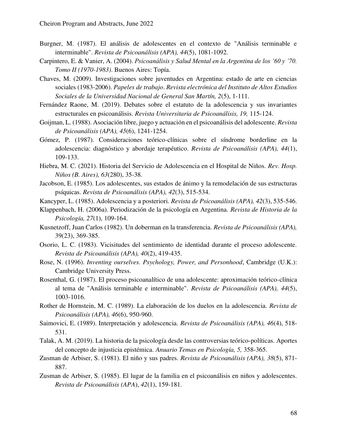- Burgner, M. (1987). El análisis de adolescentes en el contexto de "Análisis terminable e interminable". *Revista de Psicoanálisis (APA), 44*(5), 1081-1092.
- Carpintero, E. & Vanier, A. (2004). *Psicoanálisis y Salud Mental en la Argentina de los '60 y '70. Tomo II (1970-1983)*. Buenos Aires: Topía.
- Chaves, M. (2009). Investigaciones sobre juventudes en Argentina: estado de arte en ciencias sociales (1983-2006). *Papeles de trabajo*. *Revista electrónica del Instituto de Altos Estudios Sociales de la Universidad Nacional de General San Martín, 2*(5), 1-111.
- Fernández Raone, M. (2019). Debates sobre el estatuto de la adolescencia y sus invariantes estructurales en psicoanálisis. *Revista Universitaria de Psicoanálisis, 19,* 115-124.
- Goijman, L. (1988). Asociación libre, juego y actuación en el psicoanálisis del adolescente. *Revista de Psicoanálisis (APA), 45*(6), 1241-1254.
- Gómez, P. (1987). Consideraciones teórico-clínicas sobre el síndrome borderline en la adolescencia: diagnóstico y abordaje terapéutico. *Revista de Psicoanálisis (APA), 44*(1), 109-133.
- Hiebra, M. C. (2021). Historia del Servicio de Adolescencia en el Hospital de Niños. *Rev. Hosp. Niños (B. Aires), 63*(280), 35-38.
- Jacobson, E. (1985). Los adolescentes, sus estados de ánimo y la remodelación de sus estructuras psíquicas. *Revista de Psicoanálisis (APA), 42*(3), 515-534.
- Kancyper, L. (1985). Adolescencia y a posteriori. *Revista de Psicoanálisis (APA), 42*(3), 535-546.
- Klappenbach, H. (2006a). Periodización de la psicología en Argentina. *Revista de Historia de la Psicología, 27*(1), 109-164.
- Kusnetzoff, Juan Carlos (1982). [Un doberman en la transferencia.](http://apa.opac.ar/greenstone/cgi-bin/library.cgi?e=d-01000-00---off-0revapa--00-1----0-10-0---0---0direct-10---4-------0-1l--11-es-Zz-1---20-about---00-3-1-00-0-0-11-1-0utfZz-8-00&a=d&c=revapa&cl=CL1.1.29&d=19823923p0369) *Revista de Psicoanálisis (APA),* 39(23), 369-385.
- Osorio, L. C. (1983). Vicisitudes del sentimiento de identidad durante el proceso adolescente. *Revista de Psicoanálisis (APA), 40*(2), 419-435.
- Rose, N. (1996). *Inventing ourselves. Psychology, Power, and Personhood*, Cambridge (U.K.): Cambridge University Press.
- Rosenthal, G. (1987). El proceso psicoanalítico de una adolescente: aproximación teórico-clínica al tema de "Análisis terminable e interminable". *Revista de Psicoanálisis (APA), 44*(5), 1003-1016.
- Rother de Hornstein, M. C. (1989). La elaboración de los duelos en la adolescencia. *Revista de Psicoanálisis (APA), 46*(6), 950-960.
- Saimovici, E. (1989). Interpretación y adolescencia. *Revista de Psicoanálisis (APA), 46*(4), 518- 531.
- Talak, A. M. (2019). La historia de la psicología desde las controversias teórico-políticas. Aportes del concepto de injusticia epistémica. *Anuario Temas en Psicología, 5,* 358-365.
- Zusman de Arbiser, S. (1981). [El niño y sus padres.](http://apa.opac.ar/greenstone/cgi-bin/library.cgi?e=d-01000-00---off-0revapa--00-1----0-10-0---0---0direct-10---4-------0-1l--11-es-Zz-1---20-about---00-3-1-00-0-0-11-1-0utfZz-8-00&a=d&c=revapa&cl=CL1.1.31&d=19813805p0871) *Revista de Psicoanálisis (APA), 38*(5), 871- 887.
- Zusman de Arbiser, S. (1985). El lugar de la familia en el psicoanálisis en niños y adolescentes. *Revista de Psicoanálisis (APA*), *42*(1), 159-181.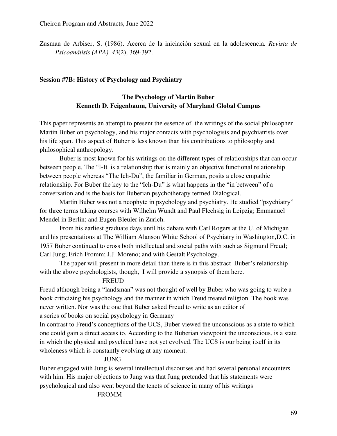Zusman de Arbiser, S. (1986). Acerca de la iniciación sexual en la adolescencia. *Revista de Psicoanálisis (APA), 43*(2), 369-392.

### **Session #7B: History of Psychology and Psychiatry**

## **The Psychology of Martin Buber Kenneth D. Feigenbaum, University of Maryland Global Campus**

This paper represents an attempt to present the essence of. the writings of the social philosopher Martin Buber on psychology, and his major contacts with psychologists and psychiatrists over his life span. This aspect of Buber is less known than his contributions to philosophy and philosophical anthropology.

Buber is most known for his writings on the different types of relationships that can occur between people. The "I-It is a relationship that is mainly an objective functional relationship between people whereas "The Ich-Du", the familiar in German, posits a close empathic relationship. For Buber the key to the "Ich-Du" is what happens in the "in between" of a conversation and is the basis for Buberian psychotherapy termed Dialogical.

Martin Buber was not a neophyte in psychology and psychiatry. He studied "psychiatry" for three terms taking courses with Wilhelm Wundt and Paul Flechsig in Leipzig; Emmanuel Mendel in Berlin; and Eugen Bleuler in Zurich.

From his earliest graduate days until his debate with Carl Rogers at the U. of Michigan and his presentations at The William Alanson White School of Psychiatry in Washington,D.C. in 1957 Buber continued to cross both intellectual and social paths with such as Sigmund Freud; Carl Jung; Erich Fromm; J.J. Moreno; and with Gestalt Psychology.

The paper will present in more detail than there is in this abstract Buber's relationship with the above psychologists, though, I will provide a synopsis of them here.

### FREUD

Freud although being a "landsman" was not thought of well by Buber who was going to write a book criticizing his psychology and the manner in which Freud treated religion. The book was never written. Nor was the one that Buber asked Freud to write as an editor of a series of books on social psychology in Germany

In contrast to Freud's conceptions of the UCS, Buber viewed the unconscious as a state to which one could gain a direct access to. According to the Buberian viewpoint the unconscious. is a state in which the physical and psychical have not yet evolved. The UCS is our being itself in its wholeness which is constantly evolving at any moment.

### JUNG

Buber engaged with Jung is several intellectual discourses and had several personal encounters with him. His major objections to Jung was that Jung pretended that his statements were psychological and also went beyond the tenets of science in many of his writings

### FROMM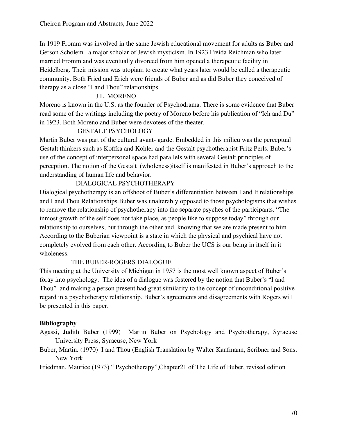In 1919 Fromm was involved in the same Jewish educational movement for adults as Buber and Gerson Scholem , a major scholar of Jewish mysticism. In 1923 Freida Reichman who later married Fromm and was eventually divorced from him opened a therapeutic facility in Heidelberg. Their mission was utopian; to create what years later would be called a therapeutic community. Both Fried and Erich were friends of Buber and as did Buber they conceived of therapy as a close "I and Thou" relationships.

### J.L. MORENO

Moreno is known in the U.S. as the founder of Psychodrama. There is some evidence that Buber read some of the writings including the poetry of Moreno before his publication of "Ich and Du" in 1923. Both Moreno and Buber were devotees of the theater.

## GESTALT PSYCHOLOGY

Martin Buber was part of the cultural avant- garde. Embedded in this milieu was the perceptual Gestalt thinkers such as Koffka and Kohler and the Gestalt psychotherapist Fritz Perls. Buber's use of the concept of interpersonal space had parallels with several Gestalt principles of perception. The notion of the Gestalt (wholeness)itself is manifested in Buber's approach to the understanding of human life and behavior.

## DIALOGICAL PSYCHOTHERAPY

Dialogical psychotherapy is an offshoot of Buber's differentiation between I and It relationships and I and Thou Relationships.Buber was unalterably opposed to those psychologisms that wishes to remove the relationship of psychotherapy into the separate psyches of the participants. "The inmost growth of the self does not take place, as people like to suppose today" through our relationship to ourselves, but through the other and. knowing that we are made present to him According to the Buberian viewpoint is a state in which the physical and psychical have not completely evolved from each other. According to Buber the UCS is our being in itself in it wholeness.

### THE BUBER-ROGERS DIALOGUE

This meeting at the University of Michigan in 1957 is the most well known aspect of Buber's foray into psychology. The idea of a dialogue was fostered by the notion that Buber's "I and Thou" and making a person present had great similarity to the concept of unconditional positive regard in a psychotherapy relationship. Buber's agreements and disagreements with Rogers will be presented in this paper.

### **Bibliography**

- Agassi, Judith Buber (1999) Martin Buber on Psychology and Psychotherapy, Syracuse University Press, Syracuse, New York
- Buber, Martin. (1970) I and Thou (English Translation by Walter Kaufmann, Scribner and Sons, New York

Friedman, Maurice (1973) " Psychotherapy",Chapter21 of The Life of Buber, revised edition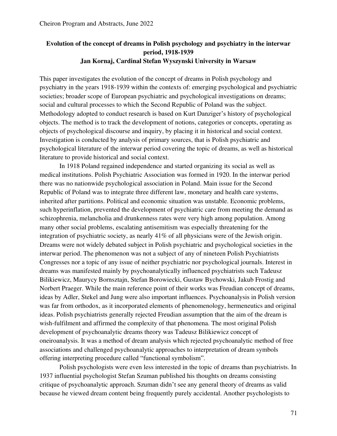## **Evolution of the concept of dreams in Polish psychology and psychiatry in the interwar period, 1918-1939 Jan Kornaj, Cardinal Stefan Wyszynski University in Warsaw**

This paper investigates the evolution of the concept of dreams in Polish psychology and psychiatry in the years 1918-1939 within the contexts of: emerging psychological and psychiatric societies; broader scope of European psychiatric and psychological investigations on dreams; social and cultural processes to which the Second Republic of Poland was the subject. Methodology adopted to conduct research is based on Kurt Danziger's history of psychological objects. The method is to track the development of notions, categories or concepts, operating as objects of psychological discourse and inquiry, by placing it in historical and social context. Investigation is conducted by analysis of primary sources, that is Polish psychiatric and psychological literature of the interwar period covering the topic of dreams, as well as historical literature to provide historical and social context.

In 1918 Poland regained independence and started organizing its social as well as medical institutions. Polish Psychiatric Association was formed in 1920. In the interwar period there was no nationwide psychological association in Poland. Main issue for the Second Republic of Poland was to integrate three different law, monetary and health care systems, inherited after partitions. Political and economic situation was unstable. Economic problems, such hyperinflation, prevented the development of psychiatric care from meeting the demand as schizophrenia, melancholia and drunkenness rates were very high among population. Among many other social problems, escalating antisemitism was especially threatening for the integration of psychiatric society, as nearly 41% of all physicians were of the Jewish origin. Dreams were not widely debated subject in Polish psychiatric and psychological societies in the interwar period. The phenomenon was not a subject of any of nineteen Polish Psychiatrists Congresses nor a topic of any issue of neither psychiatric nor psychological journals. Interest in dreams was manifested mainly by psychoanalytically influenced psychiatrists such Tadeusz Bilikiewicz, Maurycy Bornsztajn, Stefan Borowiecki, Gustaw Bychowski, Jakub Frostig and Norbert Praeger. While the main reference point of their works was Freudian concept of dreams, ideas by Adler, Stekel and Jung were also important influences. Psychoanalysis in Polish version was far from orthodox, as it incorporated elements of phenomenology, hermeneutics and original ideas. Polish psychiatrists generally rejected Freudian assumption that the aim of the dream is wish-fulfilment and affirmed the complexity of that phenomena. The most original Polish development of psychoanalytic dreams theory was Tadeusz Bilikiewicz concept of oneiroanalysis. It was a method of dream analysis which rejected psychoanalytic method of free associations and challenged psychoanalytic approaches to interpretation of dream symbols offering interpreting procedure called "functional symbolism".

Polish psychologists were even less interested in the topic of dreams than psychiatrists. In 1937 influential psychologist Stefan Szuman published his thoughts on dreams consisting critique of psychoanalytic approach. Szuman didn't see any general theory of dreams as valid because he viewed dream content being frequently purely accidental. Another psychologists to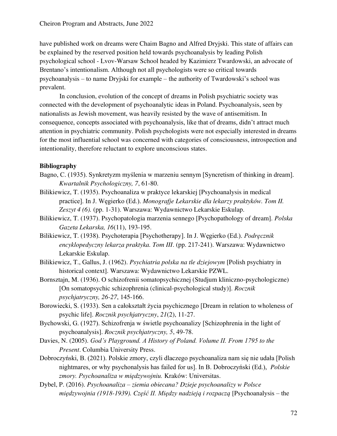have published work on dreams were Chaim Bagno and Alfred Dryjski. This state of affairs can be explained by the reserved position held towards psychoanalysis by leading Polish psychological school - Lvov-Warsaw School headed by Kazimierz Twardowski, an advocate of Brentano's intentionalism. Although not all psychologists were so critical towards psychoanalysis – to name Dryjski for example – the authority of Twardowski's school was prevalent.

In conclusion, evolution of the concept of dreams in Polish psychiatric society was connected with the development of psychoanalytic ideas in Poland. Psychoanalysis, seen by nationalists as Jewish movement, was heavily resisted by the wave of antisemitism. In consequence, concepts associated with psychoanalysis, like that of dreams, didn't attract much attention in psychiatric community. Polish psychologists were not especially interested in dreams for the most influential school was concerned with categories of consciousness, introspection and intentionality, therefore reluctant to explore unconscious states.

## **Bibliography**

- Bagno, C. (1935). Synkretyzm myślenia w marzeniu sennym [Syncretism of thinking in dream]. *Kwartalnik Psychologiczny, 7*, 61-80.
- Bilikiewicz, T. (1935). Psychoanaliza w praktyce lekarskiej [Psychoanalysis in medical practice]. In J. Węgierko (Ed.). *Monografje Lekarskie dla lekarzy praktyków. Tom II. Zeszyt 4 (6).* (pp. 1-31). Warszawa: Wydawnictwo Lekarskie Eskulap.

Bilikiewicz, T. (1937). Psychopatologia marzenia sennego [Psychopathology of dream]. *Polska Gazeta Lekarska, 16*(11), 193-195.

- Bilikiewicz, T. (1938). Psychoterapia [Psychotherapy]. In J. Węgierko (Ed.). *Podręcznik encyklopedyczny lekarza praktyka. Tom III*. (pp. 217-241). Warszawa: Wydawnictwo Lekarskie Eskulap.
- Bilikiewicz, T., Gallus, J. (1962). *Psychiatria polska na tle dziejowym* [Polish psychiatry in historical context]. Warszawa: Wydawnictwo Lekarskie PZWL.
- Bornsztajn, M. (1936). O schizofrenii somatopsychicznej (Studjum kliniczno-psychologiczne) [On somatopsychic schizophrenia (clinical-psychological study)]. *Rocznik psychjatryczny, 26-27*, 145-166.
- Borowiecki, S. (1933). Sen a całokształt życia psychicznego [Dream in relation to wholeness of psychic life]. *Rocznik psychjatryczny*, *21*(2), 11-27.
- Bychowski, G. (1927). Schizofrenja w świetle psychoanalizy [Schizophrenia in the light of psychoanalysis]. *Rocznik psychjatryczny, 5*, 49-78.
- Davies, N. (2005). *God's Playground. A History of Poland. Volume II. From 1795 to the Present*. Columbia University Press.
- Dobroczyński, B. (2021). Polskie zmory, czyli dlaczego psychoanaliza nam się nie udała [Polish nightmares, or why psychonalysis has failed for us]. In B. Dobroczyński (Ed.), *Polskie zmory. Psychoanaliza w międzywojniu.* Kraków: Universitas.
- Dybel, P. (2016). *Psychoanaliza – ziemia obiecana? Dzieje psychoanalizy w Polsce międzywojnia (1918-1939). Część II. Między nadzieją i rozpaczą* [Psychoanalysis – the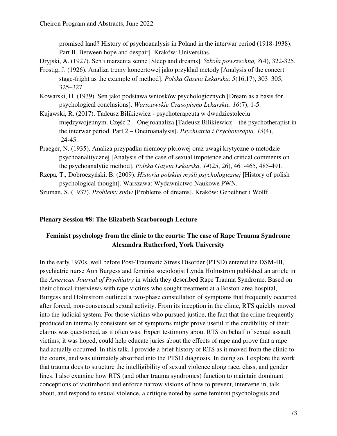promised land? History of psychoanalysis in Poland in the interwar period (1918-1938). Part II. Between hope and despair]*.* Kraków: Universitas.

Dryjski, A. (1927). Sen i marzenia senne [Sleep and dreams]. *Szkoła powszechna, 8*(4), 322-325.

- Frostig, J. (1926). Analiza tremy koncertowej jako przykład metody [Analysis of the concert stage-fright as the example of method]. *Polska Gazeta Lekarska, 5*(16,17), 303–305, 325–327.
- Kowarski, H. (1939). Sen jako podstawa wniosków psychologicznych [Dream as a basis for psychological conclusions]. *Warszawskie Czasopismo Lekarskie. 16*(7), 1-5.
- Kujawski, R. (2017). Tadeusz Bilikiewicz psychoterapeuta w dwudziestoleciu międzywojennym. Część 2 – Onejroanaliza [Tadeusz Bilikiewicz – the psychotherapist in the interwar period. Part 2 – Oneiroanalysis]. *Psychiatria i Psychoterapia, 13*(4), 24-45.
- Praeger, N. (1935). Analiza przypadku niemocy płciowej oraz uwagi krytyczne o metodzie psychoanalitycznej [Analysis of the case of sexual impotence and critical comments on the psychoanalytic method]. *Polska Gazeta Lekarska, 14*(25, 26), 461-465, 485-491.
- Rzepa, T., Dobroczyński, B. (2009). *Historia polskiej myśli psychologicznej* [History of polish psychological thought]. Warszawa: Wydawnictwo Naukowe PWN.

Szuman, S. (1937). *Problemy snów* [Problems of dreams]. Kraków: Gebethner i Wolff.

### **Plenary Session #8: The Elizabeth Scarborough Lecture**

## **Feminist psychology from the clinic to the courts: The case of Rape Trauma Syndrome Alexandra Rutherford, York University**

In the early 1970s, well before Post-Traumatic Stress Disorder (PTSD) entered the DSM-III, psychiatric nurse Ann Burgess and feminist sociologist Lynda Holmstrom published an article in the *American Journal of Psychiatry* in which they described Rape Trauma Syndrome. Based on their clinical interviews with rape victims who sought treatment at a Boston-area hospital, Burgess and Holmstrom outlined a two-phase constellation of symptoms that frequently occurred after forced, non-consensual sexual activity. From its inception in the clinic, RTS quickly moved into the judicial system. For those victims who pursued justice, the fact that the crime frequently produced an internally consistent set of symptoms might prove useful if the credibility of their claims was questioned, as it often was. Expert testimony about RTS on behalf of sexual assault victims, it was hoped, could help educate juries about the effects of rape and prove that a rape had actually occurred. In this talk, I provide a brief history of RTS as it moved from the clinic to the courts, and was ultimately absorbed into the PTSD diagnosis. In doing so, I explore the work that trauma does to structure the intelligibility of sexual violence along race, class, and gender lines. I also examine how RTS (and other trauma syndromes) function to maintain dominant conceptions of victimhood and enforce narrow visions of how to prevent, intervene in, talk about, and respond to sexual violence, a critique noted by some feminist psychologists and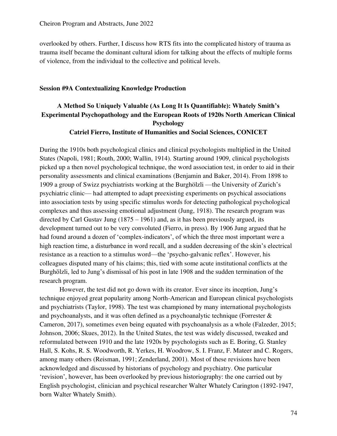overlooked by others. Further, I discuss how RTS fits into the complicated history of trauma as trauma itself became the dominant cultural idiom for talking about the effects of multiple forms of violence, from the individual to the collective and political levels.

#### **Session #9A Contextualizing Knowledge Production**

## **A Method So Uniquely Valuable (As Long It Is Quantifiable): Whately Smith's Experimental Psychopathology and the European Roots of 1920s North American Clinical Psychology Catriel Fierro, Institute of Humanities and Social Sciences, CONICET**

During the 1910s both psychological clinics and clinical psychologists multiplied in the United States (Napoli, 1981; Routh, 2000; Wallin, 1914). Starting around 1909, clinical psychologists picked up a then novel psychological technique, the word association test, in order to aid in their personality assessments and clinical examinations (Benjamin and Baker, 2014). From 1898 to 1909 a group of Swizz psychiatrists working at the Burghölzli —the University of Zurich's psychiatric clinic— had attempted to adapt preexisting experiments on psychical associations into association tests by using specific stimulus words for detecting pathological psychological complexes and thus assessing emotional adjustment (Jung, 1918). The research program was directed by Carl Gustav Jung  $(1875 - 1961)$  and, as it has been previously argued, its development turned out to be very convoluted (Fierro, in press). By 1906 Jung argued that he had found around a dozen of 'complex-indicators', of which the three most important were a high reaction time, a disturbance in word recall, and a sudden decreasing of the skin's electrical resistance as a reaction to a stimulus word—the 'psycho-galvanic reflex'. However, his colleagues disputed many of his claims; this, tied with some acute institutional conflicts at the Burghölzli, led to Jung's dismissal of his post in late 1908 and the sudden termination of the research program.

However, the test did not go down with its creator. Ever since its inception, Jung's technique enjoyed great popularity among North-American and European clinical psychologists and psychiatrists (Taylor, 1998). The test was championed by many international psychologists and psychoanalysts, and it was often defined as a psychoanalytic technique (Forrester & Cameron, 2017), sometimes even being equated with psychoanalysis as a whole (Falzeder, 2015; Johnson, 2006; Skues, 2012). In the United States, the test was widely discussed, tweaked and reformulated between 1910 and the late 1920s by psychologists such as E. Boring, G. Stanley Hall, S. Kohs, R. S. Woodworth, R. Yerkes, H. Woodrow, S. I. Franz, F. Mateer and C. Rogers, among many others (Reisman, 1991; Zenderland, 2001). Most of these revisions have been acknowledged and discussed by historians of psychology and psychiatry. One particular 'revision', however, has been overlooked by previous historiography: the one carried out by English psychologist, clinician and psychical researcher Walter Whately Carington (1892-1947, born Walter Whately Smith).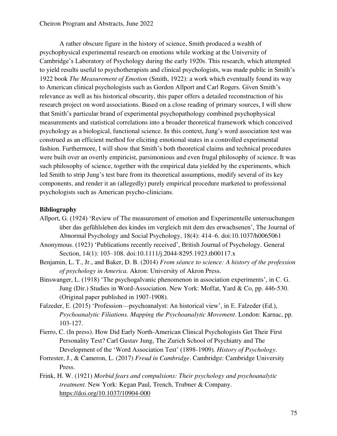A rather obscure figure in the history of science, Smith produced a wealth of psychophysical experimental research on emotions while working at the University of Cambridge's Laboratory of Psychology during the early 1920s. This research, which attempted to yield results useful to psychotherapists and clinical psychologists, was made public in Smith's 1922 book *The Measurement of Emotion* (Smith, 1922): a work which eventually found its way to American clinical psychologists such as Gordon Allport and Carl Rogers. Given Smith's relevance as well as his historical obscurity, this paper offers a detailed reconstruction of his research project on word associations. Based on a close reading of primary sources, I will show that Smith's particular brand of experimental psychopathology combined psychophysical measurements and statistical correlations into a broader theoretical framework which conceived psychology as a biological, functional science. In this context, Jung's word association test was construed as an efficient method for eliciting emotional states in a controlled experimental fashion. Furthermore, I will show that Smith's both theoretical claims and technical procedures were built over an overtly empiricist, parsimonious and even frugal philosophy of science. It was such philosophy of science, together with the empirical data yielded by the experiments, which led Smith to strip Jung's test bare from its theoretical assumptions, modify several of its key components, and render it an (allegedly) purely empirical procedure marketed to professional psychologists such as American psycho-clinicians.

### **Bibliography**

- Allport, G. (1924) 'Review of The measurement of emotion and Experimentelle untersuchungen über das gefühlsleben des kindes im vergleich mit dem des erwachsenen', The Journal of Abnormal Psychology and Social Psychology, 18(4): 414–6. doi:10.1037/h0065061
- Anonymous. (1923) 'Publications recently received', British Journal of Psychology. General Section, 14(1): 103–108. doi:10.1111/j.2044-8295.1923.tb00117.x
- Benjamin, L. T., Jr., and Baker, D. B. (2014) *From séance to science: A history of the profession of psychology in America.* Akron: University of Akron Press.
- Binswanger, L. (1918) 'The psychogalvanic phenomenon in association experiments', in C. G. Jung (Dir.) Studies in Word-Association. New York: Moffat, Yard & Co, pp. 446-530. (Original paper published in 1907-1908).
- Falzeder, E. (2015) 'Profession—psychoanalyst: An historical view', in E. Falzeder (Ed.), *Psychoanalytic Filiations. Mapping the Psychoanalytic Movement*. London: Karnac, pp. 103-127.
- Fierro, C. (In press). How Did Early North-American Clinical Psychologists Get Their First Personality Test? Carl Gustav Jung, The Zurich School of Psychiatry and The Development of the 'Word Association Test' (1898-1909)*. History of Psychology*.
- Forrester, J., & Cameron, L. (2017) *Freud in Cambridge*. Cambridge: Cambridge University Press.
- Frink, H. W. (1921) *Morbid fears and compulsions: Their psychology and psychoanalytic treatment*. New York: Kegan Paul, Trench, Trubner & Company. <https://doi.org/10.1037/10904-000>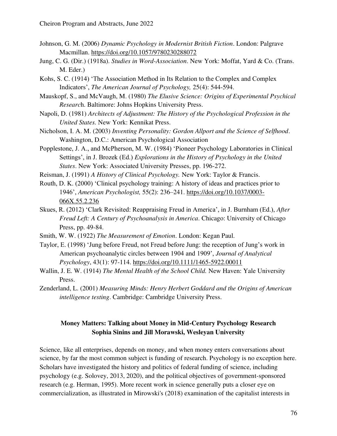- Johnson, G. M. (2006) *Dynamic Psychology in Modernist British Fiction*. London: Palgrave Macmillan.<https://doi.org/10.1057/9780230288072>
- Jung, C. G. (Dir.) (1918a). *Studies in Word-Association*. New York: Moffat, Yard & Co. (Trans. M. Eder.)
- Kohs, S. C. (1914) 'The Association Method in Its Relation to the Complex and Complex Indicators', *The American Journal of Psychology,* 25(4): 544-594.
- Mauskopf, S., and McVaugh, M. (1980) *The Elusive Science: Origins of Experimental Psychical Researc*h. Baltimore: Johns Hopkins University Press.
- Napoli, D. (1981) *Architects of Adjustment: The History of the Psychological Profession in the United States.* New York: Kennikat Press.
- Nicholson, I. A. M. (2003) *Inventing Personality: Gordon Allport and the Science of Selfhood*. Washington, D.C.: American Psychological Association
- Popplestone, J. A., and McPherson, M. W. (1984) 'Pioneer Psychology Laboratories in Clinical Settings', in J. Brozek (Ed.) *Explorations in the History of Psychology in the United States*. New York: Associated University Presses, pp. 196-272.
- Reisman, J. (1991) *A History of Clinical Psychology.* New York: Taylor & Francis.
- Routh, D. K. (2000) 'Clinical psychology training: A history of ideas and practices prior to 1946', *American Psychologist,* 55(2): 236–241. [https://doi.org/10.1037/0003-](https://doi.org/10.1037/0003-066X.55.2.236) [066X.55.2.236](https://doi.org/10.1037/0003-066X.55.2.236)
- Skues, R. (2012) 'Clark Revisited: Reappraising Freud in America', in J. Burnham (Ed.), *After Freud Left: A Century of Psychoanalysis in America*. Chicago: University of Chicago Press, pp. 49-84.
- Smith, W. W. (1922) *The Measurement of Emotion*. London: Kegan Paul.
- Taylor, E. (1998) 'Jung before Freud, not Freud before Jung: the reception of Jung's work in American psychoanalytic circles between 1904 and 1909', *Journal of Analytical Psychology*, 43(1): 97-114.<https://doi.org/10.1111/1465-5922.00011>
- Wallin, J. E. W. (1914) *The Mental Health of the School Child.* New Haven: Yale University Press.
- Zenderland, L. (2001) *Measuring Minds: Henry Herbert Goddard and the Origins of American intelligence testing*. Cambridge: Cambridge University Press.

## **Money Matters: Talking about Money in Mid-Century Psychology Research Sophia Sinins and Jill Morawski, Wesleyan University**

Science, like all enterprises, depends on money, and when money enters conversations about science, by far the most common subject is funding of research. Psychology is no exception here. Scholars have investigated the history and politics of federal funding of science, including psychology (e.g. Solovey, 2013, 2020), and the political objectives of government-sponsored research (e.g. Herman, 1995). More recent work in science generally puts a closer eye on commercialization, as illustrated in Mirowski's (2018) examination of the capitalist interests in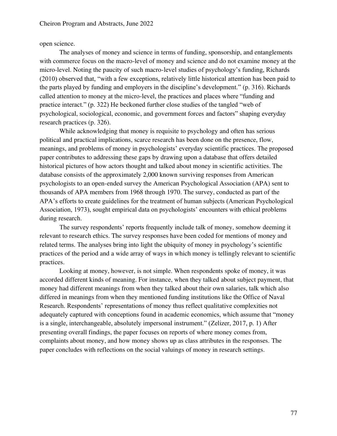open science.

The analyses of money and science in terms of funding, sponsorship, and entanglements with commerce focus on the macro-level of money and science and do not examine money at the micro-level. Noting the paucity of such macro-level studies of psychology's funding, Richards (2010) observed that, "with a few exceptions, relatively little historical attention has been paid to the parts played by funding and employers in the discipline's development." (p. 316). Richards called attention to money at the micro-level, the practices and places where "funding and practice interact." (p. 322) He beckoned further close studies of the tangled "web of psychological, sociological, economic, and government forces and factors" shaping everyday research practices (p. 326).

While acknowledging that money is requisite to psychology and often has serious political and practical implications, scarce research has been done on the presence, flow, meanings, and problems of money in psychologists' everyday scientific practices. The proposed paper contributes to addressing these gaps by drawing upon a database that offers detailed historical pictures of how actors thought and talked about money in scientific activities. The database consists of the approximately 2,000 known surviving responses from American psychologists to an open-ended survey the American Psychological Association (APA) sent to thousands of APA members from 1968 through 1970. The survey, conducted as part of the APA's efforts to create guidelines for the treatment of human subjects (American Psychological Association, 1973), sought empirical data on psychologists' encounters with ethical problems during research.

The survey respondents' reports frequently include talk of money, somehow deeming it relevant to research ethics. The survey responses have been coded for mentions of money and related terms. The analyses bring into light the ubiquity of money in psychology's scientific practices of the period and a wide array of ways in which money is tellingly relevant to scientific practices.

Looking at money, however, is not simple. When respondents spoke of money, it was accorded different kinds of meaning. For instance, when they talked about subject payment, that money had different meanings from when they talked about their own salaries, talk which also differed in meanings from when they mentioned funding institutions like the Office of Naval Research. Respondents' representations of money thus reflect qualitative complexities not adequately captured with conceptions found in academic economics, which assume that "money is a single, interchangeable, absolutely impersonal instrument." (Zelizer, 2017, p. 1) After presenting overall findings, the paper focuses on reports of where money comes from, complaints about money, and how money shows up as class attributes in the responses. The paper concludes with reflections on the social valuings of money in research settings.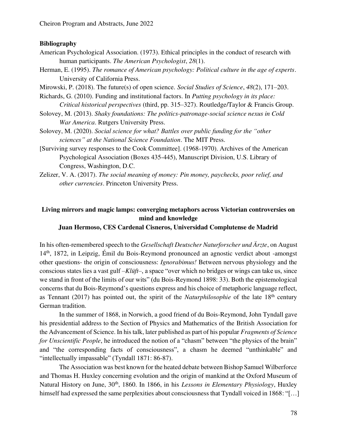#### **Bibliography**

- American Psychological Association. (1973). Ethical principles in the conduct of research with human participants. *The American Psychologist*, *28*(1).
- Herman, E. (1995). *The romance of American psychology: Political culture in the age of experts*. University of California Press.
- Mirowski, P. (2018). The future(s) of open science. *Social Studies of Science*, *48*(2), 171–203.
- Richards, G. (2010). Funding and institutional factors. In *Putting psychology in its place: Critical historical perspectives* (third, pp. 315–327). Routledge/Taylor & Francis Group.
- Solovey, M. (2013). *Shaky foundations: The politics-patronage-social science nexus in Cold War America*. Rutgers University Press.
- Solovey, M. (2020). *Social science for what? Battles over public funding for the "other sciences" at the National Science Foundation*. The MIT Press.
- [Surviving survey responses to the Cook Committee]. (1968-1970). Archives of the American Psychological Association (Boxes 435-445), Manuscript Division, U.S. Library of Congress, Washington, D.C.
- Zelizer, V. A. (2017). *The social meaning of money: Pin money, paychecks, poor relief, and other currencies*. Princeton University Press.

# **Living mirrors and magic lamps: converging metaphors across Victorian controversies on mind and knowledge**

**Juan Hermoso, CES Cardenal Cisneros, Universidad Complutense de Madrid** 

In his often-remembered speech to the *Gesellschaft Deutscher Naturforscher und Ärzte*, on August 14th, 1872, in Leipzig, Émil du Bois-Reymond pronounced an agnostic verdict about -amongst other questions- the origin of consciousness: *Ignorabimus!* Between nervous physiology and the conscious states lies a vast gulf –*Klüft*–, a space "over which no bridges or wings can take us, since we stand in front of the limits of our wits" (du Bois-Reymond 1898: 33). Both the epistemological concerns that du Bois-Reymond's questions express and his choice of metaphoric language reflect, as Tennant (2017) has pointed out, the spirit of the *Naturphilosophie* of the late 18<sup>th</sup> century German tradition.

In the summer of 1868, in Norwich, a good friend of du Bois-Reymond, John Tyndall gave his presidential address to the Section of Physics and Mathematics of the British Association for the Advancement of Science. In his talk, later published as part of his popular *Fragments of Science for Unscientific People*, he introduced the notion of a "chasm" between "the physics of the brain" and "the corresponding facts of consciousness", a chasm he deemed "unthinkable" and "intellectually impassable" (Tyndall 1871: 86-87).

The Association was best known for the heated debate between Bishop Samuel Wilberforce and Thomas H. Huxley concerning evolution and the origin of mankind at the Oxford Museum of Natural History on June, 30<sup>th</sup>, 1860. In 1866, in his *Lessons in Elementary Physiology*, Huxley himself had expressed the same perplexities about consciousness that Tyndall voiced in 1868: "[...]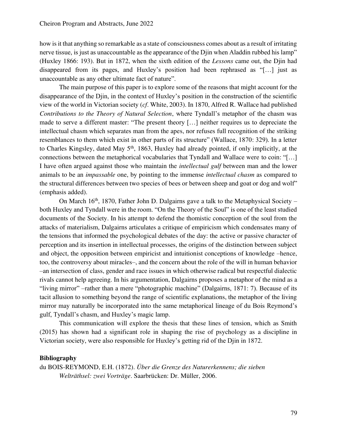how is it that anything so remarkable as a state of consciousness comes about as a result of irritating nerve tissue, is just as unaccountable as the appearance of the Djin when Aladdin rubbed his lamp" (Huxley 1866: 193). But in 1872, when the sixth edition of the *Lessons* came out, the Djin had disappeared from its pages, and Huxley's position had been rephrased as "[…] just as unaccountable as any other ultimate fact of nature".

The main purpose of this paper is to explore some of the reasons that might account for the disappearance of the Djin, in the context of Huxley's position in the construction of the scientific view of the world in Victorian society (*cf*. White, 2003). In 1870, Alfred R. Wallace had published *Contributions to the Theory of Natural Selection*, where Tyndall's metaphor of the chasm was made to serve a different master: "The present theory […] neither requires us to depreciate the intellectual chasm which separates man from the apes, nor refuses full recognition of the striking resemblances to them which exist in other parts of its structure" (Wallace, 1870: 329). In a letter to Charles Kingsley, dated May 5<sup>th</sup>, 1863, Huxley had already pointed, if only implicitly, at the connections between the metaphorical vocabularies that Tyndall and Wallace were to coin: "[…] I have often argued against those who maintain the *intellectual gulf* between man and the lower animals to be an *impassable* one, by pointing to the immense *intellectual chasm* as compared to the structural differences between two species of bees or between sheep and goat or dog and wolf" (emphasis added).

On March  $16<sup>th</sup>$ , 1870, Father John D. Dalgairns gave a talk to the Metaphysical Society – both Huxley and Tyndall were in the room. "On the Theory of the Soul" is one of the least studied documents of the Society. In his attempt to defend the thomistic conception of the soul from the attacks of materialism, Dalgairns articulates a critique of empiricism which condensates many of the tensions that informed the psychological debates of the day: the active or passive character of perception and its insertion in intellectual processes, the origins of the distinction between subject and object, the opposition between empiricist and intuitionist conceptions of knowledge –hence, too, the controversy about miracles–, and the concern about the role of the will in human behavior –an intersection of class, gender and race issues in which otherwise radical but respectful dialectic rivals cannot help agreeing. In his argumentation, Dalgairns proposes a metaphor of the mind as a "living mirror" –rather than a mere "photographic machine" (Dalgairns, 1871: 7). Because of its tacit allusion to something beyond the range of scientific explanations, the metaphor of the living mirror may naturally be incorporated into the same metaphorical lineage of du Bois Reymond's gulf, Tyndall's chasm, and Huxley's magic lamp.

This communication will explore the thesis that these lines of tension, which as Smith (2015) has shown had a significant role in shaping the rise of psychology as a discipline in Victorian society, were also responsible for Huxley's getting rid of the Djin in 1872.

#### **Bibliography**

du BOIS-REYMOND, E.H. (1872). *Über die Grenze des Naturerkennens; die sieben Welträthsel: zwei Vorträge*. Saarbrücken: Dr. Müller, 2006.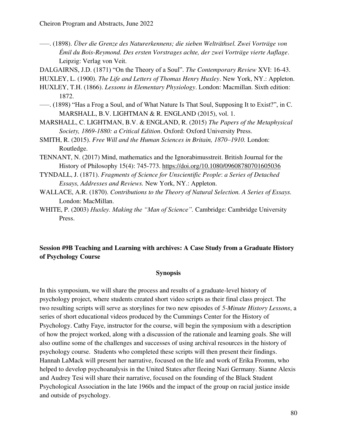- –––. (1898). *Über die Grenze des Naturerkennens; die sieben Welträthsel. Zwei Vorträge von Émil du Bois-Reymond. Des ersten Vorstrages achte, der zwei Vorträge vierte Auflage*. Leipzig: Verlag von Veit.
- DALGAIRNS, J.D. (1871) "On the Theory of a Soul". *The Contemporary Review* XVI: 16-43.

HUXLEY, L. (1900). *The Life and Letters of Thomas Henry Huxley*. New York, NY.: Appleton.

- HUXLEY, T.H. (1866). *Lessons in Elementary Physiology*. London: Macmillan. Sixth edition: 1872.
- –––. (1898) "Has a Frog a Soul, and of What Nature Is That Soul, Supposing It to Exist?", in C. MARSHALL, B.V. LIGHTMAN & R. ENGLAND (2015), vol. 1.
- MARSHALL, C. LIGHTMAN, B.V. & ENGLAND, R. (2015) *The Papers of the Metaphysical Society, 1869-1880: a Critical Edition*. Oxford: Oxford University Press.
- SMITH, R. (2015). *Free Will and the Human Sciences in Britain, 1870–1910.* London: Routledge.
- TENNANT, N. (2017) Mind, mathematics and the Ignorabimusstreit. British Journal for the History of Philosophy 15(4): 745-773.<https://doi.org/10.1080/09608780701605036>
- TYNDALL, J. (1871). *Fragments of Science for Unscientific People*: *a Series of Detached Essays, Addresses and Reviews.* New York, NY.: Appleton.
- WALLACE, A.R. (1870). *Contributions to the Theory of Natural Selection. A Series of Essays.* London: MacMillan.
- WHITE, P. (2003) *Huxley. Making the "Man of Science".* Cambridge: Cambridge University Press.

### **Session #9B Teaching and Learning with archives: A Case Study from a Graduate History of Psychology Course**

#### **Synopsis**

In this symposium, we will share the process and results of a graduate-level history of psychology project, where students created short video scripts as their final class project. The two resulting scripts will serve as storylines for two new episodes of *5-Minute History Lessons*, a series of short educational videos produced by the Cummings Center for the History of Psychology. Cathy Faye, instructor for the course, will begin the symposium with a description of how the project worked, along with a discussion of the rationale and learning goals. She will also outline some of the challenges and successes of using archival resources in the history of psychology course. Students who completed these scripts will then present their findings. Hannah LaMack will present her narrative, focused on the life and work of Erika Fromm, who helped to develop psychoanalysis in the United States after fleeing Nazi Germany. Sianne Alexis and Audrey Tesi will share their narrative, focused on the founding of the Black Student Psychological Association in the late 1960s and the impact of the group on racial justice inside and outside of psychology.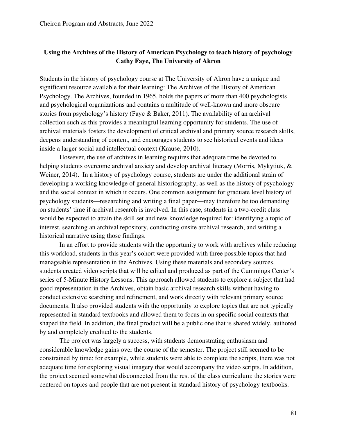## **Using the Archives of the History of American Psychology to teach history of psychology Cathy Faye, The University of Akron**

Students in the history of psychology course at The University of Akron have a unique and significant resource available for their learning: The Archives of the History of American Psychology. The Archives, founded in 1965, holds the papers of more than 400 psychologists and psychological organizations and contains a multitude of well-known and more obscure stories from psychology's history (Faye & Baker, 2011). The availability of an archival collection such as this provides a meaningful learning opportunity for students. The use of archival materials fosters the development of critical archival and primary source research skills, deepens understanding of content, and encourages students to see historical events and ideas inside a larger social and intellectual context (Krause, 2010).

However, the use of archives in learning requires that adequate time be devoted to helping students overcome archival anxiety and develop archival literacy (Morris, Mykytiuk, & Weiner, 2014). In a history of psychology course, students are under the additional strain of developing a working knowledge of general historiography, as well as the history of psychology and the social context in which it occurs. One common assignment for graduate level history of psychology students—researching and writing a final paper—may therefore be too demanding on students' time if archival research is involved. In this case, students in a two-credit class would be expected to attain the skill set and new knowledge required for: identifying a topic of interest, searching an archival repository, conducting onsite archival research, and writing a historical narrative using those findings.

In an effort to provide students with the opportunity to work with archives while reducing this workload, students in this year's cohort were provided with three possible topics that had manageable representation in the Archives. Using these materials and secondary sources, students created video scripts that will be edited and produced as part of the Cummings Center's series of 5-Minute History Lessons. This approach allowed students to explore a subject that had good representation in the Archives, obtain basic archival research skills without having to conduct extensive searching and refinement, and work directly with relevant primary source documents. It also provided students with the opportunity to explore topics that are not typically represented in standard textbooks and allowed them to focus in on specific social contexts that shaped the field. In addition, the final product will be a public one that is shared widely, authored by and completely credited to the students.

The project was largely a success, with students demonstrating enthusiasm and considerable knowledge gains over the course of the semester. The project still seemed to be constrained by time: for example, while students were able to complete the scripts, there was not adequate time for exploring visual imagery that would accompany the video scripts. In addition, the project seemed somewhat disconnected from the rest of the class curriculum: the stories were centered on topics and people that are not present in standard history of psychology textbooks.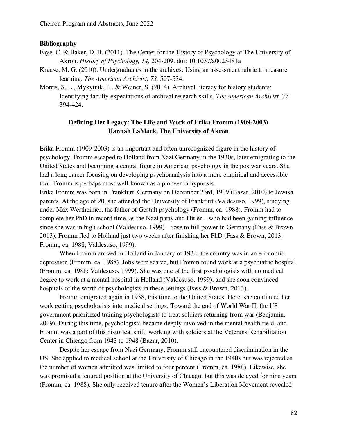#### **Bibliography**

- Faye, C. & Baker, D. B. (2011). The Center for the History of Psychology at The University of Akron. *History of Psychology, 14,* 204-209. doi: 10.1037/a0023481a
- Krause, M. G. (2010). Undergraduates in the archives: Using an assessment rubric to measure learning. *The American Archivist, 73,* 507-534.
- Morris, S. L., Mykytiuk, L., & Weiner, S. (2014). Archival literacy for history students: Identifying faculty expectations of archival research skills. *The American Archivist, 77,*  394-424.

### **Defining Her Legacy: The Life and Work of Erika Fromm (1909-2003) Hannah LaMack, The University of Akron**

Erika Fromm (1909-2003) is an important and often unrecognized figure in the history of psychology. Fromm escaped to Holland from Nazi Germany in the 1930s, later emigrating to the United States and becoming a central figure in American psychology in the postwar years. She had a long career focusing on developing psychoanalysis into a more empirical and accessible tool. Fromm is perhaps most well-known as a pioneer in hypnosis.

Erika Fromm was born in Frankfurt, Germany on December 23rd, 1909 (Bazar, 2010) to Jewish parents. At the age of 20, she attended the University of Frankfurt (Valdesuso, 1999), studying under Max Wertheimer, the father of Gestalt psychology (Fromm, ca. 1988). Fromm had to complete her PhD in record time, as the Nazi party and Hitler – who had been gaining influence since she was in high school (Valdesuso, 1999) – rose to full power in Germany (Fass & Brown, 2013). Fromm fled to Holland just two weeks after finishing her PhD (Fass & Brown, 2013; Fromm, ca. 1988; Valdesuso, 1999).

When Fromm arrived in Holland in January of 1934, the country was in an economic depression (Fromm, ca. 1988). Jobs were scarce, but Fromm found work at a psychiatric hospital (Fromm, ca. 1988; Valdesuso, 1999). She was one of the first psychologists with no medical degree to work at a mental hospital in Holland (Valdesuso, 1999), and she soon convinced hospitals of the worth of psychologists in these settings (Fass & Brown, 2013).

Fromm emigrated again in 1938, this time to the United States. Here, she continued her work getting psychologists into medical settings. Toward the end of World War II, the US government prioritized training psychologists to treat soldiers returning from war (Benjamin, 2019). During this time, psychologists became deeply involved in the mental health field, and Fromm was a part of this historical shift, working with soldiers at the Veterans Rehabilitation Center in Chicago from 1943 to 1948 (Bazar, 2010).

Despite her escape from Nazi Germany, Fromm still encountered discrimination in the US. She applied to medical school at the University of Chicago in the 1940s but was rejected as the number of women admitted was limited to four percent (Fromm, ca. 1988). Likewise, she was promised a tenured position at the University of Chicago, but this was delayed for nine years (Fromm, ca. 1988). She only received tenure after the Women's Liberation Movement revealed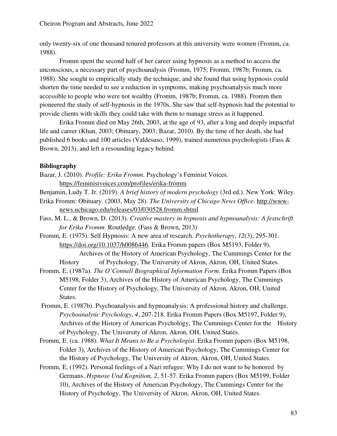only twenty-six of one thousand tenured professors at this university were women (Fromm, ca. 1988).

Fromm spent the second half of her career using hypnosis as a method to access the unconscious, a necessary part of psychoanalysis (Fromm, 1975; Fromm, 1987b; Fromm, ca. 1988). She sought to empirically study the technique, and she found that using hypnosis could shorten the time needed to see a reduction in symptoms, making psychoanalysis much more accessible to people who were not wealthy (Fromm, 1987b; Fromm, ca. 1988). Fromm then pioneered the study of self-hypnosis in the 1970s. She saw that self-hypnosis had the potential to provide clients with skills they could take with them to manage stress as it happened.

Erika Fromm died on May 26th, 2003, at the age of 93, after a long and deeply impactful life and career (Khan, 2003; Obituary, 2003; Bazar, 2010). By the time of her death, she had published 6 books and 100 articles (Valdesuso, 1999), trained numerous psychologists (Fass & Brown, 2013), and left a resounding legacy behind.

### **Bibliography**

- Bazar, J. (2010). *Profile: Erika Fromm*. Psychology's Feminist Voices. <https://feministvoices.com/profiles/erika-fromm>
- Benjamin, Ludy T. Jr. (2019). *A brief history of modern psychology* (3rd ed.). New York: Wiley.
- Erika Fromm: Obituary. (2003, May 28). *The University of Chicago News Office.* [http://www](http://www-news.uchicago.edu/releases/03/030528.fromm.shtml)[news.uchicago.edu/releases/03/030528.fromm.shtml](http://www-news.uchicago.edu/releases/03/030528.fromm.shtml)
- Fass, M. L., & Brown, D. (2013). *Creative mastery in hypnosis and hypnoanalysis: A festschrift for Erika Fromm*. Routledge. (Fass & Brown, 2013)
- Fromm, E. (1975). Self Hypnosis: A new area of research. *Psychotherapy*, *12*(3), 295-301. [https://doi.org/10.1037/h0086446.](https://doi.org/10.1037/h0086446) Erika Fromm papers (Box M5193, Folder 9),

 Archives of the History of American Psychology, The Cummings Center for the History of Psychology, The University of Akron, Akron, OH, United States.

- Fromm, E. (1987a). *The O'Connell Biographical Information Form.* Erika Fromm Papers (Box M5198, Folder 3), Archives of the History of American Psychology, The Cummings Center for the History of Psychology, The University of Akron, Akron, OH, United States.
- Fromm, E. (1987b). Psychoanalysis and hypnoanalysis: A professional history and challenge. *Psychoanalytic Psychology, 4*, 207-218. Erika Fromm Papers (Box M5197, Folder 9), Archives of the History of American Psychology, The Cummings Center for the History of Psychology, The University of Akron, Akron, OH, United States.
- Fromm, E. (ca. 1988). *What It Means to Be a Psychologist*. Erika Fromm papers (Box M5198, Folder 3), Archives of the History of American Psychology, The Cummings Center for the History of Psychology, The University of Akron, Akron, OH, United States.
- Fromm, E. (1992). Personal feelings of a Nazi refugee: Why I do not want to be honored by Germans. *Hypnose Und Kognition, 2*, 51-57. Erika Fromm papers (Box M5199, Folder 10), Archives of the History of American Psychology, The Cummings Center for the History of Psychology, The University of Akron, Akron, OH, United States.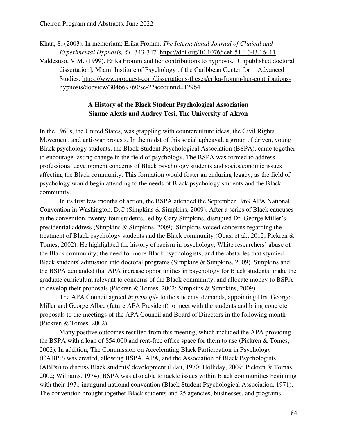Khan, S. (2003). In memoriam: Erika Fromm. *The International Journal of Clinical and Experimental Hypnosis, 51*, 343-347.<https://doi.org/10.1076/iceh.51.4.343.16411> Valdesuso, V.M. (1999). Erika Fromm and her contributions to hypnosis. [Unpublished doctoral dissertation]. Miami Institute of Psychology of the Caribbean Center for Advanced Studies. [https://www.proquest-com/dissertations-theses/erika-fromm-her-c](https://www.proquest-com/dissertations-theses/erika-fromm-her-)ontributionshypnosis/docview/304669760/se-2?accountid=12964

### **A History of the Black Student Psychological Association Sianne Alexis and Audrey Tesi, The University of Akron**

In the 1960s, the United States, was grappling with counterculture ideas, the Civil Rights Movement, and anti-war protests. In the midst of this social upheaval, a group of driven, young Black psychology students, the Black Student Psychological Association (BSPA), came together to encourage lasting change in the field of psychology. The BSPA was formed to address professional development concerns of Black psychology students and socioeconomic issues affecting the Black community. This formation would foster an enduring legacy, as the field of psychology would begin attending to the needs of Black psychology students and the Black community.

In its first few months of action, the BSPA attended the September 1969 APA National Convention in Washington, D.C (Simpkins & Simpkins, 2009). After a series of Black caucuses at the convention, twenty-four students, led by Gary Simpkins, disrupted Dr. George Miller's presidential address (Simpkins & Simpkins, 2009). Simpkins voiced concerns regarding the treatment of Black psychology students and the Black community (Obasi et al., 2012; Pickren & Tomes, 2002). He highlighted the history of racism in psychology; White researchers' abuse of the Black community; the need for more Black psychologists; and the obstacles that stymied Black students' admission into doctoral programs (Simpkins & Simpkins, 2009). Simpkins and the BSPA demanded that APA increase opportunities in psychology for Black students, make the graduate curriculum relevant to concerns of the Black community, and allocate money to BSPA to develop their proposals (Pickren & Tomes, 2002; Simpkins & Simpkins, 2009).

The APA Council agreed *in principle* to the students' demands, appointing Drs. George Miller and George Albee (future APA President) to meet with the students and bring concrete proposals to the meetings of the APA Council and Board of Directors in the following month (Pickren & Tomes, 2002).

Many positive outcomes resulted from this meeting, which included the APA providing the BSPA with a loan of \$54,000 and rent-free office space for them to use (Pickren & Tomes, 2002). In addition, The Commission on Accelerating Black Participation in Psychology (CABPP) was created, allowing BSPA, APA, and the Association of Black Psychologists (ABPsi) to discuss Black students' development (Blau, 1970; Holliday, 2009; Pickren & Tomas, 2002; Williams, 1974). BSPA was also able to tackle issues within Black communities beginning with their 1971 inaugural national convention (Black Student Psychological Association, 1971). The convention brought together Black students and 25 agencies, businesses, and programs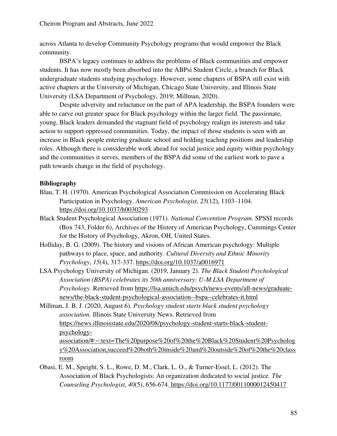across Atlanta to develop Community Psychology programs that would empower the Black community.

BSPA's legacy continues to address the problems of Black communities and empower students. It has now mostly been absorbed into the ABPsi Student Circle, a branch for Black undergraduate students studying psychology. However, some chapters of BSPA still exist with active chapters at the University of Michigan, Chicago State University, and Illinois State University (LSA Department of Psychology*,* 2019; Millman, 2020).

Despite adversity and reluctance on the part of APA leadership, the BSPA founders were able to carve out greater space for Black psychology within the larger field. The passionate, young, Black leaders demanded the stagnant field of psychology realign its interests and take action to support oppressed communities. Today, the impact of those students is seen with an increase in Black people entering graduate school and holding teaching positions and leadership roles. Although there is considerable work ahead for social justice and equity within psychology and the communities it serves, members of the BSPA did some of the earliest work to pave a path towards change in the field of psychology.

## **Bibliography**

- Blau, T. H. (1970). American Psychological Association Commission on Accelerating Black Participation in Psychology. *American Psychologist, 25*(12), 1103–1104. [https://doi.org/10.1037/h0030293](https://psycnet.apa.org/doi/10.1037/h0030293)
- Black Student Psychological Association (1971). *National Convention Program.* SPSSI records (Box 743, Folder 6), Archives of the History of American Psychology, Cummings Center for the History of Psychology, Akron, OH, United States.
- Holliday, B. G. (2009). The history and visions of African American psychology: Multiple pathways to place, space, and authority. *Cultural Diversity and Ethnic Minority Psychology*, *15*(4), 317-337. [https://doi.org/10.1037/a0016971](https://psycnet.apa.org/doi/10.1037/a0016971)
- LSA Psychology University of Michigan. (2019, January 2). *The Black Student Psychological Association (BSPA) celebrates its 50th anniversary: U-M LSA Department of Psychology*. Retrieved from [https://lsa.umich.edu/psych/news-events/all-news/graduate](https://lsa.umich.edu/psych/news-events/all-news/graduate-news/the-black-student-psychological-association--bspa--celebrates-it.html)[news/the-black-student-psychological-association--bspa--celebrates-it.html](https://lsa.umich.edu/psych/news-events/all-news/graduate-news/the-black-student-psychological-association--bspa--celebrates-it.html)
- Millman, J. B. J. (2020, August 6). *Psychology student starts black student psychology association*. Illinois State University News. Retrieved from [https://news.illinoisstate.edu/2020/08/psychology-student-starts-black-student](https://news.illinoisstate.edu/2020/08/psychology-student-starts-black-student-psychology-association/#:~:text=The%20purpose%20of%20the%20Black%20Student%20Psychology%20Association,succeed%20both%20inside%20and%20outside%20of%20the%20classroom)[psychology](https://news.illinoisstate.edu/2020/08/psychology-student-starts-black-student-psychology-association/#:~:text=The%20purpose%20of%20the%20Black%20Student%20Psychology%20Association,succeed%20both%20inside%20and%20outside%20of%20the%20classroom)[association/#:~:text=The%20purpose%20of%20the%20Black%20Student%20Psycholog](https://news.illinoisstate.edu/2020/08/psychology-student-starts-black-student-psychology-association/#:~:text=The%20purpose%20of%20the%20Black%20Student%20Psychology%20Association,succeed%20both%20inside%20and%20outside%20of%20the%20classroom) [y%20Association,succeed%20both%20inside%20and%20outside%20of%20the%20class](https://news.illinoisstate.edu/2020/08/psychology-student-starts-black-student-psychology-association/#:~:text=The%20purpose%20of%20the%20Black%20Student%20Psychology%20Association,succeed%20both%20inside%20and%20outside%20of%20the%20classroom) [room](https://news.illinoisstate.edu/2020/08/psychology-student-starts-black-student-psychology-association/#:~:text=The%20purpose%20of%20the%20Black%20Student%20Psychology%20Association,succeed%20both%20inside%20and%20outside%20of%20the%20classroom)
- Obasi, E. M., Speight, S. L., Rowe, D. M., Clark, L. O., & Turner-Essel, L. (2012). The Association of Black Psychologists: An organization dedicated to social justice. *The Counseling Psychologist*, *40*(5), 656-674[. https://doi.org/10.1177/0011000012450417](https://doi.org/10.1177%2F0011000012450417)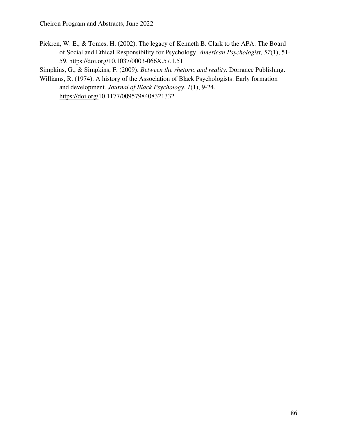Pickren, W. E., & Tomes, H. (2002). The legacy of Kenneth B. Clark to the APA: The Board of Social and Ethical Responsibility for Psychology. *American Psychologist*, *57*(1), 51- 59.<https://doi.org/10.1037/0003-066X.57.1.51>

Simpkins, G., & Simpkins, F. (2009). *Between the rhetoric and reality*. Dorrance Publishing.

Williams, R. (1974). A history of the Association of Black Psychologists: Early formation and development. *Journal of Black Psychology*, *1*(1), 9-24. [https://doi.org/1](https://doi.org/10.1177%2F0011000012450417)0.1177/0095798408321332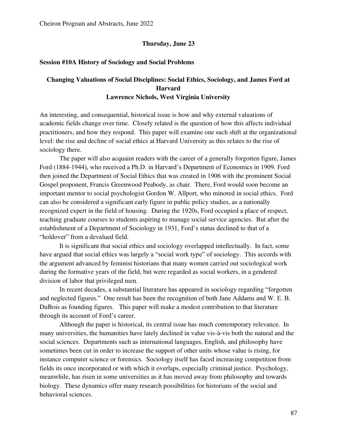#### **Thursday, June 23**

#### **Session #10A History of Sociology and Social Problems**

## **Changing Valuations of Social Disciplines: Social Ethics, Sociology, and James Ford at Harvard Lawrence Nichols, West Virginia University**

An interesting, and consequential, historical issue is how and why external valuations of academic fields change over time. Closely related is the question of how this affects individual practitioners, and how they respond. This paper will examine one such shift at the organizational level: the rise and decline of social ethics at Harvard University as this relates to the rise of sociology there.

The paper will also acquaint readers with the career of a generally forgotten figure, James Ford (1884-1944), who received a Ph.D. in Harvard's Department of Economics in 1909. Ford then joined the Department of Social Ethics that was created in 1906 with the prominent Social Gospel proponent, Francis Greenwood Peabody, as chair. There, Ford would soon become an important mentor to social psychologist Gordon W. Allport, who minored in social ethics. Ford can also be considered a significant early figure in public policy studies, as a nationally recognized expert in the field of housing. During the 1920s, Ford occupied a place of respect, teaching graduate courses to students aspiring to manage social service agencies. But after the establishment of a Department of Sociology in 1931, Ford's status declined to that of a "holdover" from a devalued field.

 It is significant that social ethics and sociology overlapped intellectually. In fact, some have argued that social ethics was largely a "social work type" of sociology. This accords with the argument advanced by feminist historians that many women carried out sociological work during the formative years of the field, but were regarded as social workers, in a gendered division of labor that privileged men.

In recent decades, a substantial literature has appeared in sociology regarding "forgotten and neglected figures." One result has been the recognition of both Jane Addams and W. E. B. DuBois as founding figures. This paper will make a modest contribution to that literature through its account of Ford's career.

 Although the paper is historical, its central issue has much contemporary relevance. In many universities, the humanities have lately declined in value vis-à-vis both the natural and the social sciences. Departments such as international languages, English, and philosophy have sometimes been cut in order to increase the support of other units whose value is rising, for instance computer science or forensics. Sociology itself has faced increasing competition from fields its once incorporated or with which it overlaps, especially criminal justice. Psychology, meanwhile, has risen in some universities as it has moved away from philosophy and towards biology. These dynamics offer many research possibilities for historians of the social and behavioral sciences.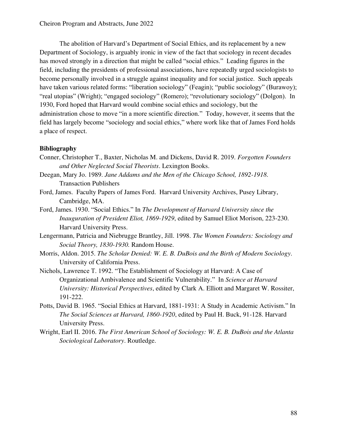The abolition of Harvard's Department of Social Ethics, and its replacement by a new Department of Sociology, is arguably ironic in view of the fact that sociology in recent decades has moved strongly in a direction that might be called "social ethics." Leading figures in the field, including the presidents of professional associations, have repeatedly urged sociologists to become personally involved in a struggle against inequality and for social justice. Such appeals have taken various related forms: "liberation sociology" (Feagin); "public sociology" (Burawoy); "real utopias" (Wright); "engaged sociology" (Romero); "revolutionary sociology" (Dolgon). In 1930, Ford hoped that Harvard would combine social ethics and sociology, but the administration chose to move "in a more scientific direction." Today, however, it seems that the field has largely become "sociology and social ethics," where work like that of James Ford holds a place of respect.

### **Bibliography**

- Conner, Christopher T., Baxter, Nicholas M. and Dickens, David R. 2019. *Forgotten Founders and Other Neglected Social Theorists*. Lexington Books.
- Deegan, Mary Jo. 1989. *Jane Addams and the Men of the Chicago School, 1892-1918*. Transaction Publishers
- Ford, James. Faculty Papers of James Ford. Harvard University Archives, Pusey Library, Cambridge, MA.
- Ford, James. 1930. "Social Ethics." In *The Development of Harvard University since the Inauguration of President Eliot, 1869-1929*, edited by Samuel Eliot Morison, 223-230. Harvard University Press.
- Lengermann, Patricia and Niebrugge Brantley, Jill. 1998. *The Women Founders: Sociology and Social Theory, 1830-1930.* Random House.
- Morris, Aldon. 2015. *The Scholar Denied: W. E. B. DuBois and the Birth of Modern Sociology*. University of California Press.
- Nichols, Lawrence T. 1992. "The Establishment of Sociology at Harvard: A Case of Organizational Ambivalence and Scientific Vulnerability." In *Science at Harvard University: Historical Perspectives*, edited by Clark A. Elliott and Margaret W. Rossiter, 191-222.
- Potts, David B. 1965. "Social Ethics at Harvard, 1881-1931: A Study in Academic Activism." In *The Social Sciences at Harvard, 1860-1920*, edited by Paul H. Buck, 91-128. Harvard University Press.
- Wright, Earl II. 2016. *The First American School of Sociology: W. E. B. DuBois and the Atlanta Sociological Laboratory*. Routledge.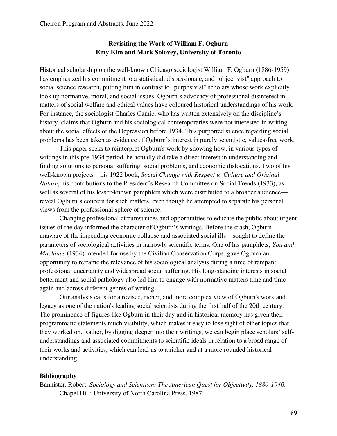### **Revisiting the Work of William F. Ogburn Emy Kim and Mark Solovey, University of Toronto**

Historical scholarship on the well-known Chicago sociologist William F. Ogburn (1886-1959) has emphasized his commitment to a statistical, dispassionate, and "objectivist" approach to social science research, putting him in contrast to "purposivist" scholars whose work explicitly took up normative, moral, and social issues. Ogburn's advocacy of professional disinterest in matters of social welfare and ethical values have coloured historical understandings of his work. For instance, the sociologist Charles Camic, who has written extensively on the discipline's history, claims that Ogburn and his sociological contemporaries were not interested in writing about the social effects of the Depression before 1934. This purported silence regarding social problems has been taken as evidence of Ogburn's interest in purely scientistic, values-free work.

This paper seeks to reinterpret Ogburn's work by showing how, in various types of writings in this pre-1934 period, he actually did take a direct interest in understanding and finding solutions to personal suffering, social problems, and economic dislocations. Two of his well-known projects—his 1922 book, *Social Change with Respect to Culture and Original Nature*, his contributions to the President's Research Committee on Social Trends (1933), as well as several of his lesser-known pamphlets which were distributed to a broader audience reveal Ogburn's concern for such matters, even though he attempted to separate his personal views from the professional sphere of science.

Changing professional circumstances and opportunities to educate the public about urgent issues of the day informed the character of Ogburn's writings. Before the crash, Ogburn unaware of the impending economic collapse and associated social ills—sought to define the parameters of sociological activities in narrowly scientific terms. One of his pamphlets, *You and Machines* (1934) intended for use by the Civilian Conservation Corps, gave Ogburn an opportunity to reframe the relevance of his sociological analysis during a time of rampant professional uncertainty and widespread social suffering. His long-standing interests in social betterment and social pathology also led him to engage with normative matters time and time again and across different genres of writing.

Our analysis calls for a revised, richer, and more complex view of Ogburn's work and legacy as one of the nation's leading social scientists during the first half of the 20th century. The prominence of figures like Ogburn in their day and in historical memory has given their programmatic statements much visibility, which makes it easy to lose sight of other topics that they worked on. Rather, by digging deeper into their writings, we can begin place scholars' selfunderstandings and associated commitments to scientific ideals in relation to a broad range of their works and activities, which can lead us to a richer and at a more rounded historical understanding.

#### **Bibliography**

Bannister, Robert. *Sociology and Scientism: The American Quest for Objectivity, 1880-1940*. Chapel Hill: University of North Carolina Press, 1987.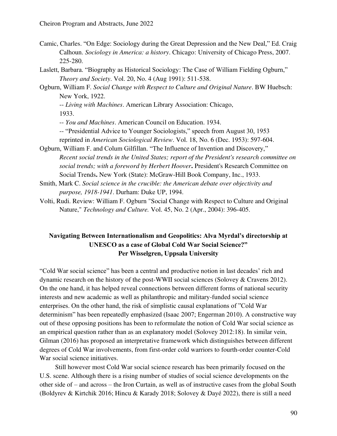- Camic, Charles. "On Edge: Sociology during the Great Depression and the New Deal," Ed. Craig Calhoun. *Sociology in America: a history*. Chicago: University of Chicago Press, 2007. 225-280.
- Laslett, Barbara. "Biography as Historical Sociology: The Case of William Fielding Ogburn," *Theory and Society*. Vol. 20, No. 4 (Aug 1991): 511-538.
- Ogburn, William F. *Social Change with Respect to Culture and Original Nature*. BW Huebsch: New York, 1922.
	- -- *Living with Machines*. American Library Association: Chicago,

1933.

-- *You and Machines*. American Council on Education. 1934.

- -- "Presidential Advice to Younger Sociologists," speech from August 30, 1953 reprinted in *American Sociological Review*. Vol. 18, No. 6 (Dec. 1953): 597-604.
- Ogburn, William F. and Colum Gilfillan. "The Influence of Invention and Discovery," *Recent social trends in the United States; report of the President's research committee on social trends; with a foreword by Herbert Hoover***.** President's Research Committee on Social Trends**.** New York (State): McGraw-Hill Book Company, Inc., 1933.
- Smith, Mark C. *Social science in the crucible: the American debate over objectivity and purpose, 1918-1941*. Durham: Duke UP, 1994.
- Volti, Rudi. Review: William F. Ogburn "Social Change with Respect to Culture and Original Nature," *Technology and Culture.* Vol. 45, No. 2 (Apr., 2004): 396-405.

## **Navigating Between Internationalism and Geopolitics: Alva Myrdal's directorship at UNESCO as a case of Global Cold War Social Science?" Per Wisselgren, Uppsala University**

"Cold War social science" has been a central and productive notion in last decades' rich and dynamic research on the history of the post-WWII social sciences (Solovey & Cravens 2012). On the one hand, it has helped reveal connections between different forms of national security interests and new academic as well as philanthropic and military-funded social science enterprises. On the other hand, the risk of simplistic causal explanations of "Cold War determinism" has been repeatedly emphasized (Isaac 2007; Engerman 2010). A constructive way out of these opposing positions has been to reformulate the notion of Cold War social science as an empirical question rather than as an explanatory model (Solovey 2012:18). In similar vein, Gilman (2016) has proposed an interpretative framework which distinguishes between different degrees of Cold War involvements, from first-order cold warriors to fourth-order counter-Cold War social science initiatives.

Still however most Cold War social science research has been primarily focused on the U.S. scene. Although there is a rising number of studies of social science developments on the other side of – and across – the Iron Curtain, as well as of instructive cases from the global South (Boldyrev & Kirtchik 2016; Hincu & Karady 2018; Solovey & Dayé 2022), there is still a need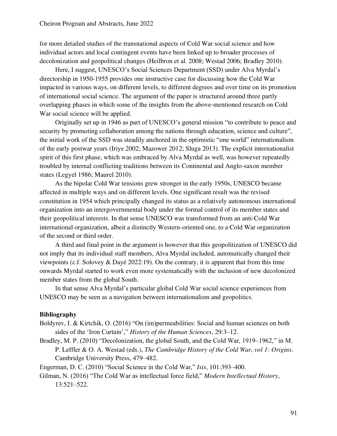for more detailed studies of the transnational aspects of Cold War social science and how individual actors and local contingent events have been linked up to broader processes of decolonization and geopolitical changes (Heilbron et al. 2008; Westad 2006; Bradley 2010).

Here, I suggest, UNESCO's Social Sciences Department (SSD) under Alva Myrdal's directorship in 1950-1955 provides one instructive case for discussing how the Cold War impacted in various ways, on different levels, to different degrees and over time on its promotion of international social science. The argument of the paper is structured around three partly overlapping phases in which some of the insights from the above-mentioned research on Cold War social science will be applied.

Originally set up in 1946 as part of UNESCO's general mission "to contribute to peace and security by promoting collaboration among the nations through education, science and culture". the initial work of the SSD was steadily anchored in the optimistic "one world" internationalism of the early postwar years (Iriye 2002; Mazower 2012; Sluga 2013). The explicit internationalist spirit of this first phase, which was embraced by Alva Myrdal as well, was however repeatedly troubled by internal conflicting traditions between its Continental and Anglo-saxon member states (Legyel 1986; Maurel 2010).

As the bipolar Cold War tensions grew stronger in the early 1950s, UNESCO became affected in multiple ways and on different levels. One significant result was the revised constitution in 1954 which principally changed its status as a relatively autonomous international organization into an intergovernmental body under the formal control of its member states and their geopolitical interests. In that sense UNESCO was transformed from an anti-Cold War international organization, albeit a distinctly Western-oriented one, to a Cold War organization of the second or third order.

A third and final point in the argument is however that this geopolitization of UNESCO did not imply that its individual staff members, Alva Myrdal included, automatically changed their viewpoints (c.f. Solovey & Dayé 2022:19). On the contrary, it is apparent that from this time onwards Myrdal started to work even more systematically with the inclusion of new decolonized member states from the global South.

In that sense Alva Myrdal's particular global Cold War social science experiences from UNESCO may be seen as a navigation between internationalism and geopolitics.

#### **Bibliography**

- Boldyrev, I. & Kirtchik, O. (2016) "On (im)permeabilities: Social and human sciences on both sides of the 'Iron Curtain'," *History of the Human Sciences*, 29:3–12.
- Bradley, M. P. (2010) "Decolonization, the global South, and the Cold War, 1919–1962," in M. P. Leffler & O. A. Westad (eds.), *The Cambridge History of the Cold War, vol 1: Origins*. Cambridge University Press, 479–482.

Engerman, D. C. (2010) "Social Science in the Cold War," *Isis*, 101:393–400.

Gilman, N. (2016) "The Cold War as intellectual force field," *Modern Intellectual History*, 13:521–522.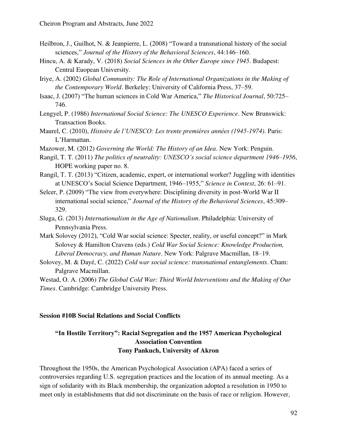- Heilbron, J., Guilhot, N. & Jeanpierre, L. (2008) "Toward a transnational history of the social sciences," *Journal of the History of the Behavioral Sciences*, 44:146–160.
- Hincu, A. & Karady, V. (2018) *Social Sciences in the Other Europe since 1945*. Budapest: Central Euopean University.
- Iriye, A. (2002) *Global Community: The Role of International Organizations in the Making of the Contemporary World*. Berkeley: University of California Press, 37–59.
- Isaac, J. (2007) "The human sciences in Cold War America," *The Historical Journal*, 50:725– 746.
- Lengyel, P. (1986) *International Social Science: The UNESCO Experience*. New Brunswick: Transaction Books.
- Maurel, C. (2010), *Histoire de l'UNESCO: Les trente premières années (1945-1974)*. Paris: L'Harmattan.
- Mazower, M. (2012) *Governing the World: The History of an Idea*. New York: Penguin.
- Rangil, T. T. (2011) *The politics of neutrality: UNESCO's social science department 1946–1956*, HOPE working paper no. 8.
- Rangil, T. T. (2013) "Citizen, academic, expert, or international worker? Juggling with identities at UNESCO's Social Science Department, 1946–1955," *Science in Context*, 26: 61–91.
- Selcer, P. (2009) "The view from everywhere: Disciplining diversity in post-World War II international social science," *Journal of the History of the Behavioral Sciences*, 45:309– 329.
- Sluga, G. (2013) *Internationalism in the Age of Nationalism*. Philadelphia: University of Pennsylvania Press.
- Mark Solovey (2012), "Cold War social science: Specter, reality, or useful concept?" in Mark Solovey & Hamilton Cravens (eds.) *Cold War Social Science: Knowledge Production, Liberal Democracy, and Human Nature*. New York: Palgrave Macmillan, 18–19.
- Solovey, M. & Dayé, C. (2022) *Cold war social science: transnational entanglements*. Cham: Palgrave Macmillan.

Westad, O. A. (2006) *The Global Cold War: Third World Interventions and the Making of Our Times*. Cambridge: Cambridge University Press.

#### **Session #10B Social Relations and Social Conflicts**

## **"In Hostile Territory": Racial Segregation and the 1957 American Psychological Association Convention Tony Pankuch, University of Akron**

Throughout the 1950s, the American Psychological Association (APA) faced a series of controversies regarding U.S. segregation practices and the location of its annual meeting. As a sign of solidarity with its Black membership, the organization adopted a resolution in 1950 to meet only in establishments that did not discriminate on the basis of race or religion. However,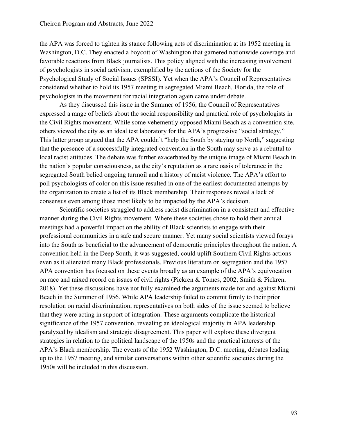the APA was forced to tighten its stance following acts of discrimination at its 1952 meeting in Washington, D.C. They enacted a boycott of Washington that garnered nationwide coverage and favorable reactions from Black journalists. This policy aligned with the increasing involvement of psychologists in social activism, exemplified by the actions of the Society for the Psychological Study of Social Issues (SPSSI). Yet when the APA's Council of Representatives considered whether to hold its 1957 meeting in segregated Miami Beach, Florida, the role of psychologists in the movement for racial integration again came under debate.

As they discussed this issue in the Summer of 1956, the Council of Representatives expressed a range of beliefs about the social responsibility and practical role of psychologists in the Civil Rights movement. While some vehemently opposed Miami Beach as a convention site, others viewed the city as an ideal test laboratory for the APA's progressive "social strategy." This latter group argued that the APA couldn't "help the South by staying up North," suggesting that the presence of a successfully integrated convention in the South may serve as a rebuttal to local racist attitudes. The debate was further exacerbated by the unique image of Miami Beach in the nation's popular consciousness, as the city's reputation as a rare oasis of tolerance in the segregated South belied ongoing turmoil and a history of racist violence. The APA's effort to poll psychologists of color on this issue resulted in one of the earliest documented attempts by the organization to create a list of its Black membership. Their responses reveal a lack of consensus even among those most likely to be impacted by the APA's decision.

Scientific societies struggled to address racist discrimination in a consistent and effective manner during the Civil Rights movement. Where these societies chose to hold their annual meetings had a powerful impact on the ability of Black scientists to engage with their professional communities in a safe and secure manner. Yet many social scientists viewed forays into the South as beneficial to the advancement of democratic principles throughout the nation. A convention held in the Deep South, it was suggested, could uplift Southern Civil Rights actions even as it alienated many Black professionals. Previous literature on segregation and the 1957 APA convention has focused on these events broadly as an example of the APA's equivocation on race and mixed record on issues of civil rights (Pickren & Tomes, 2002; Smith & Pickren, 2018). Yet these discussions have not fully examined the arguments made for and against Miami Beach in the Summer of 1956. While APA leadership failed to commit firmly to their prior resolution on racial discrimination, representatives on both sides of the issue seemed to believe that they were acting in support of integration. These arguments complicate the historical significance of the 1957 convention, revealing an ideological majority in APA leadership paralyzed by idealism and strategic disagreement. This paper will explore these divergent strategies in relation to the political landscape of the 1950s and the practical interests of the APA's Black membership. The events of the 1952 Washington, D.C. meeting, debates leading up to the 1957 meeting, and similar conversations within other scientific societies during the 1950s will be included in this discussion.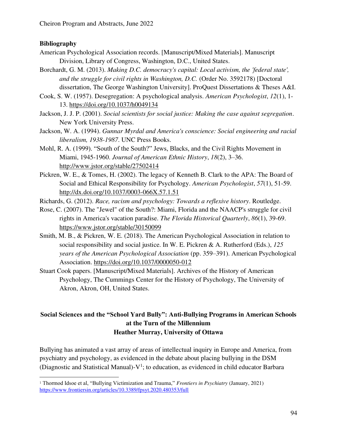### **Bibliography**

- American Psychological Association records. [Manuscript/Mixed Materials]. Manuscript Division, Library of Congress, Washington, D.C., United States.
- Borchardt, G. M. (2013). *Making D.C. democracy's capital: Local activism, the 'federal state', and the struggle for civil rights in Washington, D.C.* (Order No. 3592178) [Doctoral dissertation, The George Washington University]. ProQuest Dissertations & Theses A&I.
- Cook, S. W. (1957). Desegregation: A psychological analysis. *American Psychologist*, *12*(1), 1- 13.<https://doi.org/10.1037/h0049134>
- Jackson, J. J. P. (2001). *Social scientists for social justice: Making the case against segregation*. New York University Press.
- Jackson, W. A. (1994). *Gunnar Myrdal and America's conscience: Social engineering and racial liberalism, 1938-1987*. UNC Press Books.
- Mohl, R. A. (1999). "South of the South?" Jews, Blacks, and the Civil Rights Movement in Miami, 1945-1960. *Journal of American Ethnic History*, *18*(2), 3–36. <http://www.jstor.org/stable/27502414>
- Pickren, W. E., & Tomes, H. (2002). The legacy of Kenneth B. Clark to the APA: The Board of Social and Ethical Responsibility for Psychology. *American Psychologist*, *57*(1), 51-59. <http://dx.doi.org/10.1037/0003-066X.57.1.51>
- Richards, G. (2012). *Race, racism and psychology: Towards a reflexive history*. Routledge.
- Rose, C. (2007). The "Jewel" of the South?: Miami, Florida and the NAACP's struggle for civil rights in America's vacation paradise. *The Florida Historical Quarterly*, *86*(1), 39-69. <https://www.jstor.org/stable/30150099>
- Smith, M. B., & Pickren, W. E. (2018). The American Psychological Association in relation to social responsibility and social justice. In W. E. Pickren & A. Rutherford (Eds.), *125 years of the American Psychological Association* (pp. 359–391). American Psychological Association.<https://doi.org/10.1037/0000050-012>
- Stuart Cook papers. [Manuscript/Mixed Materials]. Archives of the History of American Psychology, The Cummings Center for the History of Psychology, The University of Akron, Akron, OH, United States.

## **Social Sciences and the "School Yard Bully": Anti-Bullying Programs in American Schools at the Turn of the Millennium Heather Murray, University of Ottawa**

Bullying has animated a vast array of areas of intellectual inquiry in Europe and America, from psychiatry and psychology, as evidenced in the debate about placing bullying in the DSM (Diagnostic and Statistical Manual)- $V^1$ ; to education, as evidenced in child educator Barbara

<sup>1</sup> Thormod Idsoe et al, "Bullying Victimization and Trauma," *Frontiers in Psychiatry* (January, 2021) <https://www.frontiersin.org/articles/10.3389/fpsyt.2020.480353/full>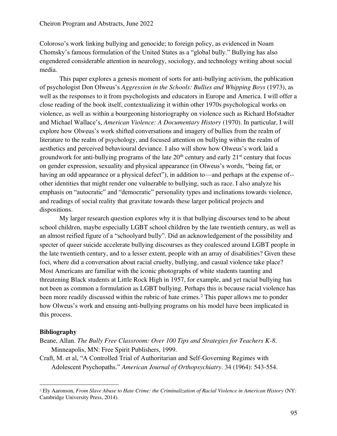Coloroso's work linking bullying and genocide; to foreign policy, as evidenced in Noam Chomsky's famous formulation of the United States as a "global bully." Bullying has also engendered considerable attention in neurology, sociology, and technology writing about social media.

This paper explores a genesis moment of sorts for anti-bullying activism, the publication of psychologist Don Olweus's *Aggression in the Schools: Bullies and Whipping Boys* (1973), as well as the responses to it from psychologists and educators in Europe and America. I will offer a close reading of the book itself, contextualizing it within other 1970s psychological works on violence, as well as within a bourgeoning historiography on violence such as Richard Hofstadter and Michael Wallace's, *American Violence: A Documentary History* (1970). In particular, I will explore how Olweus's work shifted conversations and imagery of bullies from the realm of literature to the realm of psychology, and focused attention on bullying within the realm of aesthetics and perceived behavioural deviance. I also will show how Olweus's work laid a groundwork for anti-bullying programs of the late  $20<sup>th</sup>$  century and early  $21<sup>st</sup>$  century that focus on gender expression, sexuality and physical appearance (in Olweus's words, "being fat, or having an odd appearance or a physical defect"), in addition to—and perhaps at the expense of- other identities that might render one vulnerable to bullying, such as race. I also analyze his emphasis on "autocratic" and "democratic" personality types and inclinations towards violence, and readings of social reality that gravitate towards these larger political projects and dispositions.

My larger research question explores why it is that bullying discourses tend to be about school children, maybe especially LGBT school children by the late twentieth century, as well as an almost reified figure of a "schoolyard bully". Did an acknowledgement of the possibility and specter of queer suicide accelerate bullying discourses as they coalesced around LGBT people in the late twentieth century, and to a lesser extent, people with an array of disabilities? Given these foci, where did a conversation about racial cruelty, bullying, and casual violence take place? Most Americans are familiar with the iconic photographs of white students taunting and threatening Black students at Little Rock High in 1957, for example, and yet racial bullying has not been as common a formulation as LGBT bullying. Perhaps this is because racial violence has been more readily discussed within the rubric of hate crimes.<sup>2</sup> This paper allows me to ponder how Olweus's work and ensuing anti-bullying programs on his model have been implicated in this process.

#### **Bibliography**

Beane, Allan. *The Bully Free Classroom: Over 100 Tips and Strategies for Teachers K-8*. Minneapolis, MN: Free Spirit Publishers, 1999.

Craft, M. et al, "A Controlled Trial of Authoritarian and Self-Governing Regimes with Adolescent Psychopaths." *American Journal of Orthopsychiatry*. 34 (1964): 543-554.

<sup>2</sup> Ely Aaronson, *From Slave Abuse to Hate Crime: the Criminalization of Racial Violence in American History* (NY: Cambridge University Press, 2014).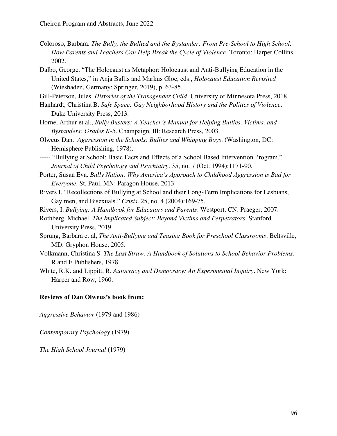Coloroso, Barbara. *The Bully, the Bullied and the Bystander: From Pre-School to High School: How Parents and Teachers Can Help Break the Cycle of Violence*. Toronto: Harper Collins, 2002.

Dalbo, George. "The Holocaust as Metaphor: Holocaust and Anti-Bullying Education in the United States," in Anja Ballis and Markus Gloe, eds., *Holocaust Education Revisited* (Wiesbaden, Germany: Springer, 2019), p. 63-85.

Gill-Peterson, Jules. *Histories of the Transgender Child*. University of Minnesota Press, 2018.

- Hanhardt, Christina B. *Safe Space: Gay Neighborhood History and the Politics of Violence*. Duke University Press, 2013.
- Horne, Arthur et al., *Bully Busters: A Teacher's Manual for Helping Bullies, Victims, and Bystanders: Grades K-5*. Champaign, Ill: Research Press, 2003.
- Olweus Dan. *Aggression in the Schools: Bullies and Whipping Boys*. (Washington, DC: Hemisphere Publishing, 1978).

----- "Bullying at School: Basic Facts and Effects of a School Based Intervention Program." *Journal of Child Psychology and Psychiatry*. 35, no. 7 (Oct. 1994):1171-90.

- Porter, Susan Eva. *Bully Nation: Why America's Approach to Childhood Aggression is Bad for Everyone*. St. Paul, MN: Paragon House, 2013.
- Rivers I. "Recollections of Bullying at School and their Long-Term Implications for Lesbians, Gay men, and Bisexuals." *Crisis*. 25, no. 4 (2004):169-75.
- Rivers, I. *Bullying: A Handbook for Educators and Parents*. Westport, CN: Praeger, 2007.
- Rothberg, Michael. *The Implicated Subject: Beyond Victims and Perpetrators*. Stanford University Press, 2019.
- Sprung, Barbara et al, *The Anti-Bullying and Teasing Book for Preschool Classrooms*. Beltsville, MD: Gryphon House, 2005.
- Volkmann, Christina S. *The Last Straw: A Handbook of Solutions to School Behavior Problems*. R and E Publishers, 1978.
- White, R.K. and Lippitt, R. *Autocracy and Democracy: An Experimental Inquiry*. New York: Harper and Row, 1960.

#### **Reviews of Dan Olweus's book from:**

*Aggressive Behavior* (1979 and 1986)

*Contemporary Psychology* (1979)

*The High School Journal* (1979)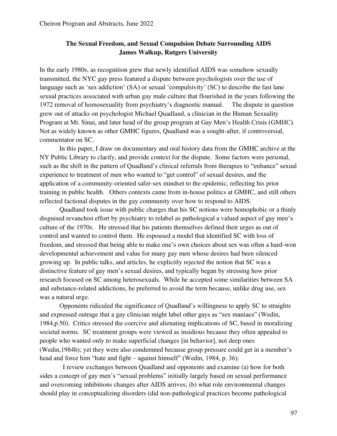## **The Sexual Freedom, and Sexual Compulsion Debate Surrounding AIDS James Walkup, Rutgers University**

In the early 1980s, as recognition grew that newly identified AIDS was somehow sexually transmitted, the NYC gay press featured a dispute between psychologists over the use of language such as 'sex addiction' (SA) or sexual 'compulsivity' (SC) to describe the fast lane sexual practices associated with urban gay male culture that flourished in the years following the 1972 removal of homosexuality from psychiatry's diagnostic manual. The dispute in question grew out of attacks on psychologist Michael Quadland, a clinician in the Human Sexuality Program at Mt. Sinai, and later head of the group program at Gay Men's Health Crisis (GMHC). Not as widely known as other GMHC figures, Quadland was a sought-after, if controversial, commentator on SC.

In this paper, I draw on documentary and oral history data from the GMHC archive at the NY Public Library to clarify, and provide context for the dispute. Some factors were personal, such as the shift in the pattern of Quadland's clinical referrals from therapies to "enhance" sexual experience to treatment of men who wanted to "get control" of sexual desires, and the application of a community-oriented safer-sex mindset to the epidemic, reflecting his prior training in public health. Others contexts came from in-house politics at GMHC, and still others reflected factional disputes in the gay community over how to respond to AIDS.

Quadland took issue with public charges that his SC notions were homophobic or a thinly disguised revanchist effort by psychiatry to relabel as pathological a valued aspect of gay men's culture of the 1970s. He stressed that his patients themselves defined their urges as out of control and wanted to control them. He espoused a model that identified SC with loss of freedom, and stressed that being able to make one's own choices about sex was often a hard-won developmental achievement and value for many gay men whose desires had been silenced growing up. In public talks, and articles, he explicitly rejected the notion that SC was a distinctive feature of gay men's sexual desires, and typically began by stressing how prior research focused on SC among heterosexuals. While he accepted some similarities between SA and substance-related addictions, he preferred to avoid the term because, unlike drug use, sex was a natural urge.

Opponents ridiculed the significance of Quadland's willingness to apply SC to straights and expressed outrage that a gay clinician might label other gays as "sex maniacs" (Wedin, 1984,p.50). Critics stressed the coercive and alienating implications of SC, based in moralizing societal norms. SC treatment groups were viewed as insidious because they often appealed to people who wanted only to make superficial changes [in behavior], not deep ones (Wedin,1984b); yet they were also condemned because group pressure could get in a member's head and force him "hate and fight – against himself" (Wedin, 1984, p. 36).

 I review exchanges between Quadland and opponents and examine (a) how for both sides a concept of gay men's "sexual problems" initially largely based on sexual performance and overcoming inhibitions changes after AIDS arrives; (b) what role environmental changes should play in conceptualizing disorders (did non-pathological practices become pathological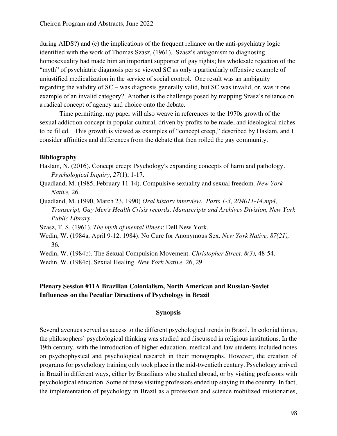during AIDS?) and (c) the implications of the frequent reliance on the anti-psychiatry logic identified with the work of Thomas Szasz, (1961). Szasz's antagonism to diagnosing homosexuality had made him an important supporter of gay rights; his wholesale rejection of the "myth" of psychiatric diagnosis per se viewed SC as only a particularly offensive example of unjustified medicalization in the service of social control. One result was an ambiguity regarding the validity of SC – was diagnosis generally valid, but SC was invalid, or, was it one example of an invalid category? Another is the challenge posed by mapping Szasz's reliance on a radical concept of agency and choice onto the debate.

Time permitting, my paper will also weave in references to the 1970s growth of the sexual addiction concept in popular cultural, driven by profits to be made, and ideological niches to be filled. This growth is viewed as examples of "concept creep," described by Haslam, and I consider affinities and differences from the debate that then roiled the gay community.

#### **Bibliography**

- Haslam, N. (2016). Concept creep: Psychology's expanding concepts of harm and pathology. *Psychological Inquiry*, *27*(1), 1-17.
- Quadland, M. (1985, February 11-14). Compulsive sexuality and sexual freedom. *New York Native,* 26.
- Quadland, M. (1990, March 23, 1990) *Oral history interview. Parts 1-3, 204011-14.mp4, Transcript, Gay Men's Health Crisis records, Manuscripts and Archives Division, New York Public Library.*

Szasz, T. S. (1961). *The myth of mental illness*: Dell New York.

Wedin, W. (1984a, April 9-12, 1984). No Cure for Anonymous Sex. *New York Native, 87(21),* 36.

Wedin, W. (1984b). The Sexual Compulsion Movement. *Christopher Street, 8(3),* 48-54.

Wedin, W. (1984c). Sexual Healing. *New York Native,* 26, 29

## **Plenary Session #11A Brazilian Colonialism, North American and Russian-Soviet Influences on the Peculiar Directions of Psychology in Brazil**

### **Synopsis**

Several avenues served as access to the different psychological trends in Brazil. In colonial times, the philosophers` psychological thinking was studied and discussed in religious institutions. In the 19th century, with the introduction of higher education, medical and law students included notes on psychophysical and psychological research in their monographs. However, the creation of programs for psychology training only took place in the mid-twentieth century. Psychology arrived in Brazil in different ways, either by Brazilians who studied abroad, or by visiting professors with psychological education. Some of these visiting professors ended up staying in the country. In fact, the implementation of psychology in Brazil as a profession and science mobilized missionaries,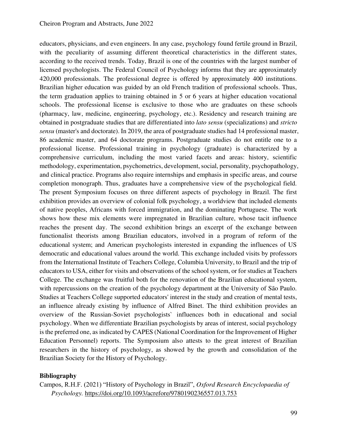educators, physicians, and even engineers. In any case, psychology found fertile ground in Brazil, with the peculiarity of assuming different theoretical characteristics in the different states, according to the received trends. Today, Brazil is one of the countries with the largest number of licensed psychologists. The Federal Council of Psychology informs that they are approximately 420,000 professionals. The professional degree is offered by approximately 400 institutions. Brazilian higher education was guided by an old French tradition of professional schools. Thus, the term graduation applies to training obtained in 5 or 6 years at higher education vocational schools. The professional license is exclusive to those who are graduates on these schools (pharmacy, law, medicine, engineering, psychology, etc.). Residency and research training are obtained in postgraduate studies that are differentiated into *lato sensu* (specializations) and *stricto sensu* (master's and doctorate). In 2019, the area of postgraduate studies had 14 professional master, 86 academic master, and 64 doctorate programs. Postgraduate studies do not entitle one to a professional license. Professional training in psychology (graduate) is characterized by a comprehensive curriculum, including the most varied facets and areas: history, scientific methodology, experimentation, psychometrics, development, social, personality, psychopathology, and clinical practice. Programs also require internships and emphasis in specific areas, and course completion monograph. Thus, graduates have a comprehensive view of the psychological field. The present Symposium focuses on three different aspects of psychology in Brazil. The first exhibition provides an overview of colonial folk psychology, a worldview that included elements of native peoples, Africans with forced immigration, and the dominating Portuguese. The work shows how these mix elements were impregnated in Brazilian culture, whose tacit influence reaches the present day. The second exhibition brings an excerpt of the exchange between functionalist theorists among Brazilian educators, involved in a program of reform of the educational system; and American psychologists interested in expanding the influences of US democratic and educational values around the world. This exchange included visits by professors from the International Institute of Teachers College, Columbia University, to Brazil and the trip of educators to USA, either for visits and observations of the school system, or for studies at Teachers College. The exchange was fruitful both for the renovation of the Brazilian educational system, with repercussions on the creation of the psychology department at the University of São Paulo. Studies at Teachers College supported educators' interest in the study and creation of mental tests, an influence already existing by influence of Alfred Binet. The third exhibition provides an overview of the Russian-Soviet psychologists` influences both in educational and social psychology. When we differentiate Brazilian psychologists by areas of interest, social psychology is the preferred one, as indicated by CAPES (National Coordination for the Improvement of Higher Education Personnel) reports. The Symposium also attests to the great interest of Brazilian researchers in the history of psychology, as showed by the growth and consolidation of the Brazilian Society for the History of Psychology.

#### **Bibliography**

Campos, R.H.F. (2021) "History of Psychology in Brazil", *Oxford Research Encyclopaedia of Psychology.*<https://doi.org/10.1093/acrefore/9780190236557.013.753>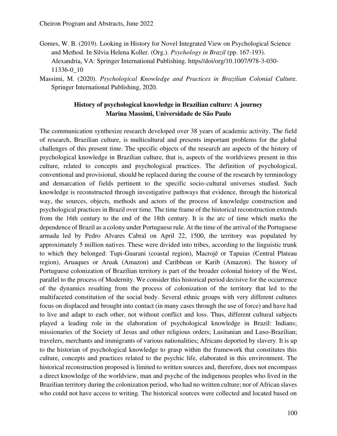- Gomes, W. B. (2019). Looking in History for Novel Integrated View on Psychological Science and Method. In Silvia Helena Koller. (Org.). *Psychology in Brazil* (pp. 167-193). Alexandria, VA: Springer International Publishing. https//doi/org/10.1007/978-3-030- 11336-0\_10
- Massimi, M. (2020). *Psychological Knowledge and Practices in Brazilian Colonial Cultu*re. Springer International Publishing, 2020.

### **History of psychological knowledge in Brazilian culture: A journey Marina Massimi, Universidade de São Paulo**

The communication synthesize research developed over 38 years of academic activity. The field of research, Brazilian culture, is multicultural and presents important problems for the global challenges of this present time. The specific objects of the research are aspects of the history of psychological knowledge in Brazilian culture, that is, aspects of the worldviews present in this culture, related to concepts and psychological practices. The definition of psychological, conventional and provisional, should be replaced during the course of the research by terminology and demarcation of fields pertinent to the specific socio-cultural universes studied. Such knowledge is reconstructed through investigative pathways that evidence, through the historical way, the sources, objects, methods and actors of the process of knowledge construction and psychological practices in Brazil over time. The time frame of the historical reconstruction extends from the 16th century to the end of the 18th century. It is the arc of time which marks the dependence of Brazil as a colony under Portuguese rule. At the time of the arrival of the Portuguese armada led by Pedro Alvares Cabral on April 22, 1500, the territory was populated by approximately 5 million natives. These were divided into tribes, according to the linguistic trunk to which they belonged: Tupi-Guarani (coastal region), Macrojê or Tapuias (Central Plateau region), Aruaques or Aruak (Amazon) and Caribbean or Karib (Amazon). The history of Portuguese colonization of Brazilian territory is part of the broader colonial history of the West, parallel to the process of Modernity. We consider this historical period decisive for the occurrence of the dynamics resulting from the process of colonization of the territory that led to the multifaceted constitution of the social body. Several ethnic groups with very different cultures focus on displaced and brought into contact (in many cases through the use of force) and have had to live and adapt to each other, not without conflict and loss. Thus, different cultural subjects played a leading role in the elaboration of psychological knowledge in Brazil: Indians; missionaries of the Society of Jesus and other religious orders; Lusitanian and Luso-Brazilian; travelers, merchants and immigrants of various nationalities; Africans deported by slavery. It is up to the historian of psychological knowledge to grasp within the framework that constitutes this culture, concepts and practices related to the psychic life, elaborated in this environment. The historical reconstruction proposed is limited to written sources and, therefore, does not encompass a direct knowledge of the worldview, man and psyche of the indigenous peoples who lived in the Brazilian territory during the colonization period, who had no written culture; nor of African slaves who could not have access to writing. The historical sources were collected and located based on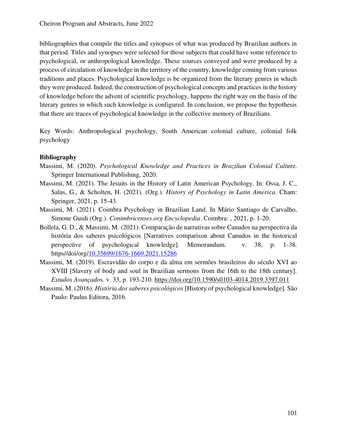bibliographies that compile the titles and synopses of what was produced by Brazilian authors in that period. Titles and synopses were selected for those subjects that could have some reference to psychological, or anthropological knowledge. These sources conveyed and were produced by a process of circulation of knowledge in the territory of the country, knowledge coming from various traditions and places. Psychological knowledge is be organized from the literary genres in which they were produced. Indeed, the construction of psychological concepts and practices in the history of knowledge before the advent of scientific psychology, happens the right way on the basis of the literary genres in which such knowledge is configured. In conclusion, we propose the hypothesis that there are traces of psychological knowledge in the collective memory of Brazilians.

Key Words: Anthropological psychology, South American colonial culture, colonial folk psychology

### **Bibliography**

- Massimi, M. (2020). *Psychological Knowledge and Practices in Brazilian Colonial Cultu*re. Springer International Publishing, 2020.
- Massimi, M. (2021). The Jesuits in the History of Latin American Psychology. In: Ossa, J. C., Salas, G., & Scholten, H. (2021). (Org.). *History of Psychology in Latin America.* Cham: Springer, 2021, p. 15-43.
- Massimi, M. (2021). Coimbra Psychology in Brazilian Land. In Mário Santiago de Carvalho, Simone Guidi (Org.). *Conimbricenses.org Encyclopedia*. Coimbra: , 2021, p. 1-20.
- Bollela, G. D., & Massimi, M. (2021). Comparação de narrativas sobre Canudos na perspectiva da história dos saberes psicológicos [Narratives comparison about Canudos in the historical perspective of psychological knowledge]. Memorandum. v. 38, p. 1-38. https//doi/org[/10.35699/1676-1669.2021.15286](https://doi.org/10.35699/1676-1669.2021.15286)
- Massimi, M. (2019). Escravidão do corpo e da alma em sermões brasileiros do século XVI ao XVIII [Slavery of body and soul in Brazilian sermons from the 16th to the 18th century]. *Estudos Avançado*s. v. 33, p. 193-210.<https://doi.org/10.1590/s0103-4014.2019.3397.011>
- Massimi, M. (2016). *História dos saberes psicológicos* [History of psychological knowledge]*.* São Paulo: Paulus Editora, 2016.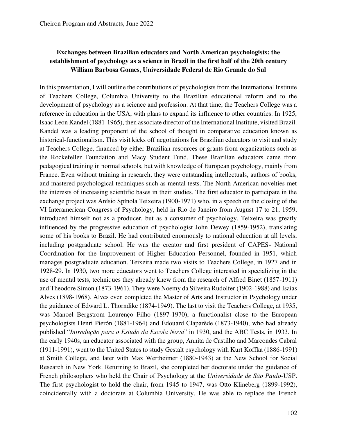## **Exchanges between Brazilian educators and North American psychologists: the establishment of psychology as a science in Brazil in the first half of the 20th century William Barbosa Gomes, Universidade Federal de Rio Grande do Sul**

In this presentation, I will outline the contributions of psychologists from the International Institute of Teachers College, Columbia University to the Brazilian educational reform and to the development of psychology as a science and profession. At that time, the Teachers College was a reference in education in the USA, with plans to expand its influence to other countries. In 1925, Isaac Leon Kandel (1881-1965), then associate director of the International Institute, visited Brazil. Kandel was a leading proponent of the school of thought in comparative education known as historical-functionalism. This visit kicks off negotiations for Brazilian educators to visit and study at Teachers College, financed by either Brazilian resources or grants from organizations such as the Rockefeller Foundation and Macy Student Fund. These Brazilian educators came from pedagogical training in normal schools, but with knowledge of European psychology, mainly from France. Even without training in research, they were outstanding intellectuals, authors of books, and mastered psychological techniques such as mental tests. The North American novelties met the interests of increasing scientific bases in their studies. The first educator to participate in the exchange project was Anísio Spínola Teixeira (1900-1971) who, in a speech on the closing of the VI Interamerican Congress of Psychology, held in Rio de Janeiro from August 17 to 21, 1959, introduced himself not as a producer, but as a consumer of psychology. Teixeira was greatly influenced by the progressive education of psychologist John Dewey (1859-1952), translating some of his books to Brazil. He had contributed enormously to national education at all levels, including postgraduate school. He was the creator and first president of CAPES- National Coordination for the Improvement of Higher Education Personnel, founded in 1951, which manages postgraduate education. Teixeira made two visits to Teachers College, in 1927 and in 1928-29. In 1930, two more educators went to Teachers College interested in specializing in the use of mental tests, techniques they already knew from the research of Alfred Binet (1857-1911) and Theodore Simon (1873-1961). They were Noemy da Silveira Rudolfer (1902-1988) and Isaias Alves (1898-1968). Alves even completed the Master of Arts and Instructor in Psychology under the guidance of Edward L. Thorndike (1874-1949). The last to visit the Teachers College, at 1935, was Manoel Bergstrom Lourenço Filho (1897-1970), a functionalist close to the European psychologists Henri Pierón (1881-1964) and Èdouard Claparède (1873-1940), who had already published "*Introdução para o Estudo da Escola Nova*" in 1930, and the ABC Tests, in 1933. In the early 1940s, an educator associated with the group, Annita de Castilho and Marcondes Cabral (1911-1991), went to the United States to study Gestalt psychology with Kurt Koffka (1886-1991) at Smith College, and later with Max Wertheimer (1880-1943) at the New School for Social Research in New York. Returning to Brazil, she completed her doctorate under the guidance of French philosophers who held the Chair of Psychology at the *Universidade de São Paulo*-USP. The first psychologist to hold the chair, from 1945 to 1947, was Otto Klineberg (1899-1992), coincidentally with a doctorate at Columbia University. He was able to replace the French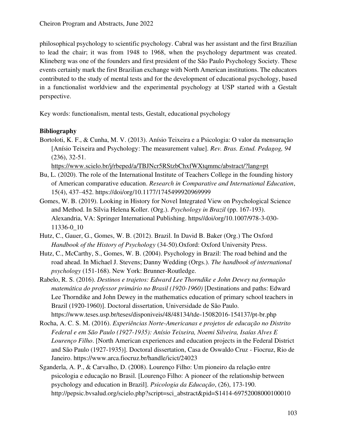philosophical psychology to scientific psychology. Cabral was her assistant and the first Brazilian to lead the chair; it was from 1948 to 1968, when the psychology department was created. Klineberg was one of the founders and first president of the São Paulo Psychology Society. These events certainly mark the first Brazilian exchange with North American institutions. The educators contributed to the study of mental tests and for the development of educational psychology, based in a functionalist worldview and the experimental psychology at USP started with a Gestalt perspective.

Key words: functionalism, mental tests, Gestalt, educational psychology

### **Bibliography**

Bortoloti, K. F., & Cunha, M. V. (2013). Anísio Teixeira e a Psicologia: O valor da mensuração [Anísio Teixeira and Psychology: The measurement value]. *Rev. Bras. Estud. Pedagog, 94* (236), 32-51.

<https://www.scielo.br/j/rbeped/a/TBJNcr5RStzbChxfWXtqmmc/abstract/?lang=pt>

- Bu, L. (2020). The role of the International Institute of Teachers College in the founding history of American comparative education. *Research in Comparative and International Education*, 15(4), 437–452. https://doi/org/10.1177/1745499920969999
- Gomes, W. B. (2019). Looking in History for Novel Integrated View on Psychological Science and Method. In Silvia Helena Koller. (Org.). *Psychology in Brazil* (pp. 167-193). Alexandria, VA: Springer International Publishing. https//doi/org/10.1007/978-3-030- 11336-0\_10
- Hutz, C., Gauer, G., Gomes, W. B. (2012). Brazil. In David B. Baker (Org.) The Oxford *Handbook of the History of Psychology* (34-50).Oxford: Oxford University Press.
- Hutz, C., McCarthy, S., Gomes, W. B. (2004). Psychology in Brazil: The road behind and the road ahead. In Michael J. Stevens; Danny Wedding (Orgs.). *The handbook of international psychology* (151-168). New York: Brunner-Routledge.
- Rabelo, R. S. (2016). *Destinos e trajetos: Edward Lee Thorndike e John Dewey na formação matemática do professor primário no Brasil (1920-1960)* [Destinations and paths: Edward Lee Thorndike and John Dewey in the mathematics education of primary school teachers in Brazil (1920-1960)]. Doctoral dissertation, Universidade de São Paulo. https://www.teses.usp.br/teses/disponiveis/48/48134/tde-15082016-154137/pt-br.php
- Rocha, A. C. S. M. (2016). *Experiências Norte-Americanas e projetos de educação no Distrito Federal e em São Paulo (1927-1935): Anísio Teixeira, Noemi Silveira, Isaías Alves E Lourenço Filho*. [North American experiences and education projects in the Federal District and São Paulo (1927-1935)]. Doctoral dissertation, Casa de Oswaldo Cruz - Fiocruz, Rio de Janeiro. https://www.arca.fiocruz.br/handle/icict/24023
- Sganderla, A. P., & Carvalho, D. (2008). Lourenço Filho: Um pioneiro da relação entre psicologia e educação no Brasil. [Lourenço Filho: A pioneer of the relationship between psychology and education in Brazil]. *Psicologia da Educação*, (26), 173-190. http://pepsic.bvsalud.org/scielo.php?script=sci\_abstract&pid=S1414-69752008000100010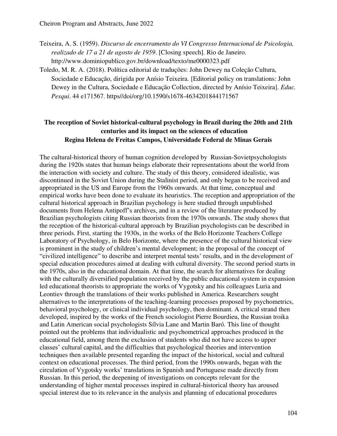- Teixeira, A. S. (1959). *Discurso de encerramento do VI Congresso Internacional de Psicologia, realizado de 17 a 21 de agosto de 1959*. [Closing speech]. Rio de Janeiro. http://www.dominiopublico.gov.br/download/texto/me0000323.pdf
- Toledo, M. R. A. (2018). Política editorial de traduções: John Dewey na Coleção Cultura, Sociedade e Educação, dirigida por Anísio Teixeira. [Editorial policy on translations: John Dewey in the Cultura, Sociedade e Educação Collection, directed by Anísio Teixeira]. *Educ. Pesqui*. 44 e171567. https//doi/org/10.1590/s1678-4634201844171567

## **The reception of Soviet historical-cultural psychology in Brazil during the 20th and 21th centuries and its impact on the sciences of education Regina Helena de Freitas Campos, Universidade Federal de Minas Gerais**

The cultural-historical theory of human cognition developed by Russian-Sovietpsychologists during the 1920s states that human beings elaborate their representations about the world from the interaction with society and culture. The study of this theory, considered idealistic, was discontinued in the Soviet Union during the Stalinist period, and only began to be received and appropriated in the US and Europe from the 1960s onwards. At that time, conceptual and empirical works have been done to evaluate its heuristics. The reception and appropriation of the cultural historical approach in Brazilian psychology is here studied through unpublished documents from Helena Antipoff's archives, and in a review of the literature produced by Brazilian psychologists citing Russian theorists from the 1970s onwards. The study shows that the reception of the historical-cultural approach by Brazilian psychologists can be described in three periods. First, starting the 1930s, in the works of the Belo Horizonte Teachers College Laboratory of Psychology, in Belo Horizonte, where the presence of the cultural historical view is prominent in the study of children's mental development; in the proposal of the concept of "civilized intelligence" to describe and interpret mental tests' results, and in the development of special education procedures aimed at dealing with cultural diversity. The second period starts in the 1970s, also in the educational domain. At that time, the search for alternatives for dealing with the culturally diversified population received by the public educational system in expansion led educational theorists to appropriate the works of Vygotsky and his colleagues Luria and Leontiev through the translations of their works published in America. Researchers sought alternatives to the interpretations of the teaching-learning processes proposed by psychometrics, behavioral psychology, or clinical individual psychology, then dominant. A critical strand then developed, inspired by the works of the French sociologist Pierre Bourdieu, the Russian troika and Latin American social psychologists Sílvia Lane and Martin Baró. This line of thought pointed out the problems that individualistic and psychometrical approaches produced in the educational field, among them the exclusion of students who did not have access to upper classes' cultural capital, and the difficulties that psychological theories and intervention techniques then available presented regarding the impact of the historical, social and cultural context on educational processes. The third period, from the 1990s onwards, began with the circulation of Vygotsky works' translations in Spanish and Portuguese made directly from Russian. In this period, the deepening of investigations on concepts relevant for the understanding of higher mental processes inspired in cultural-historical theory has aroused special interest due to its relevance in the analysis and planning of educational procedures